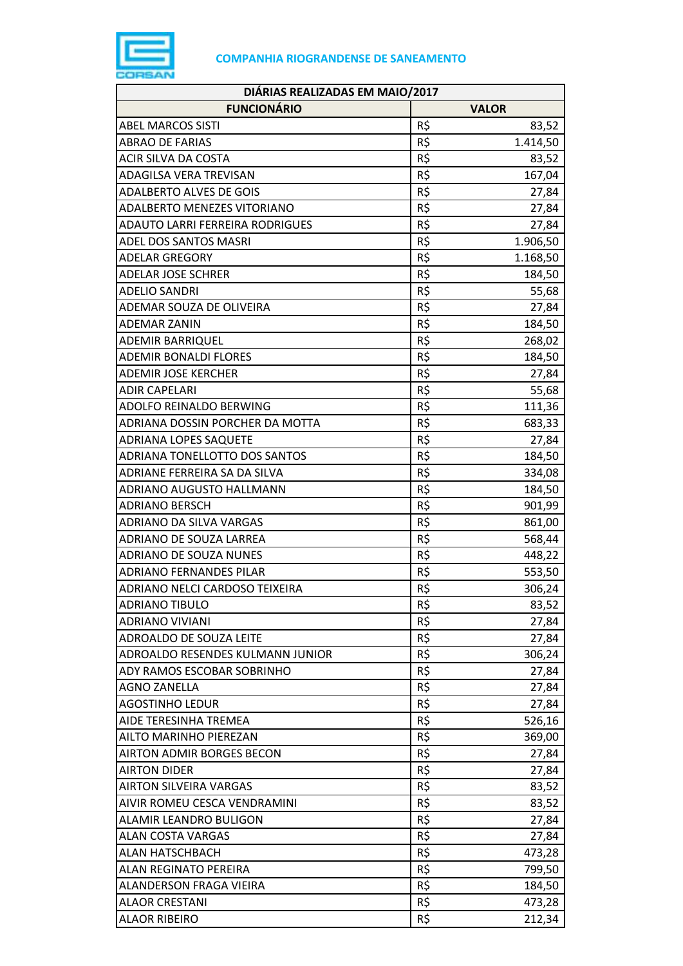

| DIÁRIAS REALIZADAS EM MAIO/2017  |     |              |
|----------------------------------|-----|--------------|
| <b>FUNCIONÁRIO</b>               |     | <b>VALOR</b> |
| <b>ABEL MARCOS SISTI</b>         | R\$ | 83,52        |
| <b>ABRAO DE FARIAS</b>           | R\$ | 1.414,50     |
| <b>ACIR SILVA DA COSTA</b>       | R\$ | 83,52        |
| ADAGILSA VERA TREVISAN           | R\$ | 167,04       |
| <b>ADALBERTO ALVES DE GOIS</b>   | R\$ | 27,84        |
| ADALBERTO MENEZES VITORIANO      | R\$ | 27,84        |
| ADAUTO LARRI FERREIRA RODRIGUES  | R\$ | 27,84        |
| <b>ADEL DOS SANTOS MASRI</b>     | R\$ | 1.906,50     |
| <b>ADELAR GREGORY</b>            | R\$ | 1.168,50     |
| <b>ADELAR JOSE SCHRER</b>        | R\$ | 184,50       |
| <b>ADELIO SANDRI</b>             | R\$ | 55,68        |
| ADEMAR SOUZA DE OLIVEIRA         | R\$ | 27,84        |
| <b>ADEMAR ZANIN</b>              | R\$ | 184,50       |
| <b>ADEMIR BARRIQUEL</b>          | R\$ | 268,02       |
| <b>ADEMIR BONALDI FLORES</b>     | R\$ | 184,50       |
| <b>ADEMIR JOSE KERCHER</b>       | R\$ | 27,84        |
| <b>ADIR CAPELARI</b>             | R\$ | 55,68        |
| ADOLFO REINALDO BERWING          | R\$ | 111,36       |
| ADRIANA DOSSIN PORCHER DA MOTTA  | R\$ | 683,33       |
| <b>ADRIANA LOPES SAQUETE</b>     | R\$ | 27,84        |
| ADRIANA TONELLOTTO DOS SANTOS    | R\$ | 184,50       |
| ADRIANE FERREIRA SA DA SILVA     | R\$ | 334,08       |
| ADRIANO AUGUSTO HALLMANN         | R\$ | 184,50       |
| <b>ADRIANO BERSCH</b>            | R\$ | 901,99       |
| ADRIANO DA SILVA VARGAS          | R\$ | 861,00       |
| ADRIANO DE SOUZA LARREA          | R\$ | 568,44       |
| <b>ADRIANO DE SOUZA NUNES</b>    | R\$ | 448,22       |
| <b>ADRIANO FERNANDES PILAR</b>   | R\$ | 553,50       |
| ADRIANO NELCI CARDOSO TEIXEIRA   | R\$ | 306,24       |
| <b>ADRIANO TIBULO</b>            | R\$ | 83,52        |
| <b>ADRIANO VIVIANI</b>           | R\$ | 27,84        |
| ADROALDO DE SOUZA LEITE          | R\$ | 27,84        |
| ADROALDO RESENDES KULMANN JUNIOR | R\$ | 306,24       |
| ADY RAMOS ESCOBAR SOBRINHO       | R\$ | 27,84        |
| <b>AGNO ZANELLA</b>              | R\$ | 27,84        |
| <b>AGOSTINHO LEDUR</b>           | R\$ | 27,84        |
| AIDE TERESINHA TREMEA            | R\$ | 526,16       |
| AILTO MARINHO PIEREZAN           | R\$ | 369,00       |
| <b>AIRTON ADMIR BORGES BECON</b> | R\$ | 27,84        |
| <b>AIRTON DIDER</b>              | R\$ | 27,84        |
| <b>AIRTON SILVEIRA VARGAS</b>    | R\$ | 83,52        |
| AIVIR ROMEU CESCA VENDRAMINI     | R\$ | 83,52        |
| ALAMIR LEANDRO BULIGON           | R\$ | 27,84        |
| <b>ALAN COSTA VARGAS</b>         | R\$ | 27,84        |
| <b>ALAN HATSCHBACH</b>           | R\$ | 473,28       |
| <b>ALAN REGINATO PEREIRA</b>     | R\$ | 799,50       |
| <b>ALANDERSON FRAGA VIEIRA</b>   | R\$ | 184,50       |
| <b>ALAOR CRESTANI</b>            | R\$ | 473,28       |
| <b>ALAOR RIBEIRO</b>             | R\$ | 212,34       |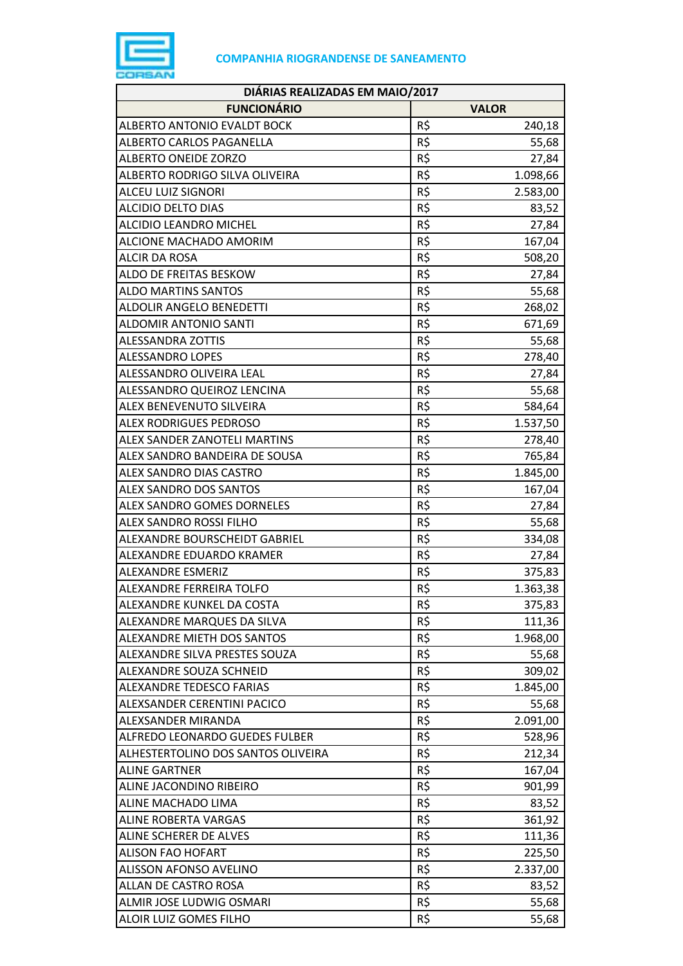

| DIÁRIAS REALIZADAS EM MAIO/2017    |     |              |
|------------------------------------|-----|--------------|
| <b>FUNCIONÁRIO</b>                 |     | <b>VALOR</b> |
| ALBERTO ANTONIO EVALDT BOCK        | R\$ | 240,18       |
| ALBERTO CARLOS PAGANELLA           | R\$ | 55,68        |
| <b>ALBERTO ONEIDE ZORZO</b>        | R\$ | 27,84        |
| ALBERTO RODRIGO SILVA OLIVEIRA     | R\$ | 1.098,66     |
| ALCEU LUIZ SIGNORI                 | R\$ | 2.583,00     |
| <b>ALCIDIO DELTO DIAS</b>          | R\$ | 83,52        |
| ALCIDIO LEANDRO MICHEL             | R\$ | 27,84        |
| ALCIONE MACHADO AMORIM             | R\$ | 167,04       |
| <b>ALCIR DA ROSA</b>               | R\$ | 508,20       |
| ALDO DE FREITAS BESKOW             | R\$ | 27,84        |
| <b>ALDO MARTINS SANTOS</b>         | R\$ | 55,68        |
| ALDOLIR ANGELO BENEDETTI           | R\$ | 268,02       |
| <b>ALDOMIR ANTONIO SANTI</b>       | R\$ | 671,69       |
| <b>ALESSANDRA ZOTTIS</b>           | R\$ | 55,68        |
| <b>ALESSANDRO LOPES</b>            | R\$ | 278,40       |
| ALESSANDRO OLIVEIRA LEAL           | R\$ | 27,84        |
| ALESSANDRO QUEIROZ LENCINA         | R\$ | 55,68        |
| ALEX BENEVENUTO SILVEIRA           | R\$ | 584,64       |
| <b>ALEX RODRIGUES PEDROSO</b>      | R\$ | 1.537,50     |
| ALEX SANDER ZANOTELI MARTINS       | R\$ | 278,40       |
| ALEX SANDRO BANDEIRA DE SOUSA      | R\$ | 765,84       |
| ALEX SANDRO DIAS CASTRO            | R\$ | 1.845,00     |
| ALEX SANDRO DOS SANTOS             | R\$ | 167,04       |
| ALEX SANDRO GOMES DORNELES         | R\$ | 27,84        |
| ALEX SANDRO ROSSI FILHO            | R\$ | 55,68        |
| ALEXANDRE BOURSCHEIDT GABRIEL      | R\$ | 334,08       |
| ALEXANDRE EDUARDO KRAMER           | R\$ | 27,84        |
| ALEXANDRE ESMERIZ                  | R\$ | 375,83       |
| ALEXANDRE FERREIRA TOLFO           | R\$ | 1.363,38     |
| ALEXANDRE KUNKEL DA COSTA          | R\$ | 375,83       |
| ALEXANDRE MARQUES DA SILVA         | R\$ | 111,36       |
| ALEXANDRE MIETH DOS SANTOS         | R\$ | 1.968,00     |
| ALEXANDRE SILVA PRESTES SOUZA      | R\$ | 55,68        |
| ALEXANDRE SOUZA SCHNEID            | R\$ | 309,02       |
| ALEXANDRE TEDESCO FARIAS           | R\$ | 1.845,00     |
| ALEXSANDER CERENTINI PACICO        | R\$ | 55,68        |
| ALEXSANDER MIRANDA                 | R\$ | 2.091,00     |
| ALFREDO LEONARDO GUEDES FULBER     | R\$ | 528,96       |
| ALHESTERTOLINO DOS SANTOS OLIVEIRA | R\$ | 212,34       |
| <b>ALINE GARTNER</b>               | R\$ | 167,04       |
| ALINE JACONDINO RIBEIRO            | R\$ | 901,99       |
| ALINE MACHADO LIMA                 | R\$ | 83,52        |
| <b>ALINE ROBERTA VARGAS</b>        | R\$ | 361,92       |
| ALINE SCHERER DE ALVES             | R\$ | 111,36       |
| <b>ALISON FAO HOFART</b>           | R\$ | 225,50       |
| ALISSON AFONSO AVELINO             | R\$ | 2.337,00     |
| ALLAN DE CASTRO ROSA               | R\$ | 83,52        |
| ALMIR JOSE LUDWIG OSMARI           | R\$ | 55,68        |
| ALOIR LUIZ GOMES FILHO             | R\$ | 55,68        |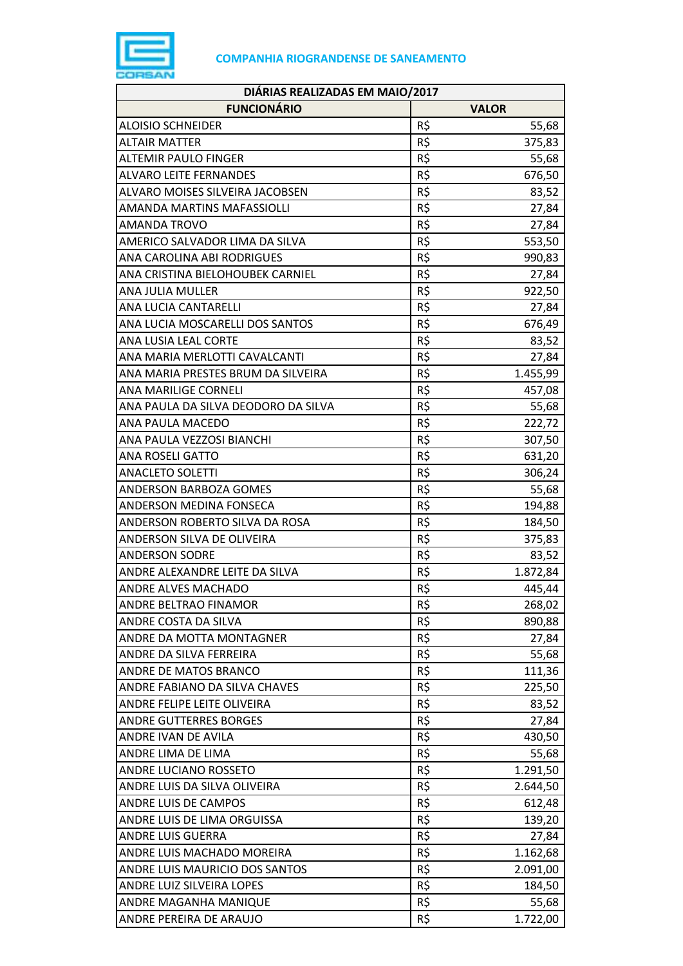

| DIÁRIAS REALIZADAS EM MAIO/2017     |     |              |
|-------------------------------------|-----|--------------|
| <b>FUNCIONÁRIO</b>                  |     | <b>VALOR</b> |
| <b>ALOISIO SCHNEIDER</b>            | R\$ | 55,68        |
| <b>ALTAIR MATTER</b>                | R\$ | 375,83       |
| <b>ALTEMIR PAULO FINGER</b>         | R\$ | 55,68        |
| <b>ALVARO LEITE FERNANDES</b>       | R\$ | 676,50       |
| ALVARO MOISES SILVEIRA JACOBSEN     | R\$ | 83,52        |
| <b>AMANDA MARTINS MAFASSIOLLI</b>   | R\$ | 27,84        |
| <b>AMANDA TROVO</b>                 | R\$ | 27,84        |
| AMERICO SALVADOR LIMA DA SILVA      | R\$ | 553,50       |
| ANA CAROLINA ABI RODRIGUES          | R\$ | 990,83       |
| ANA CRISTINA BIELOHOUBEK CARNIEL    | R\$ | 27,84        |
| ANA JULIA MULLER                    | R\$ | 922,50       |
| ANA LUCIA CANTARELLI                | R\$ | 27,84        |
| ANA LUCIA MOSCARELLI DOS SANTOS     | R\$ | 676,49       |
| ANA LUSIA LEAL CORTE                | R\$ | 83,52        |
| ANA MARIA MERLOTTI CAVALCANTI       | R\$ | 27,84        |
| ANA MARIA PRESTES BRUM DA SILVEIRA  | R\$ | 1.455,99     |
| <b>ANA MARILIGE CORNELI</b>         | R\$ | 457,08       |
| ANA PAULA DA SILVA DEODORO DA SILVA | R\$ | 55,68        |
| ANA PAULA MACEDO                    | R\$ | 222,72       |
| ANA PAULA VEZZOSI BIANCHI           | R\$ | 307,50       |
| <b>ANA ROSELI GATTO</b>             | R\$ | 631,20       |
| <b>ANACLETO SOLETTI</b>             | R\$ | 306,24       |
| ANDERSON BARBOZA GOMES              | R\$ | 55,68        |
| ANDERSON MEDINA FONSECA             | R\$ | 194,88       |
| ANDERSON ROBERTO SILVA DA ROSA      | R\$ | 184,50       |
| ANDERSON SILVA DE OLIVEIRA          | R\$ | 375,83       |
| <b>ANDERSON SODRE</b>               | R\$ | 83,52        |
| ANDRE ALEXANDRE LEITE DA SILVA      | R\$ | 1.872,84     |
| <b>ANDRE ALVES MACHADO</b>          | R\$ | 445,44       |
| <b>ANDRE BELTRAO FINAMOR</b>        | R\$ | 268,02       |
| ANDRE COSTA DA SILVA                | R\$ | 890,88       |
| ANDRE DA MOTTA MONTAGNER            | R\$ | 27,84        |
| ANDRE DA SILVA FERREIRA             | R\$ | 55,68        |
| ANDRE DE MATOS BRANCO               | R\$ | 111,36       |
| ANDRE FABIANO DA SILVA CHAVES       | R\$ | 225,50       |
| ANDRE FELIPE LEITE OLIVEIRA         | R\$ | 83,52        |
| <b>ANDRE GUTTERRES BORGES</b>       | R\$ | 27,84        |
| ANDRE IVAN DE AVILA                 | R\$ | 430,50       |
| ANDRE LIMA DE LIMA                  | R\$ | 55,68        |
| <b>ANDRE LUCIANO ROSSETO</b>        | R\$ | 1.291,50     |
| ANDRE LUIS DA SILVA OLIVEIRA        | R\$ | 2.644,50     |
| ANDRE LUIS DE CAMPOS                | R\$ | 612,48       |
| ANDRE LUIS DE LIMA ORGUISSA         | R\$ | 139,20       |
| <b>ANDRE LUIS GUERRA</b>            | R\$ | 27,84        |
| ANDRE LUIS MACHADO MOREIRA          | R\$ | 1.162,68     |
| ANDRE LUIS MAURICIO DOS SANTOS      | R\$ | 2.091,00     |
| ANDRE LUIZ SILVEIRA LOPES           | R\$ | 184,50       |
| ANDRE MAGANHA MANIQUE               | R\$ | 55,68        |
| ANDRE PEREIRA DE ARAUJO             | R\$ | 1.722,00     |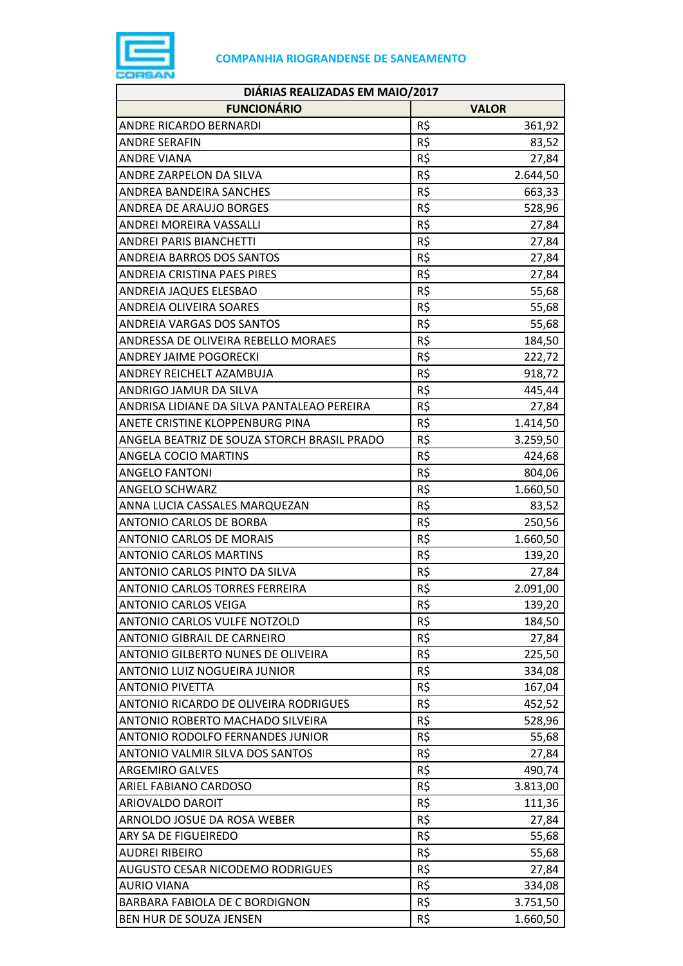

| DIÁRIAS REALIZADAS EM MAIO/2017             |     |              |
|---------------------------------------------|-----|--------------|
| <b>FUNCIONÁRIO</b>                          |     | <b>VALOR</b> |
| ANDRE RICARDO BERNARDI                      | R\$ | 361,92       |
| <b>ANDRE SERAFIN</b>                        | R\$ | 83,52        |
| <b>ANDRE VIANA</b>                          | R\$ | 27,84        |
| ANDRE ZARPELON DA SILVA                     | R\$ | 2.644,50     |
| ANDREA BANDEIRA SANCHES                     | R\$ | 663,33       |
| <b>ANDREA DE ARAUJO BORGES</b>              | R\$ | 528,96       |
| ANDREI MOREIRA VASSALLI                     | R\$ | 27,84        |
| <b>ANDREI PARIS BIANCHETTI</b>              | R\$ | 27,84        |
| <b>ANDREIA BARROS DOS SANTOS</b>            | R\$ | 27,84        |
| ANDREIA CRISTINA PAES PIRES                 | R\$ | 27,84        |
| ANDREIA JAQUES ELESBAO                      | R\$ | 55,68        |
| <b>ANDREIA OLIVEIRA SOARES</b>              | R\$ | 55,68        |
| ANDREIA VARGAS DOS SANTOS                   | R\$ | 55,68        |
| ANDRESSA DE OLIVEIRA REBELLO MORAES         | R\$ | 184,50       |
| <b>ANDREY JAIME POGORECKI</b>               | R\$ | 222,72       |
| ANDREY REICHELT AZAMBUJA                    | R\$ | 918,72       |
| <b>ANDRIGO JAMUR DA SILVA</b>               | R\$ | 445,44       |
| ANDRISA LIDIANE DA SILVA PANTALEAO PEREIRA  | R\$ | 27,84        |
| ANETE CRISTINE KLOPPENBURG PINA             | R\$ | 1.414,50     |
| ANGELA BEATRIZ DE SOUZA STORCH BRASIL PRADO | R\$ | 3.259,50     |
| <b>ANGELA COCIO MARTINS</b>                 | R\$ | 424,68       |
| <b>ANGELO FANTONI</b>                       | R\$ | 804,06       |
| ANGELO SCHWARZ                              | R\$ | 1.660,50     |
| ANNA LUCIA CASSALES MARQUEZAN               | R\$ | 83,52        |
| ANTONIO CARLOS DE BORBA                     | R\$ | 250,56       |
| <b>ANTONIO CARLOS DE MORAIS</b>             | R\$ | 1.660,50     |
| <b>ANTONIO CARLOS MARTINS</b>               | R\$ | 139,20       |
| ANTONIO CARLOS PINTO DA SILVA               | R\$ | 27,84        |
| <b>ANTONIO CARLOS TORRES FERREIRA</b>       | R\$ | 2.091,00     |
| <b>ANTONIO CARLOS VEIGA</b>                 | R\$ | 139,20       |
| ANTONIO CARLOS VULFE NOTZOLD                | R\$ | 184,50       |
| <b>ANTONIO GIBRAIL DE CARNEIRO</b>          | R\$ | 27,84        |
| ANTONIO GILBERTO NUNES DE OLIVEIRA          | R\$ | 225,50       |
| ANTONIO LUIZ NOGUEIRA JUNIOR                | R\$ | 334,08       |
| <b>ANTONIO PIVETTA</b>                      | R\$ | 167,04       |
| ANTONIO RICARDO DE OLIVEIRA RODRIGUES       | R\$ | 452,52       |
| ANTONIO ROBERTO MACHADO SILVEIRA            | R\$ | 528,96       |
| ANTONIO RODOLFO FERNANDES JUNIOR            | R\$ | 55,68        |
| ANTONIO VALMIR SILVA DOS SANTOS             | R\$ | 27,84        |
| <b>ARGEMIRO GALVES</b>                      | R\$ | 490,74       |
| ARIEL FABIANO CARDOSO                       | R\$ | 3.813,00     |
| ARIOVALDO DAROIT                            | R\$ | 111,36       |
| ARNOLDO JOSUE DA ROSA WEBER                 | R\$ | 27,84        |
| ARY SA DE FIGUEIREDO                        | R\$ | 55,68        |
| <b>AUDREI RIBEIRO</b>                       | R\$ | 55,68        |
| <b>AUGUSTO CESAR NICODEMO RODRIGUES</b>     | R\$ | 27,84        |
| <b>AURIO VIANA</b>                          | R\$ | 334,08       |
| BARBARA FABIOLA DE C BORDIGNON              | R\$ | 3.751,50     |
| BEN HUR DE SOUZA JENSEN                     | R\$ | 1.660,50     |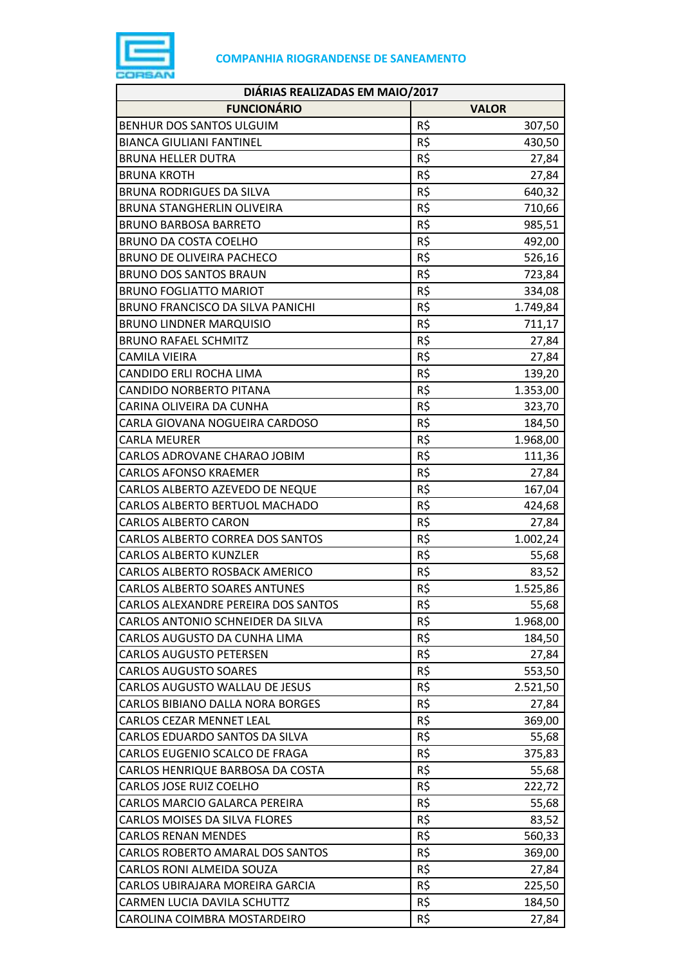

| DIÁRIAS REALIZADAS EM MAIO/2017      |     |              |
|--------------------------------------|-----|--------------|
| <b>FUNCIONÁRIO</b>                   |     | <b>VALOR</b> |
| BENHUR DOS SANTOS ULGUIM             | R\$ | 307,50       |
| <b>BIANCA GIULIANI FANTINEL</b>      | R\$ | 430,50       |
| <b>BRUNA HELLER DUTRA</b>            | R\$ | 27,84        |
| <b>BRUNA KROTH</b>                   | R\$ | 27,84        |
| BRUNA RODRIGUES DA SILVA             | R\$ | 640,32       |
| <b>BRUNA STANGHERLIN OLIVEIRA</b>    | R\$ | 710,66       |
| <b>BRUNO BARBOSA BARRETO</b>         | R\$ | 985,51       |
| <b>BRUNO DA COSTA COELHO</b>         | R\$ | 492,00       |
| <b>BRUNO DE OLIVEIRA PACHECO</b>     | R\$ | 526,16       |
| <b>BRUNO DOS SANTOS BRAUN</b>        | R\$ | 723,84       |
| <b>BRUNO FOGLIATTO MARIOT</b>        | R\$ | 334,08       |
| BRUNO FRANCISCO DA SILVA PANICHI     | R\$ | 1.749,84     |
| <b>BRUNO LINDNER MARQUISIO</b>       | R\$ | 711,17       |
| <b>BRUNO RAFAEL SCHMITZ</b>          | R\$ | 27,84        |
| CAMILA VIEIRA                        | R\$ | 27,84        |
| CANDIDO ERLI ROCHA LIMA              | R\$ | 139,20       |
| CANDIDO NORBERTO PITANA              | R\$ | 1.353,00     |
| CARINA OLIVEIRA DA CUNHA             | R\$ | 323,70       |
| CARLA GIOVANA NOGUEIRA CARDOSO       | R\$ | 184,50       |
| <b>CARLA MEURER</b>                  | R\$ | 1.968,00     |
| CARLOS ADROVANE CHARAO JOBIM         | R\$ | 111,36       |
| <b>CARLOS AFONSO KRAEMER</b>         | R\$ | 27,84        |
| CARLOS ALBERTO AZEVEDO DE NEQUE      | R\$ | 167,04       |
| CARLOS ALBERTO BERTUOL MACHADO       | R\$ | 424,68       |
| <b>CARLOS ALBERTO CARON</b>          | R\$ | 27,84        |
| CARLOS ALBERTO CORREA DOS SANTOS     | R\$ | 1.002,24     |
| <b>CARLOS ALBERTO KUNZLER</b>        | R\$ | 55,68        |
| CARLOS ALBERTO ROSBACK AMERICO       | R\$ | 83,52        |
| <b>CARLOS ALBERTO SOARES ANTUNES</b> | R\$ | 1.525,86     |
| CARLOS ALEXANDRE PEREIRA DOS SANTOS  | R\$ | 55,68        |
| CARLOS ANTONIO SCHNEIDER DA SILVA    | R\$ | 1.968,00     |
| CARLOS AUGUSTO DA CUNHA LIMA         | R\$ | 184,50       |
| <b>CARLOS AUGUSTO PETERSEN</b>       | R\$ | 27,84        |
| <b>CARLOS AUGUSTO SOARES</b>         | R\$ | 553,50       |
| CARLOS AUGUSTO WALLAU DE JESUS       | R\$ | 2.521,50     |
| CARLOS BIBIANO DALLA NORA BORGES     | R\$ | 27,84        |
| CARLOS CEZAR MENNET LEAL             | R\$ | 369,00       |
| CARLOS EDUARDO SANTOS DA SILVA       | R\$ | 55,68        |
| CARLOS EUGENIO SCALCO DE FRAGA       | R\$ | 375,83       |
| CARLOS HENRIQUE BARBOSA DA COSTA     | R\$ | 55,68        |
| <b>CARLOS JOSE RUIZ COELHO</b>       | R\$ | 222,72       |
| CARLOS MARCIO GALARCA PEREIRA        | R\$ | 55,68        |
| CARLOS MOISES DA SILVA FLORES        | R\$ | 83,52        |
| <b>CARLOS RENAN MENDES</b>           | R\$ | 560,33       |
| CARLOS ROBERTO AMARAL DOS SANTOS     | R\$ | 369,00       |
| CARLOS RONI ALMEIDA SOUZA            | R\$ | 27,84        |
| CARLOS UBIRAJARA MOREIRA GARCIA      | R\$ | 225,50       |
| CARMEN LUCIA DAVILA SCHUTTZ          | R\$ | 184,50       |
| CAROLINA COIMBRA MOSTARDEIRO         | R\$ | 27,84        |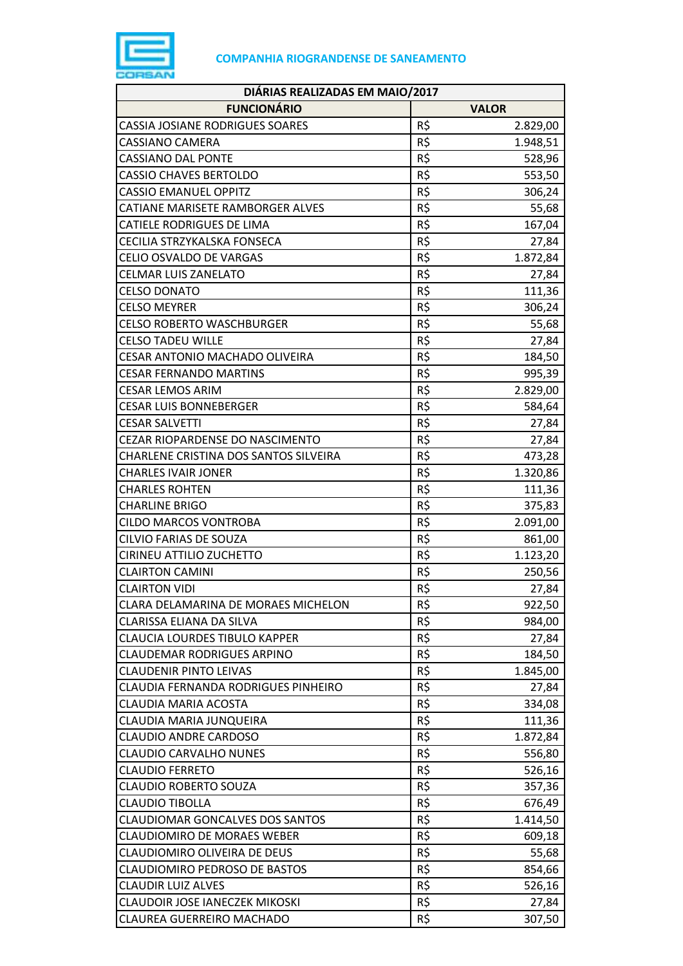

| DIÁRIAS REALIZADAS EM MAIO/2017        |     |              |
|----------------------------------------|-----|--------------|
| <b>FUNCIONÁRIO</b>                     |     | <b>VALOR</b> |
| <b>CASSIA JOSIANE RODRIGUES SOARES</b> | R\$ | 2.829,00     |
| <b>CASSIANO CAMERA</b>                 | R\$ | 1.948,51     |
| <b>CASSIANO DAL PONTE</b>              | R\$ | 528,96       |
| <b>CASSIO CHAVES BERTOLDO</b>          | R\$ | 553,50       |
| <b>CASSIO EMANUEL OPPITZ</b>           | R\$ | 306,24       |
| CATIANE MARISETE RAMBORGER ALVES       | R\$ | 55,68        |
| <b>CATIELE RODRIGUES DE LIMA</b>       | R\$ | 167,04       |
| CECILIA STRZYKALSKA FONSECA            | R\$ | 27,84        |
| CELIO OSVALDO DE VARGAS                | R\$ | 1.872,84     |
| <b>CELMAR LUIS ZANELATO</b>            | R\$ | 27,84        |
| <b>CELSO DONATO</b>                    | R\$ | 111,36       |
| <b>CELSO MEYRER</b>                    | R\$ | 306,24       |
| <b>CELSO ROBERTO WASCHBURGER</b>       | R\$ | 55,68        |
| <b>CELSO TADEU WILLE</b>               | R\$ | 27,84        |
| CESAR ANTONIO MACHADO OLIVEIRA         | R\$ | 184,50       |
| <b>CESAR FERNANDO MARTINS</b>          | R\$ | 995,39       |
| <b>CESAR LEMOS ARIM</b>                | R\$ | 2.829,00     |
| <b>CESAR LUIS BONNEBERGER</b>          | R\$ | 584,64       |
| <b>CESAR SALVETTI</b>                  | R\$ | 27,84        |
| CEZAR RIOPARDENSE DO NASCIMENTO        | R\$ | 27,84        |
| CHARLENE CRISTINA DOS SANTOS SILVEIRA  | R\$ | 473,28       |
| <b>CHARLES IVAIR JONER</b>             | R\$ | 1.320,86     |
| <b>CHARLES ROHTEN</b>                  | R\$ | 111,36       |
| <b>CHARLINE BRIGO</b>                  | R\$ | 375,83       |
| <b>CILDO MARCOS VONTROBA</b>           | R\$ | 2.091,00     |
| CILVIO FARIAS DE SOUZA                 | R\$ | 861,00       |
| CIRINEU ATTILIO ZUCHETTO               | R\$ | 1.123,20     |
| <b>CLAIRTON CAMINI</b>                 | R\$ | 250,56       |
| <b>CLAIRTON VIDI</b>                   | R\$ | 27,84        |
| CLARA DELAMARINA DE MORAES MICHELON    | R\$ | 922,50       |
| CLARISSA ELIANA DA SILVA               | R\$ | 984,00       |
| <b>CLAUCIA LOURDES TIBULO KAPPER</b>   | R\$ | 27,84        |
| <b>CLAUDEMAR RODRIGUES ARPINO</b>      | R\$ | 184,50       |
| <b>CLAUDENIR PINTO LEIVAS</b>          | R\$ | 1.845,00     |
| CLAUDIA FERNANDA RODRIGUES PINHEIRO    | R\$ | 27,84        |
| <b>CLAUDIA MARIA ACOSTA</b>            | R\$ | 334,08       |
| CLAUDIA MARIA JUNQUEIRA                | R\$ | 111,36       |
| CLAUDIO ANDRE CARDOSO                  | R\$ | 1.872,84     |
| <b>CLAUDIO CARVALHO NUNES</b>          | R\$ | 556,80       |
| <b>CLAUDIO FERRETO</b>                 | R\$ | 526,16       |
| <b>CLAUDIO ROBERTO SOUZA</b>           | R\$ | 357,36       |
| <b>CLAUDIO TIBOLLA</b>                 | R\$ | 676,49       |
| <b>CLAUDIOMAR GONCALVES DOS SANTOS</b> | R\$ | 1.414,50     |
| <b>CLAUDIOMIRO DE MORAES WEBER</b>     | R\$ | 609,18       |
| CLAUDIOMIRO OLIVEIRA DE DEUS           | R\$ | 55,68        |
| <b>CLAUDIOMIRO PEDROSO DE BASTOS</b>   | R\$ | 854,66       |
| <b>CLAUDIR LUIZ ALVES</b>              | R\$ | 526,16       |
| <b>CLAUDOIR JOSE IANECZEK MIKOSKI</b>  | R\$ | 27,84        |
| CLAUREA GUERREIRO MACHADO              | R\$ | 307,50       |
|                                        |     |              |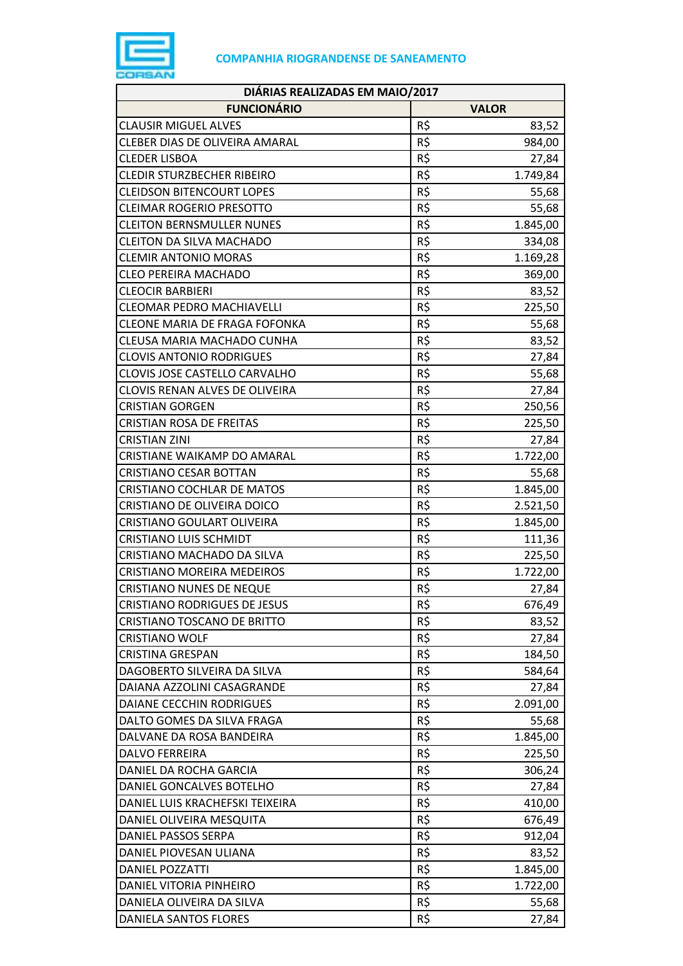

| DIÁRIAS REALIZADAS EM MAIO/2017      |     |              |
|--------------------------------------|-----|--------------|
| <b>FUNCIONÁRIO</b>                   |     | <b>VALOR</b> |
| <b>CLAUSIR MIGUEL ALVES</b>          | R\$ | 83,52        |
| CLEBER DIAS DE OLIVEIRA AMARAL       | R\$ | 984,00       |
| <b>CLEDER LISBOA</b>                 | R\$ | 27,84        |
| <b>CLEDIR STURZBECHER RIBEIRO</b>    | R\$ | 1.749,84     |
| <b>CLEIDSON BITENCOURT LOPES</b>     | R\$ | 55,68        |
| <b>CLEIMAR ROGERIO PRESOTTO</b>      | R\$ | 55,68        |
| <b>CLEITON BERNSMULLER NUNES</b>     | R\$ | 1.845,00     |
| <b>CLEITON DA SILVA MACHADO</b>      | R\$ | 334,08       |
| <b>CLEMIR ANTONIO MORAS</b>          | R\$ | 1.169,28     |
| <b>CLEO PEREIRA MACHADO</b>          | R\$ | 369,00       |
| <b>CLEOCIR BARBIERI</b>              | R\$ | 83,52        |
| <b>CLEOMAR PEDRO MACHIAVELLI</b>     | R\$ | 225,50       |
| <b>CLEONE MARIA DE FRAGA FOFONKA</b> | R\$ | 55,68        |
| CLEUSA MARIA MACHADO CUNHA           | R\$ | 83,52        |
| <b>CLOVIS ANTONIO RODRIGUES</b>      | R\$ | 27,84        |
| CLOVIS JOSE CASTELLO CARVALHO        | R\$ | 55,68        |
| CLOVIS RENAN ALVES DE OLIVEIRA       | R\$ | 27,84        |
| <b>CRISTIAN GORGEN</b>               | R\$ | 250,56       |
| <b>CRISTIAN ROSA DE FREITAS</b>      | R\$ | 225,50       |
| <b>CRISTIAN ZINI</b>                 | R\$ | 27,84        |
| CRISTIANE WAIKAMP DO AMARAL          | R\$ | 1.722,00     |
| <b>CRISTIANO CESAR BOTTAN</b>        | R\$ | 55,68        |
| <b>CRISTIANO COCHLAR DE MATOS</b>    | R\$ | 1.845,00     |
| CRISTIANO DE OLIVEIRA DOICO          | R\$ | 2.521,50     |
| <b>CRISTIANO GOULART OLIVEIRA</b>    | R\$ | 1.845,00     |
| <b>CRISTIANO LUIS SCHMIDT</b>        | R\$ | 111,36       |
| CRISTIANO MACHADO DA SILVA           | R\$ | 225,50       |
| <b>CRISTIANO MOREIRA MEDEIROS</b>    | R\$ | 1.722,00     |
| <b>CRISTIANO NUNES DE NEQUE</b>      | R\$ | 27,84        |
| <b>CRISTIANO RODRIGUES DE JESUS</b>  | R\$ | 676,49       |
| CRISTIANO TOSCANO DE BRITTO          | R\$ | 83,52        |
| <b>CRISTIANO WOLF</b>                | R\$ | 27,84        |
| <b>CRISTINA GRESPAN</b>              | R\$ | 184,50       |
| DAGOBERTO SILVEIRA DA SILVA          | R\$ | 584,64       |
| DAIANA AZZOLINI CASAGRANDE           | R\$ | 27,84        |
| DAIANE CECCHIN RODRIGUES             | R\$ | 2.091,00     |
| DALTO GOMES DA SILVA FRAGA           | R\$ | 55,68        |
| DALVANE DA ROSA BANDEIRA             | R\$ | 1.845,00     |
| <b>DALVO FERREIRA</b>                | R\$ | 225,50       |
| DANIEL DA ROCHA GARCIA               | R\$ | 306,24       |
| DANIEL GONCALVES BOTELHO             | R\$ | 27,84        |
| DANIEL LUIS KRACHEFSKI TEIXEIRA      | R\$ | 410,00       |
| DANIEL OLIVEIRA MESQUITA             | R\$ | 676,49       |
| DANIEL PASSOS SERPA                  | R\$ | 912,04       |
| DANIEL PIOVESAN ULIANA               | R\$ | 83,52        |
| DANIEL POZZATTI                      | R\$ | 1.845,00     |
| DANIEL VITORIA PINHEIRO              | R\$ | 1.722,00     |
| DANIELA OLIVEIRA DA SILVA            | R\$ | 55,68        |
| DANIELA SANTOS FLORES                | R\$ | 27,84        |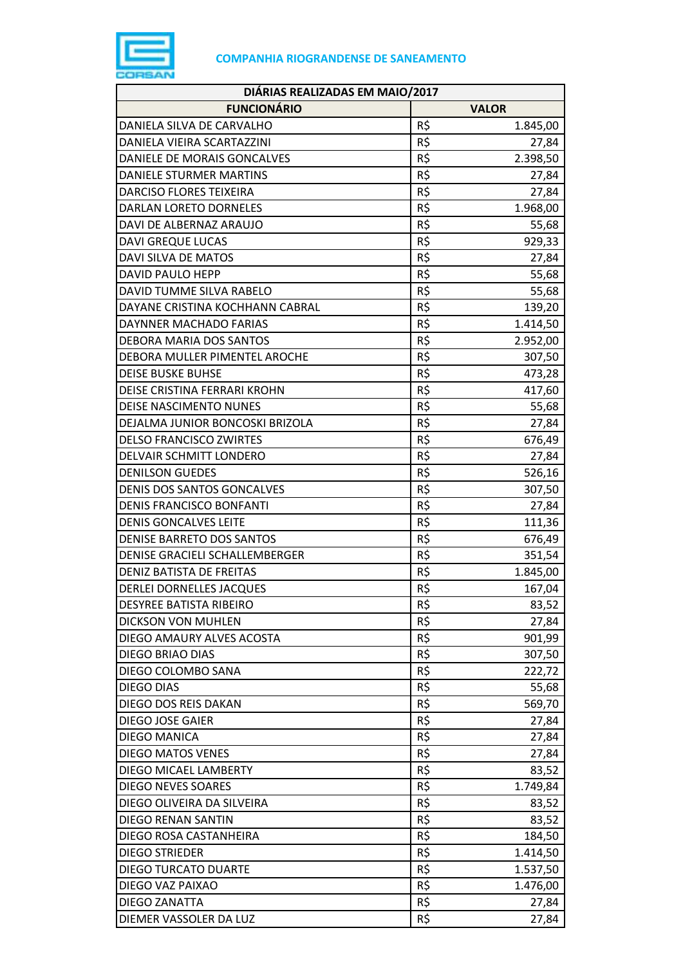

| DIÁRIAS REALIZADAS EM MAIO/2017 |                 |  |
|---------------------------------|-----------------|--|
| <b>FUNCIONÁRIO</b>              | <b>VALOR</b>    |  |
| DANIELA SILVA DE CARVALHO       | R\$<br>1.845,00 |  |
| DANIELA VIEIRA SCARTAZZINI      | R\$<br>27,84    |  |
| DANIELE DE MORAIS GONCALVES     | R\$<br>2.398,50 |  |
| DANIELE STURMER MARTINS         | R\$<br>27,84    |  |
| <b>DARCISO FLORES TEIXEIRA</b>  | R\$<br>27,84    |  |
| DARLAN LORETO DORNELES          | R\$<br>1.968,00 |  |
| DAVI DE ALBERNAZ ARAUJO         | R\$<br>55,68    |  |
| <b>DAVI GREQUE LUCAS</b>        | R\$<br>929,33   |  |
| DAVI SILVA DE MATOS             | R\$<br>27,84    |  |
| DAVID PAULO HEPP                | R\$<br>55,68    |  |
| DAVID TUMME SILVA RABELO        | R\$<br>55,68    |  |
| DAYANE CRISTINA KOCHHANN CABRAL | R\$<br>139,20   |  |
| DAYNNER MACHADO FARIAS          | R\$<br>1.414,50 |  |
| DEBORA MARIA DOS SANTOS         | R\$<br>2.952,00 |  |
| DEBORA MULLER PIMENTEL AROCHE   | R\$<br>307,50   |  |
| <b>DEISE BUSKE BUHSE</b>        | R\$<br>473,28   |  |
| DEISE CRISTINA FERRARI KROHN    | R\$<br>417,60   |  |
| <b>DEISE NASCIMENTO NUNES</b>   | R\$<br>55,68    |  |
| DEJALMA JUNIOR BONCOSKI BRIZOLA | R\$<br>27,84    |  |
| <b>DELSO FRANCISCO ZWIRTES</b>  | R\$<br>676,49   |  |
| DELVAIR SCHMITT LONDERO         | R\$<br>27,84    |  |
| <b>DENILSON GUEDES</b>          | R\$<br>526,16   |  |
| DENIS DOS SANTOS GONCALVES      | R\$<br>307,50   |  |
| DENIS FRANCISCO BONFANTI        | R\$<br>27,84    |  |
| <b>DENIS GONCALVES LEITE</b>    | R\$<br>111,36   |  |
| DENISE BARRETO DOS SANTOS       | R\$<br>676,49   |  |
| DENISE GRACIELI SCHALLEMBERGER  | R\$<br>351,54   |  |
| DENIZ BATISTA DE FREITAS        | R\$<br>1.845,00 |  |
| DERLEI DORNELLES JACQUES        | R\$<br>167,04   |  |
| DESYREE BATISTA RIBEIRO         | R\$<br>83,52    |  |
| <b>DICKSON VON MUHLEN</b>       | R\$<br>27,84    |  |
| DIEGO AMAURY ALVES ACOSTA       | R\$<br>901,99   |  |
| DIEGO BRIAO DIAS                | R\$<br>307,50   |  |
| DIEGO COLOMBO SANA              | R\$<br>222,72   |  |
| <b>DIEGO DIAS</b>               | R\$<br>55,68    |  |
| DIEGO DOS REIS DAKAN            | R\$<br>569,70   |  |
| DIEGO JOSE GAIER                | R\$<br>27,84    |  |
| <b>DIEGO MANICA</b>             | R\$<br>27,84    |  |
| <b>DIEGO MATOS VENES</b>        | R\$<br>27,84    |  |
| DIEGO MICAEL LAMBERTY           | R\$<br>83,52    |  |
| <b>DIEGO NEVES SOARES</b>       | R\$<br>1.749,84 |  |
| DIEGO OLIVEIRA DA SILVEIRA      | R\$<br>83,52    |  |
| DIEGO RENAN SANTIN              | R\$<br>83,52    |  |
| DIEGO ROSA CASTANHEIRA          | R\$<br>184,50   |  |
| <b>DIEGO STRIEDER</b>           | R\$<br>1.414,50 |  |
| <b>DIEGO TURCATO DUARTE</b>     | R\$<br>1.537,50 |  |
| DIEGO VAZ PAIXAO                | R\$<br>1.476,00 |  |
| DIEGO ZANATTA                   | R\$<br>27,84    |  |
| DIEMER VASSOLER DA LUZ          | R\$<br>27,84    |  |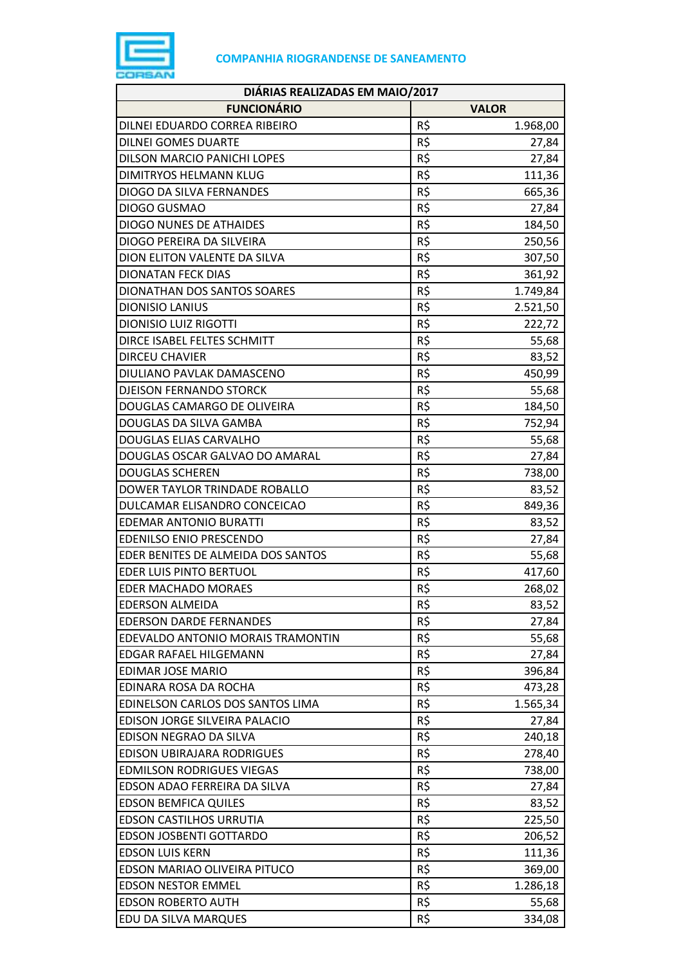

| DIÁRIAS REALIZADAS EM MAIO/2017    |     |              |
|------------------------------------|-----|--------------|
| <b>FUNCIONÁRIO</b>                 |     | <b>VALOR</b> |
| DILNEI EDUARDO CORREA RIBEIRO      | R\$ | 1.968,00     |
| <b>DILNEI GOMES DUARTE</b>         | R\$ | 27,84        |
| DILSON MARCIO PANICHI LOPES        | R\$ | 27,84        |
| DIMITRYOS HELMANN KLUG             | R\$ | 111,36       |
| DIOGO DA SILVA FERNANDES           | R\$ | 665,36       |
| DIOGO GUSMAO                       | R\$ | 27,84        |
| <b>DIOGO NUNES DE ATHAIDES</b>     | R\$ | 184,50       |
| DIOGO PEREIRA DA SILVEIRA          | R\$ | 250,56       |
| DION ELITON VALENTE DA SILVA       | R\$ | 307,50       |
| <b>DIONATAN FECK DIAS</b>          | R\$ | 361,92       |
| DIONATHAN DOS SANTOS SOARES        | R\$ | 1.749,84     |
| <b>DIONISIO LANIUS</b>             | R\$ | 2.521,50     |
| <b>DIONISIO LUIZ RIGOTTI</b>       | R\$ | 222,72       |
| DIRCE ISABEL FELTES SCHMITT        | R\$ | 55,68        |
| <b>DIRCEU CHAVIER</b>              | R\$ | 83,52        |
| DIULIANO PAVLAK DAMASCENO          | R\$ | 450,99       |
| <b>DJEISON FERNANDO STORCK</b>     | R\$ | 55,68        |
| DOUGLAS CAMARGO DE OLIVEIRA        | R\$ | 184,50       |
| DOUGLAS DA SILVA GAMBA             | R\$ | 752,94       |
| DOUGLAS ELIAS CARVALHO             | R\$ | 55,68        |
| DOUGLAS OSCAR GALVAO DO AMARAL     | R\$ | 27,84        |
| <b>DOUGLAS SCHEREN</b>             | R\$ | 738,00       |
| DOWER TAYLOR TRINDADE ROBALLO      | R\$ | 83,52        |
| DULCAMAR ELISANDRO CONCEICAO       | R\$ | 849,36       |
| <b>EDEMAR ANTONIO BURATTI</b>      | R\$ | 83,52        |
| <b>EDENILSO ENIO PRESCENDO</b>     | R\$ | 27,84        |
| EDER BENITES DE ALMEIDA DOS SANTOS | R\$ | 55,68        |
| EDER LUIS PINTO BERTUOL            | R\$ | 417,60       |
| <b>EDER MACHADO MORAES</b>         | R\$ | 268,02       |
| <b>EDERSON ALMEIDA</b>             | R\$ | 83,52        |
| <b>EDERSON DARDE FERNANDES</b>     | R\$ | 27,84        |
| EDEVALDO ANTONIO MORAIS TRAMONTIN  | R\$ | 55,68        |
| EDGAR RAFAEL HILGEMANN             | R\$ | 27,84        |
| EDIMAR JOSE MARIO                  | R\$ | 396,84       |
| EDINARA ROSA DA ROCHA              | R\$ | 473,28       |
| EDINELSON CARLOS DOS SANTOS LIMA   | R\$ | 1.565,34     |
| EDISON JORGE SILVEIRA PALACIO      | R\$ | 27,84        |
| EDISON NEGRAO DA SILVA             | R\$ | 240,18       |
| EDISON UBIRAJARA RODRIGUES         | R\$ | 278,40       |
| <b>EDMILSON RODRIGUES VIEGAS</b>   | R\$ | 738,00       |
| EDSON ADAO FERREIRA DA SILVA       | R\$ | 27,84        |
| <b>EDSON BEMFICA QUILES</b>        | R\$ | 83,52        |
| <b>EDSON CASTILHOS URRUTIA</b>     | R\$ | 225,50       |
| <b>EDSON JOSBENTI GOTTARDO</b>     | R\$ | 206,52       |
| <b>EDSON LUIS KERN</b>             | R\$ | 111,36       |
| EDSON MARIAO OLIVEIRA PITUCO       | R\$ | 369,00       |
| <b>EDSON NESTOR EMMEL</b>          | R\$ | 1.286,18     |
| <b>EDSON ROBERTO AUTH</b>          | R\$ | 55,68        |
| EDU DA SILVA MARQUES               | R\$ | 334,08       |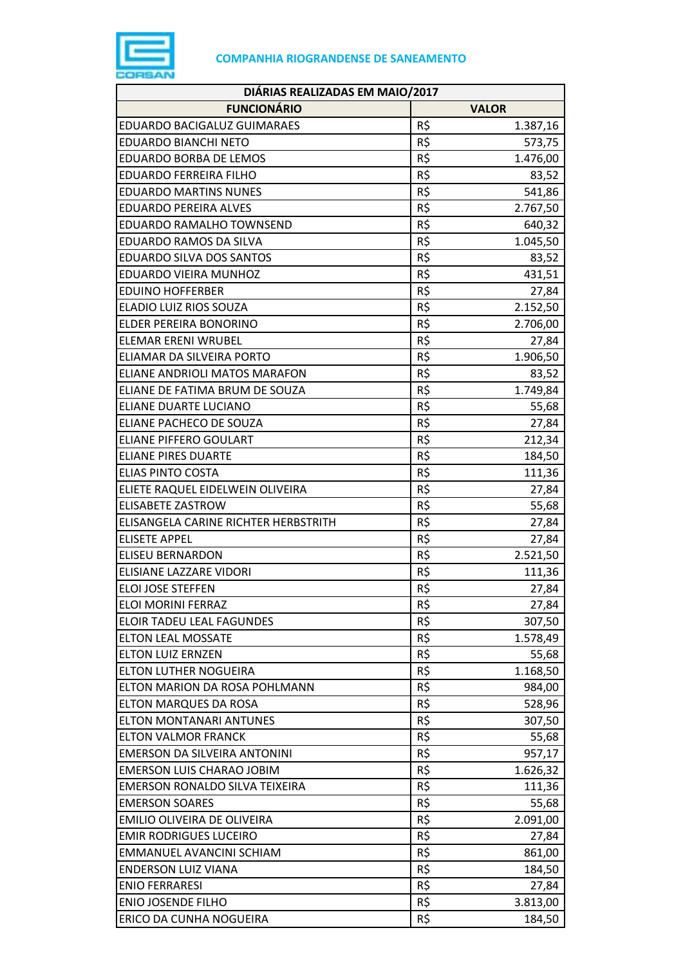

| DIÁRIAS REALIZADAS EM MAIO/2017       |                 |  |
|---------------------------------------|-----------------|--|
| <b>FUNCIONÁRIO</b>                    | <b>VALOR</b>    |  |
| <b>EDUARDO BACIGALUZ GUIMARAES</b>    | R\$<br>1.387,16 |  |
| <b>EDUARDO BIANCHI NETO</b>           | R\$<br>573,75   |  |
| <b>EDUARDO BORBA DE LEMOS</b>         | R\$<br>1.476,00 |  |
| <b>EDUARDO FERREIRA FILHO</b>         | R\$<br>83,52    |  |
| <b>EDUARDO MARTINS NUNES</b>          | R\$<br>541,86   |  |
| <b>EDUARDO PEREIRA ALVES</b>          | R\$<br>2.767,50 |  |
| EDUARDO RAMALHO TOWNSEND              | R\$<br>640,32   |  |
| EDUARDO RAMOS DA SILVA                | R\$<br>1.045,50 |  |
| <b>EDUARDO SILVA DOS SANTOS</b>       | R\$<br>83,52    |  |
| EDUARDO VIEIRA MUNHOZ                 | R\$<br>431,51   |  |
| <b>EDUINO HOFFERBER</b>               | R\$<br>27,84    |  |
| ELADIO LUIZ RIOS SOUZA                | R\$<br>2.152,50 |  |
| ELDER PEREIRA BONORINO                | R\$<br>2.706,00 |  |
| <b>ELEMAR ERENI WRUBEL</b>            | R\$<br>27,84    |  |
| ELIAMAR DA SILVEIRA PORTO             | R\$<br>1.906,50 |  |
| <b>ELIANE ANDRIOLI MATOS MARAFON</b>  | R\$<br>83,52    |  |
| ELIANE DE FATIMA BRUM DE SOUZA        | R\$<br>1.749,84 |  |
| ELIANE DUARTE LUCIANO                 | R\$<br>55,68    |  |
| ELIANE PACHECO DE SOUZA               | R\$<br>27,84    |  |
| <b>ELIANE PIFFERO GOULART</b>         | R\$<br>212,34   |  |
| <b>ELIANE PIRES DUARTE</b>            | R\$<br>184,50   |  |
| <b>ELIAS PINTO COSTA</b>              | R\$<br>111,36   |  |
| ELIETE RAQUEL EIDELWEIN OLIVEIRA      | R\$<br>27,84    |  |
| <b>ELISABETE ZASTROW</b>              | R\$<br>55,68    |  |
| ELISANGELA CARINE RICHTER HERBSTRITH  | R\$<br>27,84    |  |
| <b>ELISETE APPEL</b>                  | R\$<br>27,84    |  |
| <b>ELISEU BERNARDON</b>               | R\$<br>2.521,50 |  |
| ELISIANE LAZZARE VIDORI               | R\$<br>111,36   |  |
| <b>ELOI JOSE STEFFEN</b>              | R\$<br>27,84    |  |
| ELOI MORINI FERRAZ                    | R\$<br>27,84    |  |
| <b>ELOIR TADEU LEAL FAGUNDES</b>      | R\$<br>307,50   |  |
| <b>ELTON LEAL MOSSATE</b>             | R\$<br>1.578,49 |  |
| <b>ELTON LUIZ ERNZEN</b>              | R\$<br>55,68    |  |
| ELTON LUTHER NOGUEIRA                 | R\$<br>1.168,50 |  |
| ELTON MARION DA ROSA POHLMANN         | R\$<br>984,00   |  |
| ELTON MARQUES DA ROSA                 | R\$<br>528,96   |  |
| <b>ELTON MONTANARI ANTUNES</b>        | R\$<br>307,50   |  |
| <b>ELTON VALMOR FRANCK</b>            | R\$<br>55,68    |  |
| EMERSON DA SILVEIRA ANTONINI          | R\$<br>957,17   |  |
| <b>EMERSON LUIS CHARAO JOBIM</b>      | R\$<br>1.626,32 |  |
| <b>EMERSON RONALDO SILVA TEIXEIRA</b> | R\$<br>111,36   |  |
| <b>EMERSON SOARES</b>                 | R\$<br>55,68    |  |
| EMILIO OLIVEIRA DE OLIVEIRA           | R\$<br>2.091,00 |  |
| <b>EMIR RODRIGUES LUCEIRO</b>         | R\$<br>27,84    |  |
| EMMANUEL AVANCINI SCHIAM              | R\$<br>861,00   |  |
| <b>ENDERSON LUIZ VIANA</b>            | R\$<br>184,50   |  |
| <b>ENIO FERRARESI</b>                 | R\$<br>27,84    |  |
| <b>ENIO JOSENDE FILHO</b>             | R\$<br>3.813,00 |  |
| ERICO DA CUNHA NOGUEIRA               | R\$<br>184,50   |  |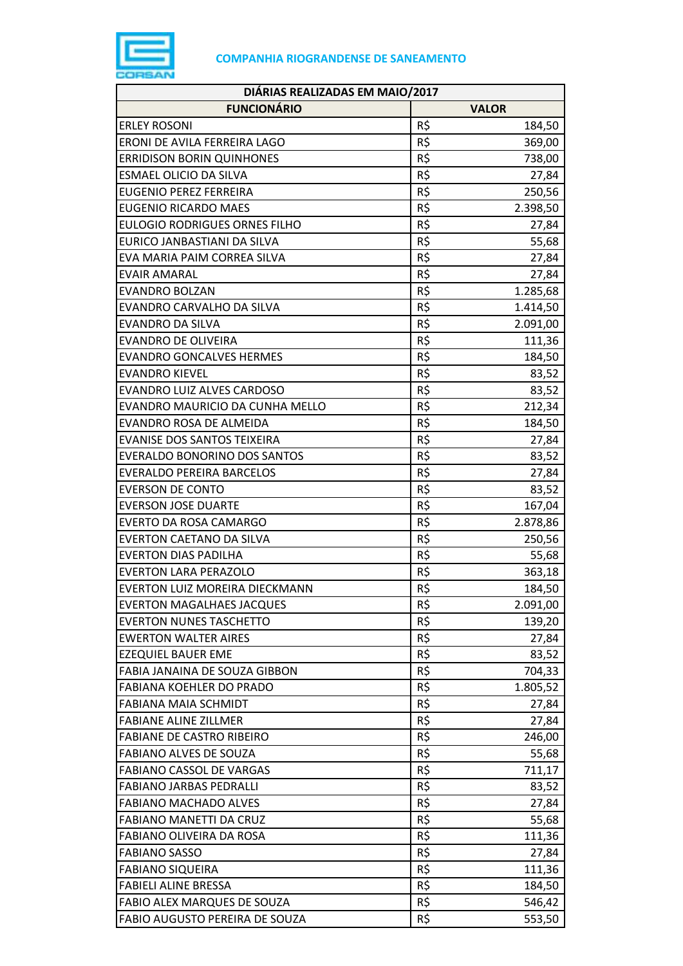

| DIÁRIAS REALIZADAS EM MAIO/2017      |     |              |
|--------------------------------------|-----|--------------|
| <b>FUNCIONÁRIO</b>                   |     | <b>VALOR</b> |
| <b>ERLEY ROSONI</b>                  | R\$ | 184,50       |
| ERONI DE AVILA FERREIRA LAGO         | R\$ | 369,00       |
| <b>ERRIDISON BORIN QUINHONES</b>     | R\$ | 738,00       |
| <b>ESMAEL OLICIO DA SILVA</b>        | R\$ | 27,84        |
| <b>EUGENIO PEREZ FERREIRA</b>        | R\$ | 250,56       |
| <b>EUGENIO RICARDO MAES</b>          | R\$ | 2.398,50     |
| <b>EULOGIO RODRIGUES ORNES FILHO</b> | R\$ | 27,84        |
| EURICO JANBASTIANI DA SILVA          | R\$ | 55,68        |
| EVA MARIA PAIM CORREA SILVA          | R\$ | 27,84        |
| <b>EVAIR AMARAL</b>                  | R\$ | 27,84        |
| <b>EVANDRO BOLZAN</b>                | R\$ | 1.285,68     |
| EVANDRO CARVALHO DA SILVA            | R\$ | 1.414,50     |
| <b>EVANDRO DA SILVA</b>              | R\$ | 2.091,00     |
| <b>EVANDRO DE OLIVEIRA</b>           | R\$ | 111,36       |
| <b>EVANDRO GONCALVES HERMES</b>      | R\$ | 184,50       |
| <b>EVANDRO KIEVEL</b>                | R\$ | 83,52        |
| EVANDRO LUIZ ALVES CARDOSO           | R\$ | 83,52        |
| EVANDRO MAURICIO DA CUNHA MELLO      | R\$ | 212,34       |
| EVANDRO ROSA DE ALMEIDA              | R\$ | 184,50       |
| EVANISE DOS SANTOS TEIXEIRA          | R\$ | 27,84        |
| EVERALDO BONORINO DOS SANTOS         | R\$ | 83,52        |
| <b>EVERALDO PEREIRA BARCELOS</b>     | R\$ | 27,84        |
| <b>EVERSON DE CONTO</b>              | R\$ | 83,52        |
| <b>EVERSON JOSE DUARTE</b>           | R\$ | 167,04       |
| EVERTO DA ROSA CAMARGO               | R\$ | 2.878,86     |
| <b>EVERTON CAETANO DA SILVA</b>      | R\$ | 250,56       |
| <b>EVERTON DIAS PADILHA</b>          | R\$ | 55,68        |
| <b>EVERTON LARA PERAZOLO</b>         | R\$ | 363,18       |
| EVERTON LUIZ MOREIRA DIECKMANN       | R\$ | 184,50       |
| <b>EVERTON MAGALHAES JACQUES</b>     | R\$ | 2.091,00     |
| <b>EVERTON NUNES TASCHETTO</b>       | R\$ | 139,20       |
| <b>EWERTON WALTER AIRES</b>          | R\$ | 27,84        |
| <b>EZEQUIEL BAUER EME</b>            | R\$ | 83,52        |
| FABIA JANAINA DE SOUZA GIBBON        | R\$ | 704,33       |
| <b>FABIANA KOEHLER DO PRADO</b>      | R\$ | 1.805,52     |
| <b>FABIANA MAIA SCHMIDT</b>          | R\$ | 27,84        |
| <b>FABIANE ALINE ZILLMER</b>         | R\$ | 27,84        |
| <b>FABIANE DE CASTRO RIBEIRO</b>     | R\$ | 246,00       |
| FABIANO ALVES DE SOUZA               | R\$ | 55,68        |
| FABIANO CASSOL DE VARGAS             | R\$ | 711,17       |
| <b>FABIANO JARBAS PEDRALLI</b>       | R\$ | 83,52        |
| <b>FABIANO MACHADO ALVES</b>         | R\$ | 27,84        |
| FABIANO MANETTI DA CRUZ              | R\$ | 55,68        |
| FABIANO OLIVEIRA DA ROSA             | R\$ | 111,36       |
| <b>FABIANO SASSO</b>                 | R\$ | 27,84        |
| <b>FABIANO SIQUEIRA</b>              | R\$ | 111,36       |
| <b>FABIELI ALINE BRESSA</b>          | R\$ | 184,50       |
| FABIO ALEX MARQUES DE SOUZA          | R\$ | 546,42       |
| FABIO AUGUSTO PEREIRA DE SOUZA       | R\$ | 553,50       |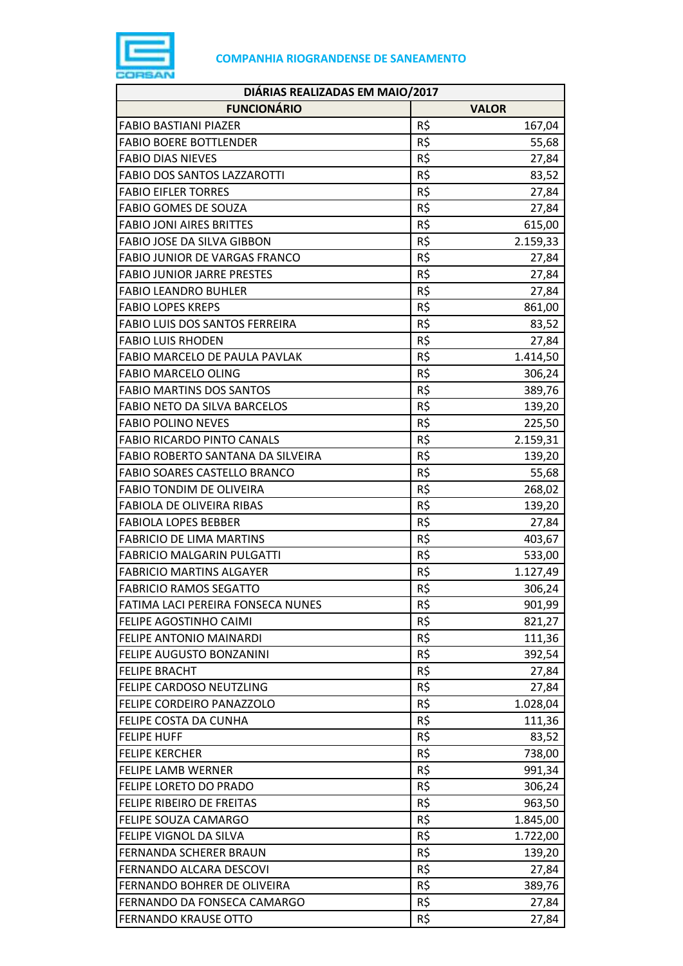

| DIÁRIAS REALIZADAS EM MAIO/2017      |              |          |
|--------------------------------------|--------------|----------|
| <b>FUNCIONÁRIO</b>                   | <b>VALOR</b> |          |
| <b>FABIO BASTIANI PIAZER</b>         | R\$          | 167,04   |
| <b>FABIO BOERE BOTTLENDER</b>        | R\$          | 55,68    |
| <b>FABIO DIAS NIEVES</b>             | R\$          | 27,84    |
| <b>FABIO DOS SANTOS LAZZAROTTI</b>   | R\$          | 83,52    |
| <b>FABIO EIFLER TORRES</b>           | R\$          | 27,84    |
| <b>FABIO GOMES DE SOUZA</b>          | R\$          | 27,84    |
| <b>FABIO JONI AIRES BRITTES</b>      | R\$          | 615,00   |
| FABIO JOSE DA SILVA GIBBON           | R\$          | 2.159,33 |
| <b>FABIO JUNIOR DE VARGAS FRANCO</b> | R\$          | 27,84    |
| <b>FABIO JUNIOR JARRE PRESTES</b>    | R\$          | 27,84    |
| <b>FABIO LEANDRO BUHLER</b>          | R\$          | 27,84    |
| <b>FABIO LOPES KREPS</b>             | R\$          | 861,00   |
| FABIO LUIS DOS SANTOS FERREIRA       | R\$          | 83,52    |
| <b>FABIO LUIS RHODEN</b>             | R\$          | 27,84    |
| FABIO MARCELO DE PAULA PAVLAK        | R\$          | 1.414,50 |
| <b>FABIO MARCELO OLING</b>           | R\$          | 306,24   |
| <b>FABIO MARTINS DOS SANTOS</b>      | R\$          | 389,76   |
| <b>FABIO NETO DA SILVA BARCELOS</b>  | R\$          | 139,20   |
| <b>FABIO POLINO NEVES</b>            | R\$          | 225,50   |
| <b>FABIO RICARDO PINTO CANALS</b>    | R\$          | 2.159,31 |
| FABIO ROBERTO SANTANA DA SILVEIRA    | R\$          | 139,20   |
| FABIO SOARES CASTELLO BRANCO         | R\$          | 55,68    |
| <b>FABIO TONDIM DE OLIVEIRA</b>      | R\$          | 268,02   |
| <b>FABIOLA DE OLIVEIRA RIBAS</b>     | R\$          | 139,20   |
| <b>FABIOLA LOPES BEBBER</b>          | R\$          | 27,84    |
| <b>FABRICIO DE LIMA MARTINS</b>      | R\$          | 403,67   |
| <b>FABRICIO MALGARIN PULGATTI</b>    | R\$          | 533,00   |
| <b>FABRICIO MARTINS ALGAYER</b>      | R\$          | 1.127,49 |
| <b>FABRICIO RAMOS SEGATTO</b>        | R\$          | 306,24   |
| FATIMA LACI PEREIRA FONSECA NUNES    | R\$          | 901,99   |
| FELIPE AGOSTINHO CAIMI               | R\$          | 821,27   |
| FELIPE ANTONIO MAINARDI              | R\$          | 111,36   |
| FELIPE AUGUSTO BONZANINI             | R\$          | 392,54   |
| <b>FELIPE BRACHT</b>                 | R\$          | 27,84    |
| FELIPE CARDOSO NEUTZLING             | R\$          | 27,84    |
| FELIPE CORDEIRO PANAZZOLO            | R\$          | 1.028,04 |
| FELIPE COSTA DA CUNHA                | R\$          | 111,36   |
| <b>FELIPE HUFF</b>                   | R\$          | 83,52    |
| <b>FELIPE KERCHER</b>                | R\$          | 738,00   |
| <b>FELIPE LAMB WERNER</b>            | R\$          | 991,34   |
| FELIPE LORETO DO PRADO               | R\$          | 306,24   |
| FELIPE RIBEIRO DE FREITAS            | R\$          | 963,50   |
| FELIPE SOUZA CAMARGO                 | R\$          | 1.845,00 |
| FELIPE VIGNOL DA SILVA               | R\$          | 1.722,00 |
| FERNANDA SCHERER BRAUN               | R\$          | 139,20   |
| FERNANDO ALCARA DESCOVI              | R\$          | 27,84    |
| FERNANDO BOHRER DE OLIVEIRA          | R\$          | 389,76   |
| FERNANDO DA FONSECA CAMARGO          | R\$          | 27,84    |
| <b>FERNANDO KRAUSE OTTO</b>          | R\$          | 27,84    |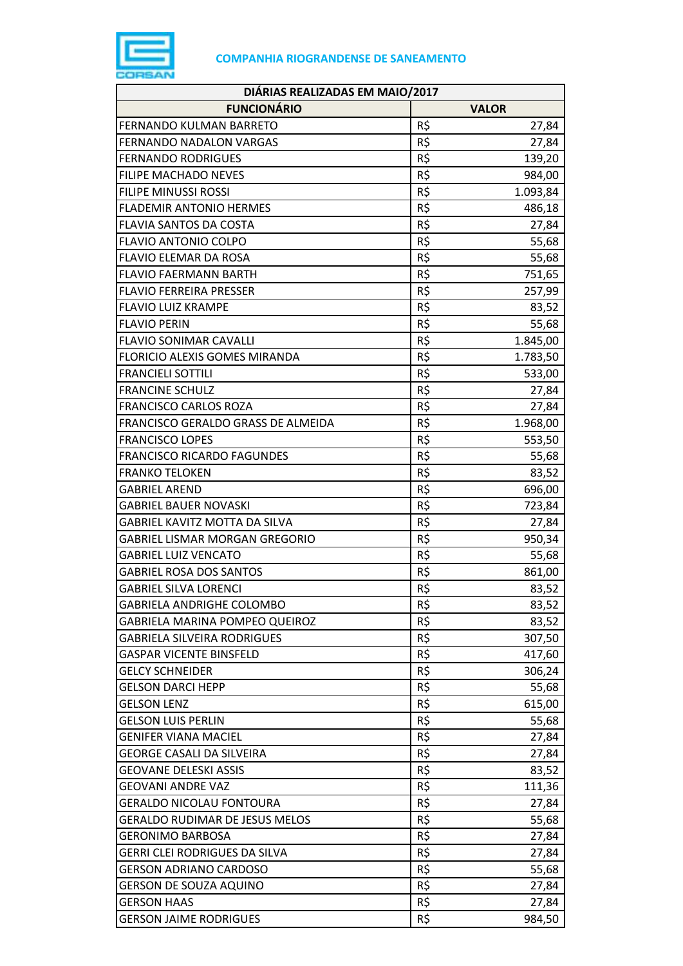

| DIÁRIAS REALIZADAS EM MAIO/2017       |                 |  |
|---------------------------------------|-----------------|--|
| <b>FUNCIONÁRIO</b>                    | <b>VALOR</b>    |  |
| FERNANDO KULMAN BARRETO               | R\$<br>27,84    |  |
| FERNANDO NADALON VARGAS               | R\$<br>27,84    |  |
| <b>FERNANDO RODRIGUES</b>             | R\$<br>139,20   |  |
| <b>FILIPE MACHADO NEVES</b>           | R\$<br>984,00   |  |
| <b>FILIPE MINUSSI ROSSI</b>           | R\$<br>1.093,84 |  |
| <b>FLADEMIR ANTONIO HERMES</b>        | R\$<br>486,18   |  |
| FLAVIA SANTOS DA COSTA                | R\$<br>27,84    |  |
| <b>FLAVIO ANTONIO COLPO</b>           | R\$<br>55,68    |  |
| <b>FLAVIO ELEMAR DA ROSA</b>          | R\$<br>55,68    |  |
| <b>FLAVIO FAERMANN BARTH</b>          | R\$<br>751,65   |  |
| <b>FLAVIO FERREIRA PRESSER</b>        | R\$<br>257,99   |  |
| <b>FLAVIO LUIZ KRAMPE</b>             | R\$<br>83,52    |  |
| <b>FLAVIO PERIN</b>                   | R\$<br>55,68    |  |
| <b>FLAVIO SONIMAR CAVALLI</b>         | R\$<br>1.845,00 |  |
| <b>FLORICIO ALEXIS GOMES MIRANDA</b>  | R\$<br>1.783,50 |  |
| <b>FRANCIELI SOTTILI</b>              | R\$<br>533,00   |  |
| <b>FRANCINE SCHULZ</b>                | R\$<br>27,84    |  |
| <b>FRANCISCO CARLOS ROZA</b>          | R\$<br>27,84    |  |
| FRANCISCO GERALDO GRASS DE ALMEIDA    | R\$<br>1.968,00 |  |
| <b>FRANCISCO LOPES</b>                | R\$<br>553,50   |  |
| <b>FRANCISCO RICARDO FAGUNDES</b>     | R\$<br>55,68    |  |
| <b>FRANKO TELOKEN</b>                 | R\$<br>83,52    |  |
| <b>GABRIEL AREND</b>                  | R\$<br>696,00   |  |
| <b>GABRIEL BAUER NOVASKI</b>          | R\$<br>723,84   |  |
| GABRIEL KAVITZ MOTTA DA SILVA         | R\$<br>27,84    |  |
| GABRIEL LISMAR MORGAN GREGORIO        | R\$<br>950,34   |  |
| <b>GABRIEL LUIZ VENCATO</b>           | R\$<br>55,68    |  |
| <b>GABRIEL ROSA DOS SANTOS</b>        | R\$<br>861,00   |  |
| <b>GABRIEL SILVA LORENCI</b>          | R\$<br>83,52    |  |
| <b>GABRIELA ANDRIGHE COLOMBO</b>      | R\$<br>83,52    |  |
| GABRIELA MARINA POMPEO QUEIROZ        | R\$<br>83,52    |  |
| <b>GABRIELA SILVEIRA RODRIGUES</b>    | R\$<br>307,50   |  |
| <b>GASPAR VICENTE BINSFELD</b>        | R\$<br>417,60   |  |
| <b>GELCY SCHNEIDER</b>                | R\$<br>306,24   |  |
| <b>GELSON DARCI HEPP</b>              | R\$<br>55,68    |  |
| <b>GELSON LENZ</b>                    | R\$<br>615,00   |  |
| <b>GELSON LUIS PERLIN</b>             | R\$<br>55,68    |  |
| <b>GENIFER VIANA MACIEL</b>           | R\$<br>27,84    |  |
| <b>GEORGE CASALI DA SILVEIRA</b>      | R\$<br>27,84    |  |
| <b>GEOVANE DELESKI ASSIS</b>          | R\$<br>83,52    |  |
| <b>GEOVANI ANDRE VAZ</b>              | R\$<br>111,36   |  |
| <b>GERALDO NICOLAU FONTOURA</b>       | R\$<br>27,84    |  |
| <b>GERALDO RUDIMAR DE JESUS MELOS</b> | R\$<br>55,68    |  |
| <b>GERONIMO BARBOSA</b>               | R\$<br>27,84    |  |
| GERRI CLEI RODRIGUES DA SILVA         | R\$<br>27,84    |  |
| GERSON ADRIANO CARDOSO                | R\$<br>55,68    |  |
| GERSON DE SOUZA AQUINO                | R\$<br>27,84    |  |
| <b>GERSON HAAS</b>                    | R\$<br>27,84    |  |
| <b>GERSON JAIME RODRIGUES</b>         | R\$<br>984,50   |  |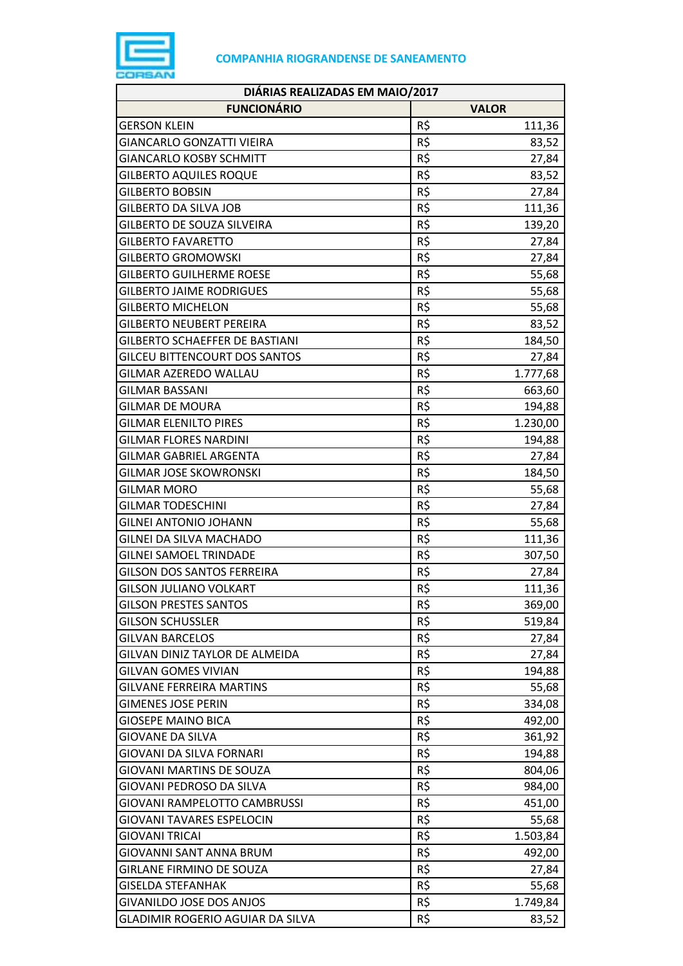

| DIÁRIAS REALIZADAS EM MAIO/2017         |     |              |  |
|-----------------------------------------|-----|--------------|--|
| <b>FUNCIONÁRIO</b>                      |     | <b>VALOR</b> |  |
| <b>GERSON KLEIN</b>                     | R\$ | 111,36       |  |
| <b>GIANCARLO GONZATTI VIEIRA</b>        | R\$ | 83,52        |  |
| <b>GIANCARLO KOSBY SCHMITT</b>          | R\$ | 27,84        |  |
| <b>GILBERTO AQUILES ROQUE</b>           | R\$ | 83,52        |  |
| <b>GILBERTO BOBSIN</b>                  | R\$ | 27,84        |  |
| <b>GILBERTO DA SILVA JOB</b>            | R\$ | 111,36       |  |
| GILBERTO DE SOUZA SILVEIRA              | R\$ | 139,20       |  |
| <b>GILBERTO FAVARETTO</b>               | R\$ | 27,84        |  |
| <b>GILBERTO GROMOWSKI</b>               | R\$ | 27,84        |  |
| <b>GILBERTO GUILHERME ROESE</b>         | R\$ | 55,68        |  |
| <b>GILBERTO JAIME RODRIGUES</b>         | R\$ | 55,68        |  |
| <b>GILBERTO MICHELON</b>                | R\$ | 55,68        |  |
| <b>GILBERTO NEUBERT PEREIRA</b>         | R\$ | 83,52        |  |
| <b>GILBERTO SCHAEFFER DE BASTIANI</b>   | R\$ | 184,50       |  |
| <b>GILCEU BITTENCOURT DOS SANTOS</b>    | R\$ | 27,84        |  |
| GILMAR AZEREDO WALLAU                   | R\$ | 1.777,68     |  |
| <b>GILMAR BASSANI</b>                   | R\$ | 663,60       |  |
| <b>GILMAR DE MOURA</b>                  | R\$ | 194,88       |  |
| <b>GILMAR ELENILTO PIRES</b>            | R\$ | 1.230,00     |  |
| <b>GILMAR FLORES NARDINI</b>            | R\$ | 194,88       |  |
| <b>GILMAR GABRIEL ARGENTA</b>           | R\$ | 27,84        |  |
| <b>GILMAR JOSE SKOWRONSKI</b>           | R\$ | 184,50       |  |
| <b>GILMAR MORO</b>                      | R\$ | 55,68        |  |
| <b>GILMAR TODESCHINI</b>                | R\$ | 27,84        |  |
| <b>GILNEI ANTONIO JOHANN</b>            | R\$ | 55,68        |  |
| GILNEI DA SILVA MACHADO                 | R\$ | 111,36       |  |
| <b>GILNEI SAMOEL TRINDADE</b>           | R\$ | 307,50       |  |
| <b>GILSON DOS SANTOS FERREIRA</b>       | R\$ | 27,84        |  |
| <b>GILSON JULIANO VOLKART</b>           | R\$ | 111,36       |  |
| <b>GILSON PRESTES SANTOS</b>            | R\$ | 369,00       |  |
| <b>GILSON SCHUSSLER</b>                 | R\$ | 519,84       |  |
| <b>GILVAN BARCELOS</b>                  | R\$ | 27,84        |  |
| GILVAN DINIZ TAYLOR DE ALMEIDA          | R\$ | 27,84        |  |
| <b>GILVAN GOMES VIVIAN</b>              | R\$ | 194,88       |  |
| <b>GILVANE FERREIRA MARTINS</b>         | R\$ | 55,68        |  |
| <b>GIMENES JOSE PERIN</b>               | R\$ | 334,08       |  |
| <b>GIOSEPE MAINO BICA</b>               | R\$ | 492,00       |  |
| GIOVANE DA SILVA                        | R\$ | 361,92       |  |
| GIOVANI DA SILVA FORNARI                | R\$ | 194,88       |  |
| <b>GIOVANI MARTINS DE SOUZA</b>         | R\$ | 804,06       |  |
| GIOVANI PEDROSO DA SILVA                | R\$ | 984,00       |  |
| GIOVANI RAMPELOTTO CAMBRUSSI            | R\$ | 451,00       |  |
| <b>GIOVANI TAVARES ESPELOCIN</b>        | R\$ | 55,68        |  |
| <b>GIOVANI TRICAI</b>                   | R\$ | 1.503,84     |  |
| <b>GIOVANNI SANT ANNA BRUM</b>          | R\$ | 492,00       |  |
| <b>GIRLANE FIRMINO DE SOUZA</b>         | R\$ | 27,84        |  |
| <b>GISELDA STEFANHAK</b>                | R\$ | 55,68        |  |
| <b>GIVANILDO JOSE DOS ANJOS</b>         | R\$ | 1.749,84     |  |
| <b>GLADIMIR ROGERIO AGUIAR DA SILVA</b> | R\$ | 83,52        |  |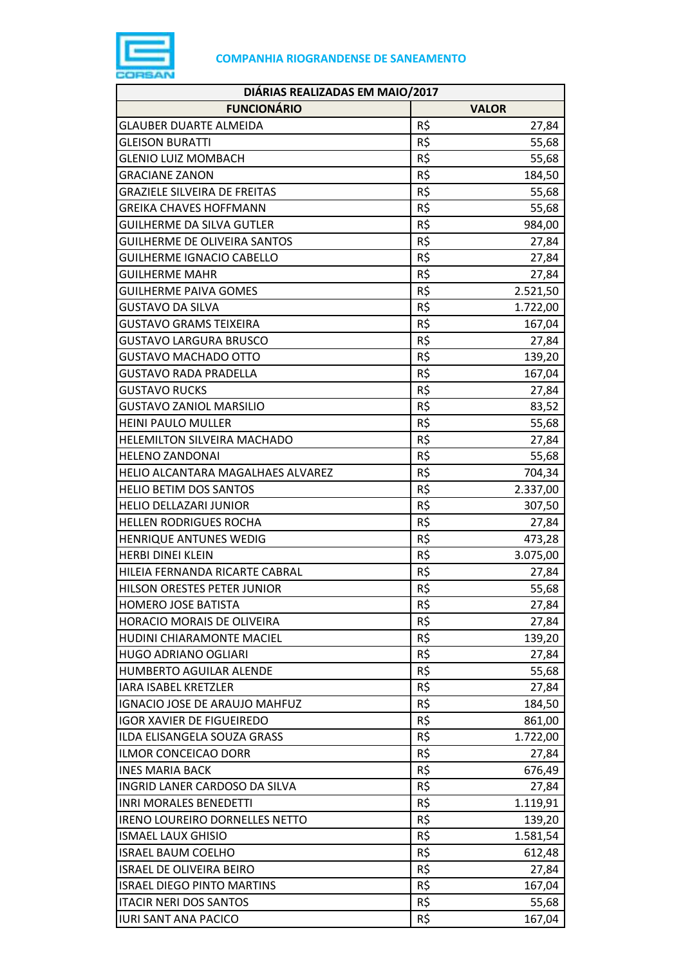

| DIÁRIAS REALIZADAS EM MAIO/2017       |              |          |  |
|---------------------------------------|--------------|----------|--|
| <b>FUNCIONÁRIO</b>                    | <b>VALOR</b> |          |  |
| <b>GLAUBER DUARTE ALMEIDA</b>         | R\$          | 27,84    |  |
| <b>GLEISON BURATTI</b>                | R\$          | 55,68    |  |
| <b>GLENIO LUIZ MOMBACH</b>            | R\$          | 55,68    |  |
| <b>GRACIANE ZANON</b>                 | R\$          | 184,50   |  |
| <b>GRAZIELE SILVEIRA DE FREITAS</b>   | R\$          | 55,68    |  |
| <b>GREIKA CHAVES HOFFMANN</b>         | R\$          | 55,68    |  |
| <b>GUILHERME DA SILVA GUTLER</b>      | R\$          | 984,00   |  |
| <b>GUILHERME DE OLIVEIRA SANTOS</b>   | R\$          | 27,84    |  |
| <b>GUILHERME IGNACIO CABELLO</b>      | R\$          | 27,84    |  |
| <b>GUILHERME MAHR</b>                 | R\$          | 27,84    |  |
| <b>GUILHERME PAIVA GOMES</b>          | R\$          | 2.521,50 |  |
| <b>GUSTAVO DA SILVA</b>               | R\$          | 1.722,00 |  |
| <b>GUSTAVO GRAMS TEIXEIRA</b>         | R\$          | 167,04   |  |
| <b>GUSTAVO LARGURA BRUSCO</b>         | R\$          | 27,84    |  |
| <b>GUSTAVO MACHADO OTTO</b>           | R\$          | 139,20   |  |
| GUSTAVO RADA PRADELLA                 | R\$          | 167,04   |  |
| <b>GUSTAVO RUCKS</b>                  | R\$          | 27,84    |  |
| <b>GUSTAVO ZANIOL MARSILIO</b>        | R\$          | 83,52    |  |
| <b>HEINI PAULO MULLER</b>             | R\$          | 55,68    |  |
| HELEMILTON SILVEIRA MACHADO           | R\$          | 27,84    |  |
| <b>HELENO ZANDONAI</b>                | R\$          | 55,68    |  |
| HELIO ALCANTARA MAGALHAES ALVAREZ     | R\$          | 704,34   |  |
| <b>HELIO BETIM DOS SANTOS</b>         | R\$          | 2.337,00 |  |
| <b>HELIO DELLAZARI JUNIOR</b>         | R\$          | 307,50   |  |
| <b>HELLEN RODRIGUES ROCHA</b>         | R\$          | 27,84    |  |
| <b>HENRIQUE ANTUNES WEDIG</b>         | R\$          | 473,28   |  |
| HERBI DINEI KLEIN                     | R\$          | 3.075,00 |  |
| HILEIA FERNANDA RICARTE CABRAL        | R\$          | 27,84    |  |
| HILSON ORESTES PETER JUNIOR           | R\$          | 55,68    |  |
| HOMERO JOSE BATISTA                   | R\$          | 27,84    |  |
| HORACIO MORAIS DE OLIVEIRA            | R\$          | 27,84    |  |
| HUDINI CHIARAMONTE MACIEL             | R\$          | 139,20   |  |
| HUGO ADRIANO OGLIARI                  | R\$          | 27,84    |  |
| <b>HUMBERTO AGUILAR ALENDE</b>        | R\$          | 55,68    |  |
| <b>IARA ISABEL KRETZLER</b>           | R\$          | 27,84    |  |
| IGNACIO JOSE DE ARAUJO MAHFUZ         | R\$          | 184,50   |  |
| <b>IGOR XAVIER DE FIGUEIREDO</b>      | R\$          | 861,00   |  |
| ILDA ELISANGELA SOUZA GRASS           | R\$          | 1.722,00 |  |
| <b>ILMOR CONCEICAO DORR</b>           | R\$          | 27,84    |  |
| <b>INES MARIA BACK</b>                | R\$          | 676,49   |  |
| INGRID LANER CARDOSO DA SILVA         | R\$          | 27,84    |  |
| <b>INRI MORALES BENEDETTI</b>         | R\$          | 1.119,91 |  |
| <b>IRENO LOUREIRO DORNELLES NETTO</b> | R\$          | 139,20   |  |
| <b>ISMAEL LAUX GHISIO</b>             | R\$          | 1.581,54 |  |
| <b>ISRAEL BAUM COELHO</b>             | R\$          | 612,48   |  |
| <b>ISRAEL DE OLIVEIRA BEIRO</b>       | R\$          | 27,84    |  |
| <b>ISRAEL DIEGO PINTO MARTINS</b>     | R\$          | 167,04   |  |
| <b>ITACIR NERI DOS SANTOS</b>         | R\$          | 55,68    |  |
| <b>IURI SANT ANA PACICO</b>           | R\$          | 167,04   |  |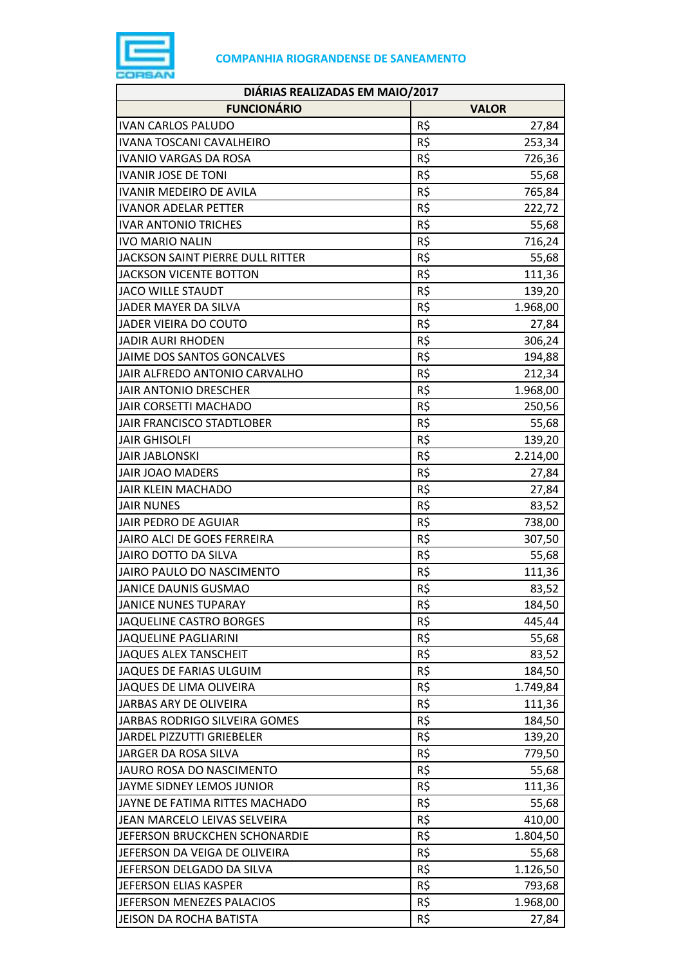

| DIÁRIAS REALIZADAS EM MAIO/2017  |     |              |  |
|----------------------------------|-----|--------------|--|
| <b>FUNCIONÁRIO</b>               |     | <b>VALOR</b> |  |
| <b>IVAN CARLOS PALUDO</b>        | R\$ | 27,84        |  |
| <b>IVANA TOSCANI CAVALHEIRO</b>  | R\$ | 253,34       |  |
| <b>IVANIO VARGAS DA ROSA</b>     | R\$ | 726,36       |  |
| <b>IVANIR JOSE DE TONI</b>       | R\$ | 55,68        |  |
| <b>IVANIR MEDEIRO DE AVILA</b>   | R\$ | 765,84       |  |
| <b>IVANOR ADELAR PETTER</b>      | R\$ | 222,72       |  |
| <b>IVAR ANTONIO TRICHES</b>      | R\$ | 55,68        |  |
| <b>IVO MARIO NALIN</b>           | R\$ | 716,24       |  |
| JACKSON SAINT PIERRE DULL RITTER | R\$ | 55,68        |  |
| <b>JACKSON VICENTE BOTTON</b>    | R\$ | 111,36       |  |
| <b>JACO WILLE STAUDT</b>         | R\$ | 139,20       |  |
| JADER MAYER DA SILVA             | R\$ | 1.968,00     |  |
| JADER VIEIRA DO COUTO            | R\$ | 27,84        |  |
| <b>JADIR AURI RHODEN</b>         | R\$ | 306,24       |  |
| JAIME DOS SANTOS GONCALVES       | R\$ | 194,88       |  |
| JAIR ALFREDO ANTONIO CARVALHO    | R\$ | 212,34       |  |
| <b>JAIR ANTONIO DRESCHER</b>     | R\$ | 1.968,00     |  |
| JAIR CORSETTI MACHADO            | R\$ | 250,56       |  |
| JAIR FRANCISCO STADTLOBER        | R\$ | 55,68        |  |
| <b>JAIR GHISOLFI</b>             | R\$ | 139,20       |  |
| <b>JAIR JABLONSKI</b>            | R\$ | 2.214,00     |  |
| <b>JAIR JOAO MADERS</b>          | R\$ | 27,84        |  |
| <b>JAIR KLEIN MACHADO</b>        | R\$ | 27,84        |  |
| <b>JAIR NUNES</b>                | R\$ | 83,52        |  |
| JAIR PEDRO DE AGUIAR             | R\$ | 738,00       |  |
| JAIRO ALCI DE GOES FERREIRA      | R\$ | 307,50       |  |
| JAIRO DOTTO DA SILVA             | R\$ | 55,68        |  |
| JAIRO PAULO DO NASCIMENTO        | R\$ | 111,36       |  |
| <b>JANICE DAUNIS GUSMAO</b>      | R\$ | 83,52        |  |
| <b>JANICE NUNES TUPARAY</b>      | R\$ | 184,50       |  |
| JAQUELINE CASTRO BORGES          | R\$ | 445,44       |  |
| <b>JAQUELINE PAGLIARINI</b>      | R\$ | 55,68        |  |
| JAQUES ALEX TANSCHEIT            | R\$ | 83,52        |  |
| JAQUES DE FARIAS ULGUIM          | R\$ | 184,50       |  |
| JAQUES DE LIMA OLIVEIRA          | R\$ | 1.749,84     |  |
| JARBAS ARY DE OLIVEIRA           | R\$ | 111,36       |  |
| JARBAS RODRIGO SILVEIRA GOMES    | R\$ | 184,50       |  |
| JARDEL PIZZUTTI GRIEBELER        | R\$ | 139,20       |  |
| JARGER DA ROSA SILVA             | R\$ | 779,50       |  |
| JAURO ROSA DO NASCIMENTO         | R\$ | 55,68        |  |
| JAYME SIDNEY LEMOS JUNIOR        | R\$ | 111,36       |  |
| JAYNE DE FATIMA RITTES MACHADO   | R\$ | 55,68        |  |
| JEAN MARCELO LEIVAS SELVEIRA     | R\$ | 410,00       |  |
| JEFERSON BRUCKCHEN SCHONARDIE    | R\$ | 1.804,50     |  |
| JEFERSON DA VEIGA DE OLIVEIRA    | R\$ | 55,68        |  |
| JEFERSON DELGADO DA SILVA        | R\$ | 1.126,50     |  |
| JEFERSON ELIAS KASPER            | R\$ | 793,68       |  |
| JEFERSON MENEZES PALACIOS        | R\$ | 1.968,00     |  |
| JEISON DA ROCHA BATISTA          | R\$ | 27,84        |  |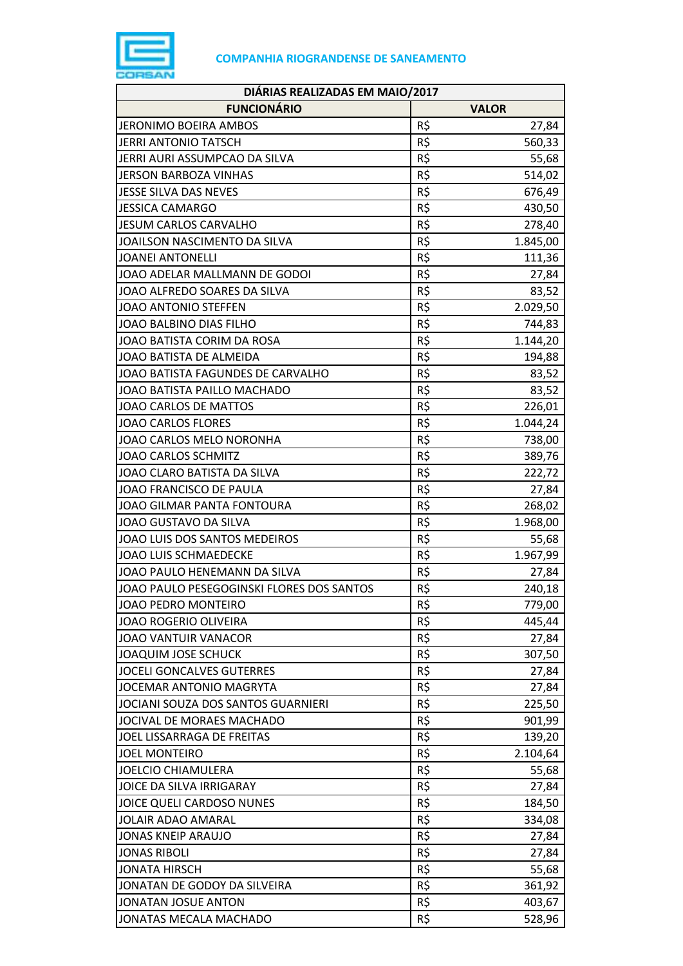

| DIÁRIAS REALIZADAS EM MAIO/2017           |     |              |  |
|-------------------------------------------|-----|--------------|--|
| <b>FUNCIONÁRIO</b>                        |     | <b>VALOR</b> |  |
| JERONIMO BOEIRA AMBOS                     | R\$ | 27,84        |  |
| JERRI ANTONIO TATSCH                      | R\$ | 560,33       |  |
| JERRI AURI ASSUMPCAO DA SILVA             | R\$ | 55,68        |  |
| <b>JERSON BARBOZA VINHAS</b>              | R\$ | 514,02       |  |
| JESSE SILVA DAS NEVES                     | R\$ | 676,49       |  |
| <b>JESSICA CAMARGO</b>                    | R\$ | 430,50       |  |
| <b>JESUM CARLOS CARVALHO</b>              | R\$ | 278,40       |  |
| JOAILSON NASCIMENTO DA SILVA              | R\$ | 1.845,00     |  |
| <b>JOANEI ANTONELLI</b>                   | R\$ | 111,36       |  |
| JOAO ADELAR MALLMANN DE GODOI             | R\$ | 27,84        |  |
| JOAO ALFREDO SOARES DA SILVA              | R\$ | 83,52        |  |
| JOAO ANTONIO STEFFEN                      | R\$ | 2.029,50     |  |
| JOAO BALBINO DIAS FILHO                   | R\$ | 744,83       |  |
| JOAO BATISTA CORIM DA ROSA                | R\$ | 1.144,20     |  |
| JOAO BATISTA DE ALMEIDA                   | R\$ | 194,88       |  |
| JOAO BATISTA FAGUNDES DE CARVALHO         | R\$ | 83,52        |  |
| JOAO BATISTA PAILLO MACHADO               | R\$ | 83,52        |  |
| JOAO CARLOS DE MATTOS                     | R\$ | 226,01       |  |
| <b>JOAO CARLOS FLORES</b>                 | R\$ | 1.044,24     |  |
| JOAO CARLOS MELO NORONHA                  | R\$ | 738,00       |  |
| <b>JOAO CARLOS SCHMITZ</b>                | R\$ | 389,76       |  |
| JOAO CLARO BATISTA DA SILVA               | R\$ | 222,72       |  |
| JOAO FRANCISCO DE PAULA                   | R\$ | 27,84        |  |
| JOAO GILMAR PANTA FONTOURA                | R\$ | 268,02       |  |
| JOAO GUSTAVO DA SILVA                     | R\$ | 1.968,00     |  |
| JOAO LUIS DOS SANTOS MEDEIROS             | R\$ | 55,68        |  |
| <b>JOAO LUIS SCHMAEDECKE</b>              | R\$ | 1.967,99     |  |
| JOAO PAULO HENEMANN DA SILVA              | R\$ | 27,84        |  |
| JOAO PAULO PESEGOGINSKI FLORES DOS SANTOS | R\$ | 240,18       |  |
| JOAO PEDRO MONTEIRO                       | R\$ | 779,00       |  |
| JOAO ROGERIO OLIVEIRA                     | R\$ | 445,44       |  |
| JOAO VANTUIR VANACOR                      | R\$ | 27,84        |  |
| JOAQUIM JOSE SCHUCK                       | R\$ | 307,50       |  |
| <b>JOCELI GONCALVES GUTERRES</b>          | R\$ | 27,84        |  |
| JOCEMAR ANTONIO MAGRYTA                   | R\$ | 27,84        |  |
| JOCIANI SOUZA DOS SANTOS GUARNIERI        | R\$ | 225,50       |  |
| JOCIVAL DE MORAES MACHADO                 | R\$ | 901,99       |  |
| JOEL LISSARRAGA DE FREITAS                | R\$ | 139,20       |  |
| <b>JOEL MONTEIRO</b>                      | R\$ | 2.104,64     |  |
| JOELCIO CHIAMULERA                        | R\$ | 55,68        |  |
| JOICE DA SILVA IRRIGARAY                  | R\$ | 27,84        |  |
| JOICE QUELI CARDOSO NUNES                 | R\$ | 184,50       |  |
| <b>JOLAIR ADAO AMARAL</b>                 | R\$ | 334,08       |  |
| JONAS KNEIP ARAUJO                        | R\$ | 27,84        |  |
| <b>JONAS RIBOLI</b>                       | R\$ | 27,84        |  |
| <b>JONATA HIRSCH</b>                      | R\$ | 55,68        |  |
| JONATAN DE GODOY DA SILVEIRA              | R\$ | 361,92       |  |
| JONATAN JOSUE ANTON                       | R\$ | 403,67       |  |
| JONATAS MECALA MACHADO                    | R\$ | 528,96       |  |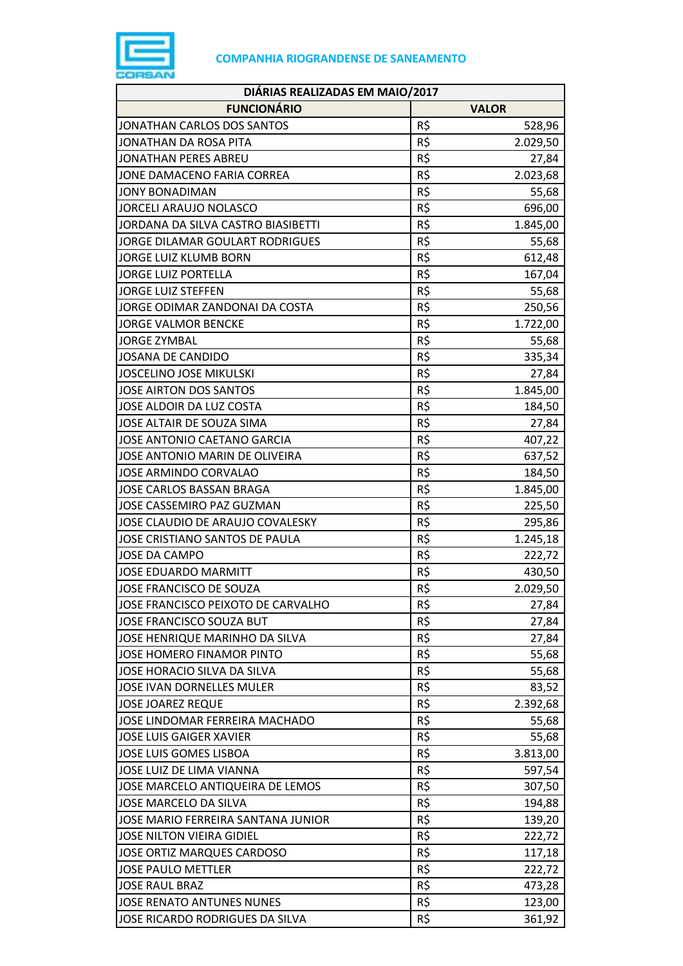

| DIÁRIAS REALIZADAS EM MAIO/2017    |     |              |  |
|------------------------------------|-----|--------------|--|
| <b>FUNCIONÁRIO</b>                 |     | <b>VALOR</b> |  |
| JONATHAN CARLOS DOS SANTOS         | R\$ | 528,96       |  |
| JONATHAN DA ROSA PITA              | R\$ | 2.029,50     |  |
| <b>JONATHAN PERES ABREU</b>        | R\$ | 27,84        |  |
| JONE DAMACENO FARIA CORREA         | R\$ | 2.023,68     |  |
| <b>JONY BONADIMAN</b>              | R\$ | 55,68        |  |
| <b>JORCELI ARAUJO NOLASCO</b>      | R\$ | 696,00       |  |
| JORDANA DA SILVA CASTRO BIASIBETTI | R\$ | 1.845,00     |  |
| JORGE DILAMAR GOULART RODRIGUES    | R\$ | 55,68        |  |
| JORGE LUIZ KLUMB BORN              | R\$ | 612,48       |  |
| <b>JORGE LUIZ PORTELLA</b>         | R\$ | 167,04       |  |
| <b>JORGE LUIZ STEFFEN</b>          | R\$ | 55,68        |  |
| JORGE ODIMAR ZANDONAI DA COSTA     | R\$ | 250,56       |  |
| <b>JORGE VALMOR BENCKE</b>         | R\$ | 1.722,00     |  |
| <b>JORGE ZYMBAL</b>                | R\$ | 55,68        |  |
| <b>JOSANA DE CANDIDO</b>           | R\$ | 335,34       |  |
| <b>JOSCELINO JOSE MIKULSKI</b>     | R\$ | 27,84        |  |
| JOSE AIRTON DOS SANTOS             | R\$ | 1.845,00     |  |
| JOSE ALDOIR DA LUZ COSTA           | R\$ | 184,50       |  |
| JOSE ALTAIR DE SOUZA SIMA          | R\$ | 27,84        |  |
| JOSE ANTONIO CAETANO GARCIA        | R\$ | 407,22       |  |
| JOSE ANTONIO MARIN DE OLIVEIRA     | R\$ | 637,52       |  |
| JOSE ARMINDO CORVALAO              | R\$ | 184,50       |  |
| <b>JOSE CARLOS BASSAN BRAGA</b>    | R\$ | 1.845,00     |  |
| JOSE CASSEMIRO PAZ GUZMAN          | R\$ | 225,50       |  |
| JOSE CLAUDIO DE ARAUJO COVALESKY   | R\$ | 295,86       |  |
| JOSE CRISTIANO SANTOS DE PAULA     | R\$ | 1.245,18     |  |
| <b>JOSE DA CAMPO</b>               | R\$ | 222,72       |  |
| <b>JOSE EDUARDO MARMITT</b>        | R\$ | 430,50       |  |
| JOSE FRANCISCO DE SOUZA            | R\$ | 2.029,50     |  |
| JOSE FRANCISCO PEIXOTO DE CARVALHO | R\$ | 27,84        |  |
| JOSE FRANCISCO SOUZA BUT           | R\$ | 27,84        |  |
| JOSE HENRIQUE MARINHO DA SILVA     | R\$ | 27,84        |  |
| JOSE HOMERO FINAMOR PINTO          | R\$ | 55,68        |  |
| JOSE HORACIO SILVA DA SILVA        | R\$ | 55,68        |  |
| <b>JOSE IVAN DORNELLES MULER</b>   | R\$ | 83,52        |  |
| <b>JOSE JOAREZ REQUE</b>           | R\$ | 2.392,68     |  |
| JOSE LINDOMAR FERREIRA MACHADO     | R\$ | 55,68        |  |
| <b>JOSE LUIS GAIGER XAVIER</b>     | R\$ | 55,68        |  |
| <b>JOSE LUIS GOMES LISBOA</b>      | R\$ | 3.813,00     |  |
| JOSE LUIZ DE LIMA VIANNA           | R\$ | 597,54       |  |
| JOSE MARCELO ANTIQUEIRA DE LEMOS   | R\$ | 307,50       |  |
| JOSE MARCELO DA SILVA              | R\$ | 194,88       |  |
| JOSE MARIO FERREIRA SANTANA JUNIOR | R\$ | 139,20       |  |
| JOSE NILTON VIEIRA GIDIEL          | R\$ | 222,72       |  |
| JOSE ORTIZ MARQUES CARDOSO         | R\$ | 117,18       |  |
| <b>JOSE PAULO METTLER</b>          | R\$ | 222,72       |  |
| <b>JOSE RAUL BRAZ</b>              | R\$ | 473,28       |  |
| JOSE RENATO ANTUNES NUNES          | R\$ | 123,00       |  |
| JOSE RICARDO RODRIGUES DA SILVA    | R\$ | 361,92       |  |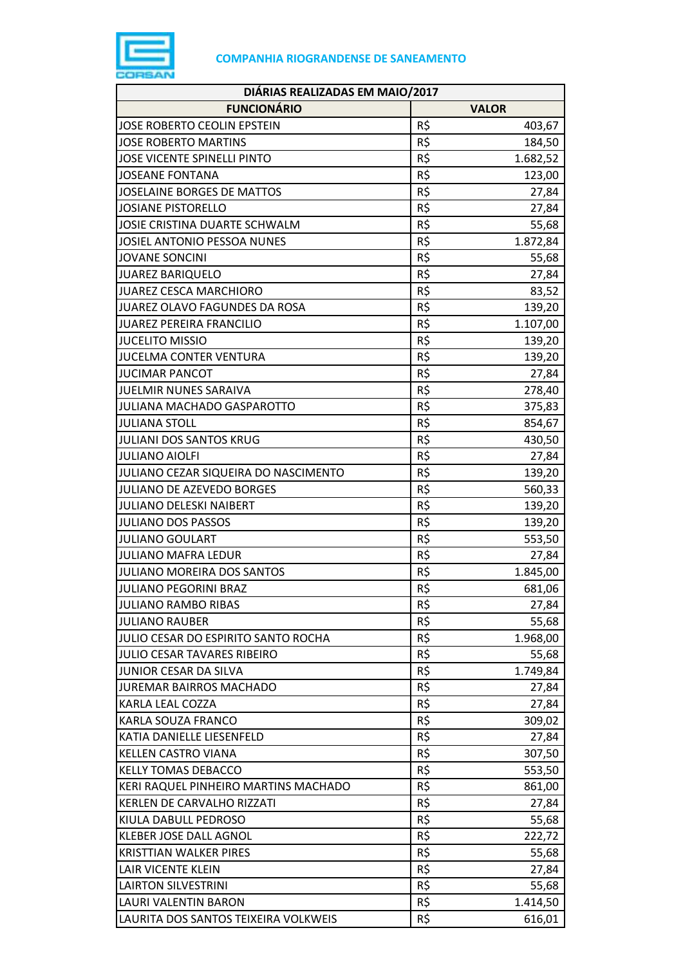

| DIÁRIAS REALIZADAS EM MAIO/2017      |     |              |  |
|--------------------------------------|-----|--------------|--|
| <b>FUNCIONÁRIO</b>                   |     | <b>VALOR</b> |  |
| <b>JOSE ROBERTO CEOLIN EPSTEIN</b>   | R\$ | 403,67       |  |
| <b>JOSE ROBERTO MARTINS</b>          | R\$ | 184,50       |  |
| <b>JOSE VICENTE SPINELLI PINTO</b>   | R\$ | 1.682,52     |  |
| <b>JOSEANE FONTANA</b>               | R\$ | 123,00       |  |
| <b>JOSELAINE BORGES DE MATTOS</b>    | R\$ | 27,84        |  |
| <b>JOSIANE PISTORELLO</b>            | R\$ | 27,84        |  |
| JOSIE CRISTINA DUARTE SCHWALM        | R\$ | 55,68        |  |
| <b>JOSIEL ANTONIO PESSOA NUNES</b>   | R\$ | 1.872,84     |  |
| <b>JOVANE SONCINI</b>                | R\$ | 55,68        |  |
| <b>JUAREZ BARIQUELO</b>              | R\$ | 27,84        |  |
| <b>JUAREZ CESCA MARCHIORO</b>        | R\$ | 83,52        |  |
| JUAREZ OLAVO FAGUNDES DA ROSA        | R\$ | 139,20       |  |
| <b>JUAREZ PEREIRA FRANCILIO</b>      | R\$ | 1.107,00     |  |
| <b>JUCELITO MISSIO</b>               | R\$ | 139,20       |  |
| <b>JUCELMA CONTER VENTURA</b>        | R\$ | 139,20       |  |
| <b>JUCIMAR PANCOT</b>                | R\$ | 27,84        |  |
| <b>JUELMIR NUNES SARAIVA</b>         | R\$ | 278,40       |  |
| JULIANA MACHADO GASPAROTTO           | R\$ | 375,83       |  |
| <b>JULIANA STOLL</b>                 | R\$ | 854,67       |  |
| <b>JULIANI DOS SANTOS KRUG</b>       | R\$ | 430,50       |  |
| <b>JULIANO AIOLFI</b>                | R\$ | 27,84        |  |
| JULIANO CEZAR SIQUEIRA DO NASCIMENTO | R\$ | 139,20       |  |
| JULIANO DE AZEVEDO BORGES            | R\$ | 560,33       |  |
| <b>JULIANO DELESKI NAIBERT</b>       | R\$ | 139,20       |  |
| <b>JULIANO DOS PASSOS</b>            | R\$ | 139,20       |  |
| <b>JULIANO GOULART</b>               | R\$ | 553,50       |  |
| <b>JULIANO MAFRA LEDUR</b>           | R\$ | 27,84        |  |
| JULIANO MOREIRA DOS SANTOS           | R\$ | 1.845,00     |  |
| <b>JULIANO PEGORINI BRAZ</b>         | R\$ | 681,06       |  |
| <b>JULIANO RAMBO RIBAS</b>           | R\$ | 27,84        |  |
| <b>JULIANO RAUBER</b>                | R\$ | 55,68        |  |
| JULIO CESAR DO ESPIRITO SANTO ROCHA  | R\$ | 1.968,00     |  |
| <b>JULIO CESAR TAVARES RIBEIRO</b>   | R\$ | 55,68        |  |
| JUNIOR CESAR DA SILVA                | R\$ | 1.749,84     |  |
| <b>JUREMAR BAIRROS MACHADO</b>       | R\$ | 27,84        |  |
| KARLA LEAL COZZA                     | R\$ | 27,84        |  |
| KARLA SOUZA FRANCO                   | R\$ | 309,02       |  |
| KATIA DANIELLE LIESENFELD            | R\$ | 27,84        |  |
| <b>KELLEN CASTRO VIANA</b>           | R\$ | 307,50       |  |
| <b>KELLY TOMAS DEBACCO</b>           | R\$ | 553,50       |  |
| KERI RAQUEL PINHEIRO MARTINS MACHADO | R\$ | 861,00       |  |
| KERLEN DE CARVALHO RIZZATI           | R\$ | 27,84        |  |
| KIULA DABULL PEDROSO                 | R\$ | 55,68        |  |
| KLEBER JOSE DALL AGNOL               | R\$ | 222,72       |  |
| <b>KRISTTIAN WALKER PIRES</b>        | R\$ | 55,68        |  |
| LAIR VICENTE KLEIN                   | R\$ | 27,84        |  |
| <b>LAIRTON SILVESTRINI</b>           | R\$ | 55,68        |  |
| LAURI VALENTIN BARON                 | R\$ | 1.414,50     |  |
| LAURITA DOS SANTOS TEIXEIRA VOLKWEIS | R\$ | 616,01       |  |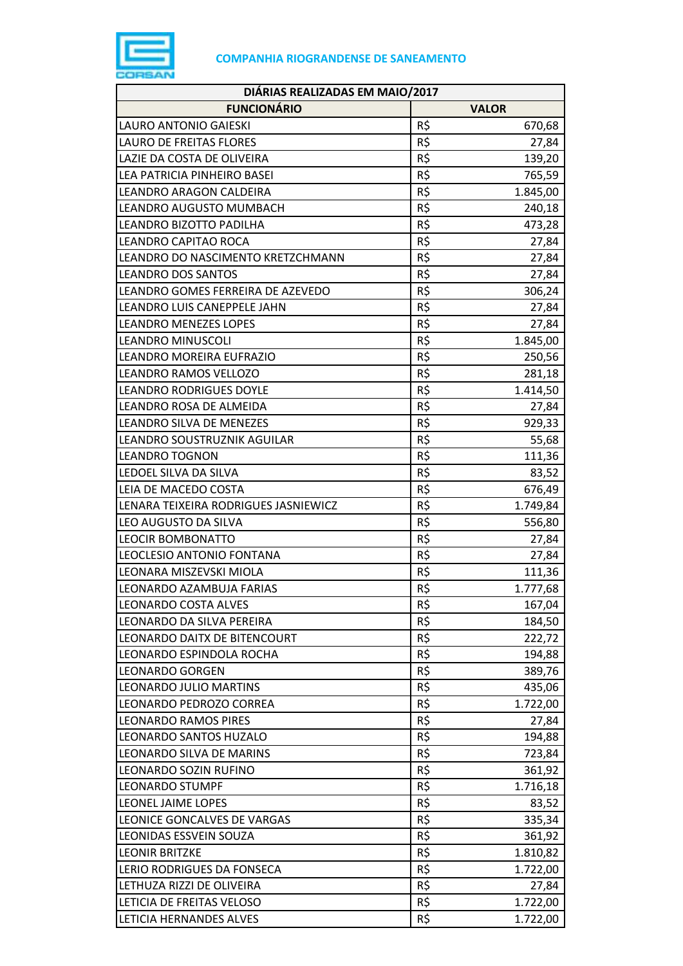

| DIÁRIAS REALIZADAS EM MAIO/2017      |     |              |  |
|--------------------------------------|-----|--------------|--|
| <b>FUNCIONÁRIO</b>                   |     | <b>VALOR</b> |  |
| LAURO ANTONIO GAIESKI                | R\$ | 670,68       |  |
| <b>LAURO DE FREITAS FLORES</b>       | R\$ | 27,84        |  |
| LAZIE DA COSTA DE OLIVEIRA           | R\$ | 139,20       |  |
| LEA PATRICIA PINHEIRO BASEI          | R\$ | 765,59       |  |
| LEANDRO ARAGON CALDEIRA              | R\$ | 1.845,00     |  |
| LEANDRO AUGUSTO MUMBACH              | R\$ | 240,18       |  |
| LEANDRO BIZOTTO PADILHA              | R\$ | 473,28       |  |
| LEANDRO CAPITAO ROCA                 | R\$ | 27,84        |  |
| LEANDRO DO NASCIMENTO KRETZCHMANN    | R\$ | 27,84        |  |
| <b>LEANDRO DOS SANTOS</b>            | R\$ | 27,84        |  |
| LEANDRO GOMES FERREIRA DE AZEVEDO    | R\$ | 306,24       |  |
| LEANDRO LUIS CANEPPELE JAHN          | R\$ | 27,84        |  |
| <b>LEANDRO MENEZES LOPES</b>         | R\$ | 27,84        |  |
| <b>LEANDRO MINUSCOLI</b>             | R\$ | 1.845,00     |  |
| LEANDRO MOREIRA EUFRAZIO             | R\$ | 250,56       |  |
| LEANDRO RAMOS VELLOZO                | R\$ | 281,18       |  |
| <b>LEANDRO RODRIGUES DOYLE</b>       | R\$ | 1.414,50     |  |
| LEANDRO ROSA DE ALMEIDA              | R\$ | 27,84        |  |
| LEANDRO SILVA DE MENEZES             | R\$ | 929,33       |  |
| LEANDRO SOUSTRUZNIK AGUILAR          | R\$ | 55,68        |  |
| <b>LEANDRO TOGNON</b>                | R\$ | 111,36       |  |
| LEDOEL SILVA DA SILVA                | R\$ | 83,52        |  |
| LEIA DE MACEDO COSTA                 | R\$ | 676,49       |  |
| LENARA TEIXEIRA RODRIGUES JASNIEWICZ | R\$ | 1.749,84     |  |
| LEO AUGUSTO DA SILVA                 | R\$ | 556,80       |  |
| LEOCIR BOMBONATTO                    | R\$ | 27,84        |  |
| LEOCLESIO ANTONIO FONTANA            | R\$ | 27,84        |  |
| LEONARA MISZEVSKI MIOLA              | R\$ | 111,36       |  |
| LEONARDO AZAMBUJA FARIAS             | R\$ | 1.777,68     |  |
| <b>LEONARDO COSTA ALVES</b>          | R\$ | 167,04       |  |
| LEONARDO DA SILVA PEREIRA            | R\$ | 184,50       |  |
| LEONARDO DAITX DE BITENCOURT         | R\$ | 222,72       |  |
| LEONARDO ESPINDOLA ROCHA             | R\$ | 194,88       |  |
| <b>LEONARDO GORGEN</b>               | R\$ | 389,76       |  |
| <b>LEONARDO JULIO MARTINS</b>        | R\$ | 435,06       |  |
| LEONARDO PEDROZO CORREA              | R\$ | 1.722,00     |  |
| <b>LEONARDO RAMOS PIRES</b>          | R\$ | 27,84        |  |
| LEONARDO SANTOS HUZALO               | R\$ | 194,88       |  |
| LEONARDO SILVA DE MARINS             | R\$ | 723,84       |  |
| LEONARDO SOZIN RUFINO                | R\$ | 361,92       |  |
| <b>LEONARDO STUMPF</b>               | R\$ | 1.716,18     |  |
| LEONEL JAIME LOPES                   | R\$ | 83,52        |  |
| LEONICE GONCALVES DE VARGAS          | R\$ | 335,34       |  |
| LEONIDAS ESSVEIN SOUZA               | R\$ | 361,92       |  |
| <b>LEONIR BRITZKE</b>                | R\$ | 1.810,82     |  |
| LERIO RODRIGUES DA FONSECA           | R\$ | 1.722,00     |  |
| LETHUZA RIZZI DE OLIVEIRA            | R\$ | 27,84        |  |
| LETICIA DE FREITAS VELOSO            | R\$ | 1.722,00     |  |
| LETICIA HERNANDES ALVES              | R\$ | 1.722,00     |  |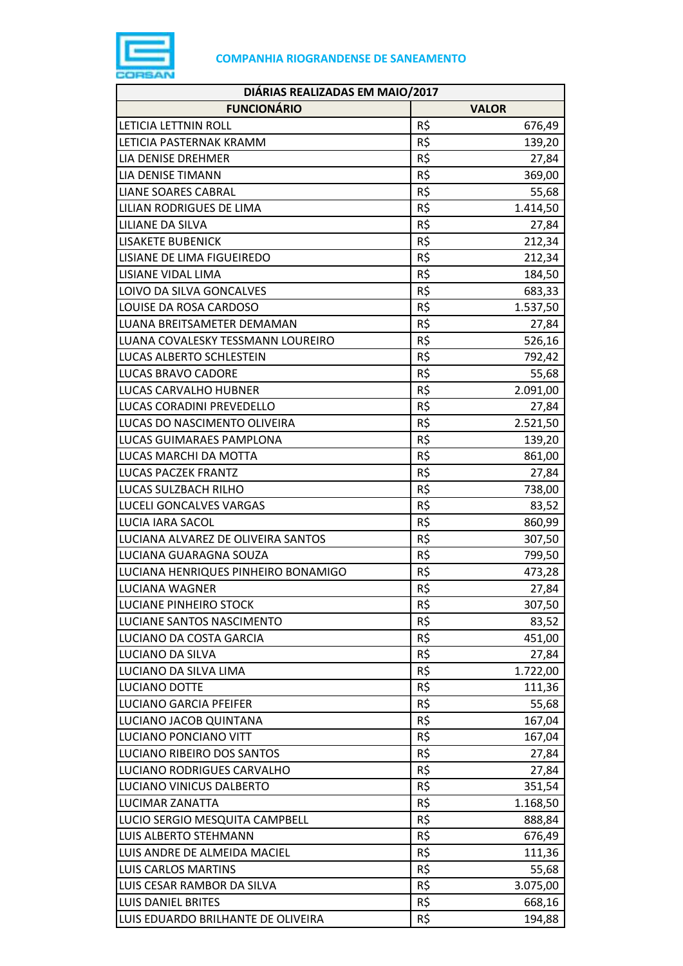

| DIÁRIAS REALIZADAS EM MAIO/2017     |                 |  |  |
|-------------------------------------|-----------------|--|--|
| <b>FUNCIONÁRIO</b>                  | <b>VALOR</b>    |  |  |
| LETICIA LETTNIN ROLL                | R\$<br>676,49   |  |  |
| LETICIA PASTERNAK KRAMM             | R\$<br>139,20   |  |  |
| LIA DENISE DREHMER                  | R\$<br>27,84    |  |  |
| <b>LIA DENISE TIMANN</b>            | R\$<br>369,00   |  |  |
| <b>LIANE SOARES CABRAL</b>          | R\$<br>55,68    |  |  |
| LILIAN RODRIGUES DE LIMA            | R\$<br>1.414,50 |  |  |
| LILIANE DA SILVA                    | R\$<br>27,84    |  |  |
| <b>LISAKETE BUBENICK</b>            | R\$<br>212,34   |  |  |
| LISIANE DE LIMA FIGUEIREDO          | R\$<br>212,34   |  |  |
| LISIANE VIDAL LIMA                  | R\$<br>184,50   |  |  |
| LOIVO DA SILVA GONCALVES            | R\$<br>683,33   |  |  |
| LOUISE DA ROSA CARDOSO              | R\$<br>1.537,50 |  |  |
| LUANA BREITSAMETER DEMAMAN          | R\$<br>27,84    |  |  |
| LUANA COVALESKY TESSMANN LOUREIRO   | R\$<br>526,16   |  |  |
| LUCAS ALBERTO SCHLESTEIN            | R\$<br>792,42   |  |  |
| LUCAS BRAVO CADORE                  | R\$<br>55,68    |  |  |
| <b>LUCAS CARVALHO HUBNER</b>        | R\$<br>2.091,00 |  |  |
| LUCAS CORADINI PREVEDELLO           | R\$<br>27,84    |  |  |
| LUCAS DO NASCIMENTO OLIVEIRA        | R\$<br>2.521,50 |  |  |
| LUCAS GUIMARAES PAMPLONA            | R\$<br>139,20   |  |  |
| LUCAS MARCHI DA MOTTA               | R\$<br>861,00   |  |  |
| <b>LUCAS PACZEK FRANTZ</b>          | R\$<br>27,84    |  |  |
| LUCAS SULZBACH RILHO                | R\$<br>738,00   |  |  |
| LUCELI GONCALVES VARGAS             | R\$<br>83,52    |  |  |
| <b>LUCIA IARA SACOL</b>             | R\$<br>860,99   |  |  |
| LUCIANA ALVAREZ DE OLIVEIRA SANTOS  | R\$<br>307,50   |  |  |
| LUCIANA GUARAGNA SOUZA              | R\$<br>799,50   |  |  |
| LUCIANA HENRIQUES PINHEIRO BONAMIGO | R\$<br>473,28   |  |  |
| LUCIANA WAGNER                      | R\$<br>27,84    |  |  |
| LUCIANE PINHEIRO STOCK              | R\$<br>307,50   |  |  |
| LUCIANE SANTOS NASCIMENTO           | R\$<br>83,52    |  |  |
| LUCIANO DA COSTA GARCIA             | R\$<br>451,00   |  |  |
| <b>LUCIANO DA SILVA</b>             | R\$<br>27,84    |  |  |
| LUCIANO DA SILVA LIMA               | R\$<br>1.722,00 |  |  |
| <b>LUCIANO DOTTE</b>                | R\$<br>111,36   |  |  |
| <b>LUCIANO GARCIA PFEIFER</b>       | R\$<br>55,68    |  |  |
| LUCIANO JACOB QUINTANA              | R\$<br>167,04   |  |  |
| LUCIANO PONCIANO VITT               | R\$<br>167,04   |  |  |
| LUCIANO RIBEIRO DOS SANTOS          | R\$<br>27,84    |  |  |
| LUCIANO RODRIGUES CARVALHO          | R\$<br>27,84    |  |  |
| LUCIANO VINICUS DALBERTO            | R\$<br>351,54   |  |  |
| LUCIMAR ZANATTA                     | R\$<br>1.168,50 |  |  |
| LUCIO SERGIO MESQUITA CAMPBELL      | R\$<br>888,84   |  |  |
| LUIS ALBERTO STEHMANN               | R\$<br>676,49   |  |  |
| LUIS ANDRE DE ALMEIDA MACIEL        | R\$<br>111,36   |  |  |
| <b>LUIS CARLOS MARTINS</b>          | R\$<br>55,68    |  |  |
| LUIS CESAR RAMBOR DA SILVA          | R\$<br>3.075,00 |  |  |
| LUIS DANIEL BRITES                  | R\$<br>668,16   |  |  |
| LUIS EDUARDO BRILHANTE DE OLIVEIRA  | R\$<br>194,88   |  |  |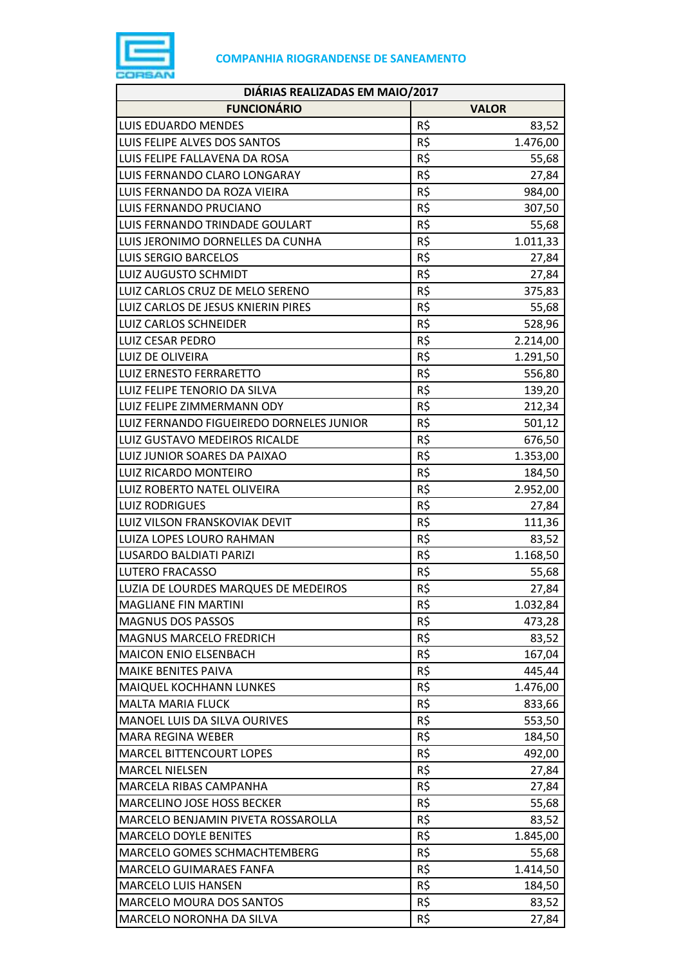

| DIÁRIAS REALIZADAS EM MAIO/2017          |     |              |  |
|------------------------------------------|-----|--------------|--|
| <b>FUNCIONÁRIO</b>                       |     | <b>VALOR</b> |  |
| LUIS EDUARDO MENDES                      | R\$ | 83,52        |  |
| LUIS FELIPE ALVES DOS SANTOS             | R\$ | 1.476,00     |  |
| LUIS FELIPE FALLAVENA DA ROSA            | R\$ | 55,68        |  |
| LUIS FERNANDO CLARO LONGARAY             | R\$ | 27,84        |  |
| LUIS FERNANDO DA ROZA VIEIRA             | R\$ | 984,00       |  |
| LUIS FERNANDO PRUCIANO                   | R\$ | 307,50       |  |
| LUIS FERNANDO TRINDADE GOULART           | R\$ | 55,68        |  |
| LUIS JERONIMO DORNELLES DA CUNHA         | R\$ | 1.011,33     |  |
| <b>LUIS SERGIO BARCELOS</b>              | R\$ | 27,84        |  |
| <b>LUIZ AUGUSTO SCHMIDT</b>              | R\$ | 27,84        |  |
| LUIZ CARLOS CRUZ DE MELO SERENO          | R\$ | 375,83       |  |
| LUIZ CARLOS DE JESUS KNIERIN PIRES       | R\$ | 55,68        |  |
| <b>LUIZ CARLOS SCHNEIDER</b>             | R\$ | 528,96       |  |
| <b>LUIZ CESAR PEDRO</b>                  | R\$ | 2.214,00     |  |
| LUIZ DE OLIVEIRA                         | R\$ | 1.291,50     |  |
| <b>LUIZ ERNESTO FERRARETTO</b>           | R\$ | 556,80       |  |
| LUIZ FELIPE TENORIO DA SILVA             | R\$ | 139,20       |  |
| LUIZ FELIPE ZIMMERMANN ODY               | R\$ | 212,34       |  |
| LUIZ FERNANDO FIGUEIREDO DORNELES JUNIOR | R\$ | 501,12       |  |
| LUIZ GUSTAVO MEDEIROS RICALDE            | R\$ | 676,50       |  |
| LUIZ JUNIOR SOARES DA PAIXAO             | R\$ | 1.353,00     |  |
| LUIZ RICARDO MONTEIRO                    | R\$ | 184,50       |  |
| LUIZ ROBERTO NATEL OLIVEIRA              | R\$ | 2.952,00     |  |
| <b>LUIZ RODRIGUES</b>                    | R\$ | 27,84        |  |
| LUIZ VILSON FRANSKOVIAK DEVIT            | R\$ | 111,36       |  |
| LUIZA LOPES LOURO RAHMAN                 | R\$ | 83,52        |  |
| LUSARDO BALDIATI PARIZI                  | R\$ | 1.168,50     |  |
| <b>LUTERO FRACASSO</b>                   | R\$ | 55,68        |  |
| LUZIA DE LOURDES MARQUES DE MEDEIROS     | R\$ | 27,84        |  |
| <b>MAGLIANE FIN MARTINI</b>              | R\$ | 1.032,84     |  |
| <b>MAGNUS DOS PASSOS</b>                 | R\$ | 473,28       |  |
| <b>MAGNUS MARCELO FREDRICH</b>           | R\$ | 83,52        |  |
| <b>MAICON ENIO ELSENBACH</b>             | R\$ | 167,04       |  |
| <b>MAIKE BENITES PAIVA</b>               | R\$ | 445,44       |  |
| MAIQUEL KOCHHANN LUNKES                  | R\$ | 1.476,00     |  |
| <b>MALTA MARIA FLUCK</b>                 | R\$ | 833,66       |  |
| MANOEL LUIS DA SILVA OURIVES             | R\$ | 553,50       |  |
| <b>MARA REGINA WEBER</b>                 | R\$ | 184,50       |  |
| <b>MARCEL BITTENCOURT LOPES</b>          | R\$ | 492,00       |  |
| <b>MARCEL NIELSEN</b>                    | R\$ | 27,84        |  |
| MARCELA RIBAS CAMPANHA                   | R\$ | 27,84        |  |
| MARCELINO JOSE HOSS BECKER               | R\$ | 55,68        |  |
| MARCELO BENJAMIN PIVETA ROSSAROLLA       | R\$ | 83,52        |  |
| <b>MARCELO DOYLE BENITES</b>             | R\$ | 1.845,00     |  |
| MARCELO GOMES SCHMACHTEMBERG             | R\$ | 55,68        |  |
| MARCELO GUIMARAES FANFA                  | R\$ | 1.414,50     |  |
| <b>MARCELO LUIS HANSEN</b>               | R\$ | 184,50       |  |
| <b>MARCELO MOURA DOS SANTOS</b>          | R\$ | 83,52        |  |
| MARCELO NORONHA DA SILVA                 | R\$ | 27,84        |  |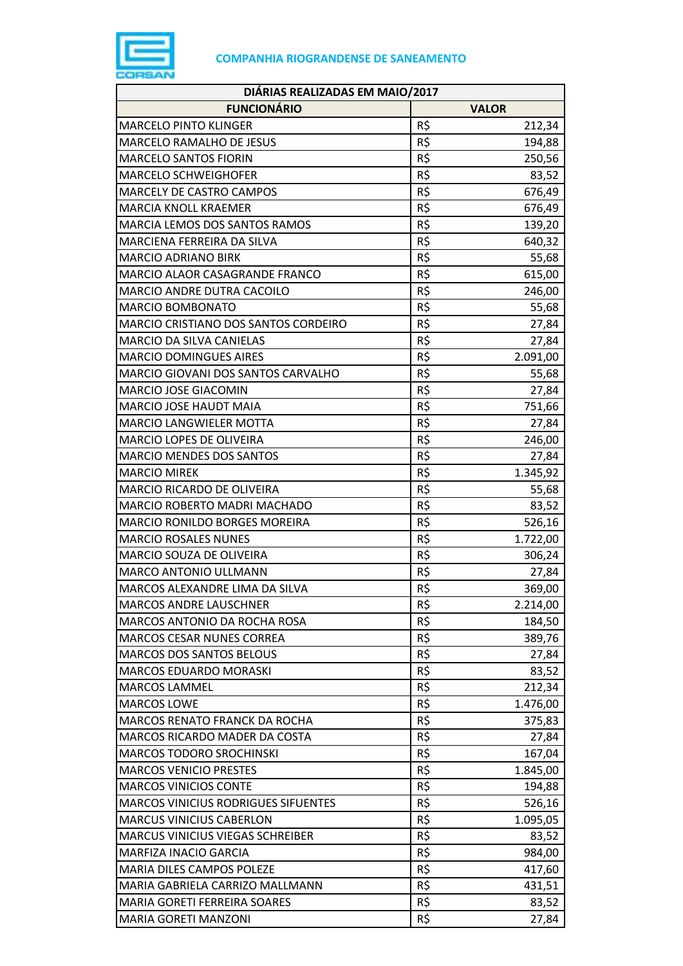

| DIÁRIAS REALIZADAS EM MAIO/2017         |     |              |  |
|-----------------------------------------|-----|--------------|--|
| <b>FUNCIONÁRIO</b>                      |     | <b>VALOR</b> |  |
| <b>MARCELO PINTO KLINGER</b>            | R\$ | 212,34       |  |
| MARCELO RAMALHO DE JESUS                | R\$ | 194,88       |  |
| <b>MARCELO SANTOS FIORIN</b>            | R\$ | 250,56       |  |
| <b>MARCELO SCHWEIGHOFER</b>             | R\$ | 83,52        |  |
| MARCELY DE CASTRO CAMPOS                | R\$ | 676,49       |  |
| <b>MARCIA KNOLL KRAEMER</b>             | R\$ | 676,49       |  |
| MARCIA LEMOS DOS SANTOS RAMOS           | R\$ | 139,20       |  |
| MARCIENA FERREIRA DA SILVA              | R\$ | 640,32       |  |
| <b>MARCIO ADRIANO BIRK</b>              | R\$ | 55,68        |  |
| MARCIO ALAOR CASAGRANDE FRANCO          | R\$ | 615,00       |  |
| MARCIO ANDRE DUTRA CACOILO              | R\$ | 246,00       |  |
| <b>MARCIO BOMBONATO</b>                 | R\$ | 55,68        |  |
| MARCIO CRISTIANO DOS SANTOS CORDEIRO    | R\$ | 27,84        |  |
| MARCIO DA SILVA CANIELAS                | R\$ | 27,84        |  |
| <b>MARCIO DOMINGUES AIRES</b>           | R\$ | 2.091,00     |  |
| MARCIO GIOVANI DOS SANTOS CARVALHO      | R\$ | 55,68        |  |
| MARCIO JOSE GIACOMIN                    | R\$ | 27,84        |  |
| <b>MARCIO JOSE HAUDT MAIA</b>           | R\$ | 751,66       |  |
| <b>MARCIO LANGWIELER MOTTA</b>          | R\$ | 27,84        |  |
| MARCIO LOPES DE OLIVEIRA                | R\$ | 246,00       |  |
| <b>MARCIO MENDES DOS SANTOS</b>         | R\$ | 27,84        |  |
| <b>MARCIO MIREK</b>                     | R\$ | 1.345,92     |  |
| MARCIO RICARDO DE OLIVEIRA              | R\$ | 55,68        |  |
| <b>MARCIO ROBERTO MADRI MACHADO</b>     | R\$ | 83,52        |  |
| MARCIO RONILDO BORGES MOREIRA           | R\$ | 526,16       |  |
| <b>MARCIO ROSALES NUNES</b>             | R\$ | 1.722,00     |  |
| MARCIO SOUZA DE OLIVEIRA                | R\$ | 306,24       |  |
| <b>MARCO ANTONIO ULLMANN</b>            | R\$ | 27,84        |  |
| MARCOS ALEXANDRE LIMA DA SILVA          | R\$ | 369,00       |  |
| <b>MARCOS ANDRE LAUSCHNER</b>           | R\$ | 2.214,00     |  |
| MARCOS ANTONIO DA ROCHA ROSA            | R\$ | 184,50       |  |
| <b>MARCOS CESAR NUNES CORREA</b>        | R\$ | 389,76       |  |
| <b>MARCOS DOS SANTOS BELOUS</b>         | R\$ | 27,84        |  |
| <b>MARCOS EDUARDO MORASKI</b>           | R\$ | 83,52        |  |
| <b>MARCOS LAMMEL</b>                    | R\$ | 212,34       |  |
| <b>MARCOS LOWE</b>                      | R\$ | 1.476,00     |  |
| <b>MARCOS RENATO FRANCK DA ROCHA</b>    | R\$ | 375,83       |  |
| MARCOS RICARDO MADER DA COSTA           | R\$ | 27,84        |  |
| <b>MARCOS TODORO SROCHINSKI</b>         | R\$ | 167,04       |  |
| <b>MARCOS VENICIO PRESTES</b>           | R\$ | 1.845,00     |  |
| <b>MARCOS VINICIOS CONTE</b>            | R\$ | 194,88       |  |
| MARCOS VINICIUS RODRIGUES SIFUENTES     | R\$ | 526,16       |  |
| <b>MARCUS VINICIUS CABERLON</b>         | R\$ | 1.095,05     |  |
| <b>MARCUS VINICIUS VIEGAS SCHREIBER</b> | R\$ | 83,52        |  |
| MARFIZA INACIO GARCIA                   | R\$ | 984,00       |  |
| MARIA DILES CAMPOS POLEZE               | R\$ | 417,60       |  |
| MARIA GABRIELA CARRIZO MALLMANN         | R\$ | 431,51       |  |
| MARIA GORETI FERREIRA SOARES            | R\$ | 83,52        |  |
| <b>MARIA GORETI MANZONI</b>             | R\$ | 27,84        |  |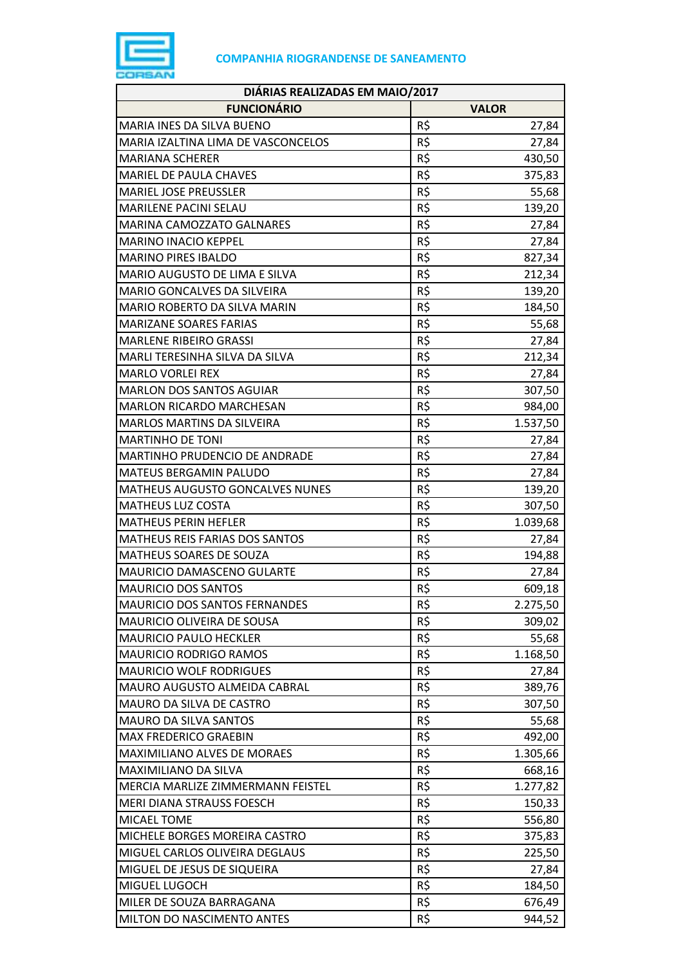

| DIÁRIAS REALIZADAS EM MAIO/2017        |     |              |  |
|----------------------------------------|-----|--------------|--|
| <b>FUNCIONÁRIO</b>                     |     | <b>VALOR</b> |  |
| MARIA INES DA SILVA BUENO              | R\$ | 27,84        |  |
| MARIA IZALTINA LIMA DE VASCONCELOS     | R\$ | 27,84        |  |
| <b>MARIANA SCHERER</b>                 | R\$ | 430,50       |  |
| <b>MARIEL DE PAULA CHAVES</b>          | R\$ | 375,83       |  |
| <b>MARIEL JOSE PREUSSLER</b>           | R\$ | 55,68        |  |
| MARILENE PACINI SELAU                  | R\$ | 139,20       |  |
| <b>MARINA CAMOZZATO GALNARES</b>       | R\$ | 27,84        |  |
| <b>MARINO INACIO KEPPEL</b>            | R\$ | 27,84        |  |
| <b>MARINO PIRES IBALDO</b>             | R\$ | 827,34       |  |
| MARIO AUGUSTO DE LIMA E SILVA          | R\$ | 212,34       |  |
| MARIO GONCALVES DA SILVEIRA            | R\$ | 139,20       |  |
| MARIO ROBERTO DA SILVA MARIN           | R\$ | 184,50       |  |
| <b>MARIZANE SOARES FARIAS</b>          | R\$ | 55,68        |  |
| <b>MARLENE RIBEIRO GRASSI</b>          | R\$ | 27,84        |  |
| MARLI TERESINHA SILVA DA SILVA         | R\$ | 212,34       |  |
| <b>MARLO VORLEI REX</b>                | R\$ | 27,84        |  |
| <b>MARLON DOS SANTOS AGUIAR</b>        | R\$ | 307,50       |  |
| <b>MARLON RICARDO MARCHESAN</b>        | R\$ | 984,00       |  |
| <b>MARLOS MARTINS DA SILVEIRA</b>      | R\$ | 1.537,50     |  |
| <b>MARTINHO DE TONI</b>                | R\$ | 27,84        |  |
| MARTINHO PRUDENCIO DE ANDRADE          | R\$ | 27,84        |  |
| <b>MATEUS BERGAMIN PALUDO</b>          | R\$ | 27,84        |  |
| <b>MATHEUS AUGUSTO GONCALVES NUNES</b> | R\$ | 139,20       |  |
| <b>MATHEUS LUZ COSTA</b>               | R\$ | 307,50       |  |
| <b>MATHEUS PERIN HEFLER</b>            | R\$ | 1.039,68     |  |
| MATHEUS REIS FARIAS DOS SANTOS         | R\$ | 27,84        |  |
| MATHEUS SOARES DE SOUZA                | R\$ | 194,88       |  |
| MAURICIO DAMASCENO GULARTE             | R\$ | 27,84        |  |
| <b>MAURICIO DOS SANTOS</b>             | R\$ | 609,18       |  |
| MAURICIO DOS SANTOS FERNANDES          | R\$ | 2.275,50     |  |
| MAURICIO OLIVEIRA DE SOUSA             | R\$ | 309,02       |  |
| <b>MAURICIO PAULO HECKLER</b>          | R\$ | 55,68        |  |
| <b>MAURICIO RODRIGO RAMOS</b>          | R\$ | 1.168,50     |  |
| <b>MAURICIO WOLF RODRIGUES</b>         | R\$ | 27,84        |  |
| MAURO AUGUSTO ALMEIDA CABRAL           | R\$ | 389,76       |  |
| MAURO DA SILVA DE CASTRO               | R\$ | 307,50       |  |
| <b>MAURO DA SILVA SANTOS</b>           | R\$ | 55,68        |  |
| <b>MAX FREDERICO GRAEBIN</b>           | R\$ | 492,00       |  |
| MAXIMILIANO ALVES DE MORAES            | R\$ | 1.305,66     |  |
| MAXIMILIANO DA SILVA                   | R\$ | 668,16       |  |
| MERCIA MARLIZE ZIMMERMANN FEISTEL      | R\$ | 1.277,82     |  |
| MERI DIANA STRAUSS FOESCH              | R\$ | 150,33       |  |
| MICAEL TOME                            | R\$ | 556,80       |  |
| MICHELE BORGES MOREIRA CASTRO          | R\$ | 375,83       |  |
| MIGUEL CARLOS OLIVEIRA DEGLAUS         | R\$ | 225,50       |  |
| MIGUEL DE JESUS DE SIQUEIRA            | R\$ | 27,84        |  |
| MIGUEL LUGOCH                          | R\$ | 184,50       |  |
| MILER DE SOUZA BARRAGANA               | R\$ | 676,49       |  |
| MILTON DO NASCIMENTO ANTES             | R\$ | 944,52       |  |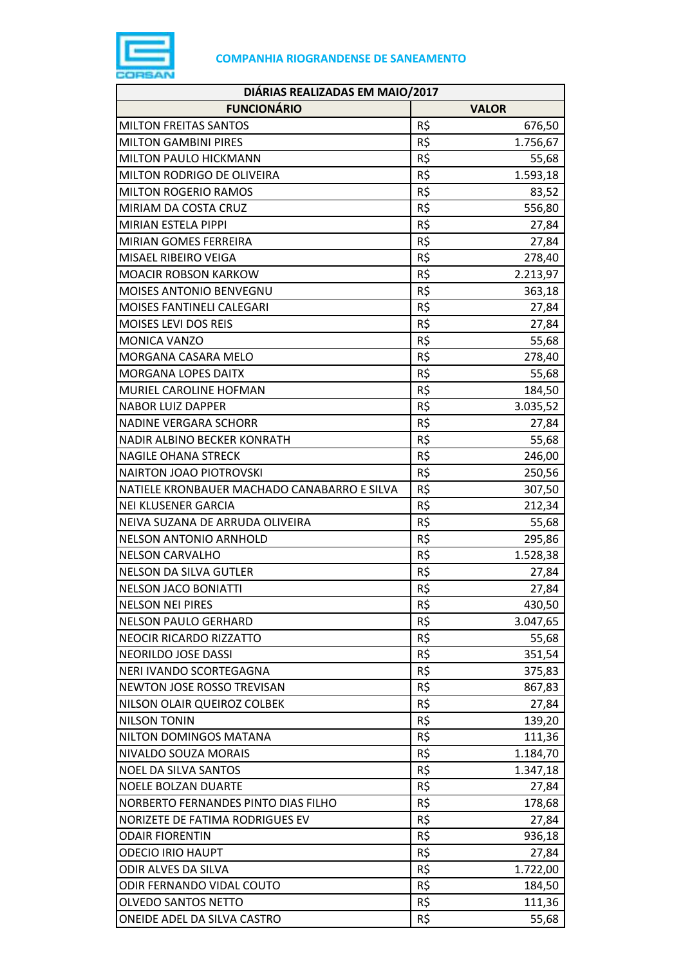

| DIÁRIAS REALIZADAS EM MAIO/2017             |     |              |  |
|---------------------------------------------|-----|--------------|--|
| <b>FUNCIONÁRIO</b>                          |     | <b>VALOR</b> |  |
| <b>MILTON FREITAS SANTOS</b>                | R\$ | 676,50       |  |
| <b>MILTON GAMBINI PIRES</b>                 | R\$ | 1.756,67     |  |
| MILTON PAULO HICKMANN                       | R\$ | 55,68        |  |
| MILTON RODRIGO DE OLIVEIRA                  | R\$ | 1.593,18     |  |
| <b>MILTON ROGERIO RAMOS</b>                 | R\$ | 83,52        |  |
| MIRIAM DA COSTA CRUZ                        | R\$ | 556,80       |  |
| MIRIAN ESTELA PIPPI                         | R\$ | 27,84        |  |
| MIRIAN GOMES FERREIRA                       | R\$ | 27,84        |  |
| MISAEL RIBEIRO VEIGA                        | R\$ | 278,40       |  |
| <b>MOACIR ROBSON KARKOW</b>                 | R\$ | 2.213,97     |  |
| MOISES ANTONIO BENVEGNU                     | R\$ | 363,18       |  |
| MOISES FANTINELI CALEGARI                   | R\$ | 27,84        |  |
| MOISES LEVI DOS REIS                        | R\$ | 27,84        |  |
| MONICA VANZO                                | R\$ | 55,68        |  |
| MORGANA CASARA MELO                         | R\$ | 278,40       |  |
| MORGANA LOPES DAITX                         | R\$ | 55,68        |  |
| MURIEL CAROLINE HOFMAN                      | R\$ | 184,50       |  |
| <b>NABOR LUIZ DAPPER</b>                    | R\$ | 3.035,52     |  |
| <b>NADINE VERGARA SCHORR</b>                | R\$ | 27,84        |  |
| NADIR ALBINO BECKER KONRATH                 | R\$ | 55,68        |  |
| <b>NAGILE OHANA STRECK</b>                  | R\$ | 246,00       |  |
| <b>NAIRTON JOAO PIOTROVSKI</b>              | R\$ | 250,56       |  |
| NATIELE KRONBAUER MACHADO CANABARRO E SILVA | R\$ | 307,50       |  |
| <b>NEI KLUSENER GARCIA</b>                  | R\$ | 212,34       |  |
| NEIVA SUZANA DE ARRUDA OLIVEIRA             | R\$ | 55,68        |  |
| <b>NELSON ANTONIO ARNHOLD</b>               | R\$ | 295,86       |  |
| <b>NELSON CARVALHO</b>                      | R\$ | 1.528,38     |  |
| <b>NELSON DA SILVA GUTLER</b>               | R\$ | 27,84        |  |
| <b>NELSON JACO BONIATTI</b>                 | R\$ | 27,84        |  |
| <b>NELSON NEI PIRES</b>                     | R\$ | 430,50       |  |
| <b>NELSON PAULO GERHARD</b>                 | R\$ | 3.047,65     |  |
| <b>NEOCIR RICARDO RIZZATTO</b>              | R\$ | 55,68        |  |
| NEORILDO JOSE DASSI                         | R\$ | 351,54       |  |
| NERI IVANDO SCORTEGAGNA                     | R\$ | 375,83       |  |
| NEWTON JOSE ROSSO TREVISAN                  | R\$ | 867,83       |  |
| NILSON OLAIR QUEIROZ COLBEK                 | R\$ | 27,84        |  |
| <b>NILSON TONIN</b>                         | R\$ | 139,20       |  |
| NILTON DOMINGOS MATANA                      | R\$ | 111,36       |  |
| NIVALDO SOUZA MORAIS                        | R\$ | 1.184,70     |  |
| <b>NOEL DA SILVA SANTOS</b>                 | R\$ | 1.347,18     |  |
| <b>NOELE BOLZAN DUARTE</b>                  | R\$ | 27,84        |  |
| NORBERTO FERNANDES PINTO DIAS FILHO         | R\$ | 178,68       |  |
| NORIZETE DE FATIMA RODRIGUES EV             | R\$ | 27,84        |  |
| <b>ODAIR FIORENTIN</b>                      | R\$ | 936,18       |  |
| <b>ODECIO IRIO HAUPT</b>                    | R\$ | 27,84        |  |
| ODIR ALVES DA SILVA                         | R\$ | 1.722,00     |  |
| ODIR FERNANDO VIDAL COUTO                   | R\$ | 184,50       |  |
| <b>OLVEDO SANTOS NETTO</b>                  | R\$ | 111,36       |  |
| ONEIDE ADEL DA SILVA CASTRO                 | R\$ | 55,68        |  |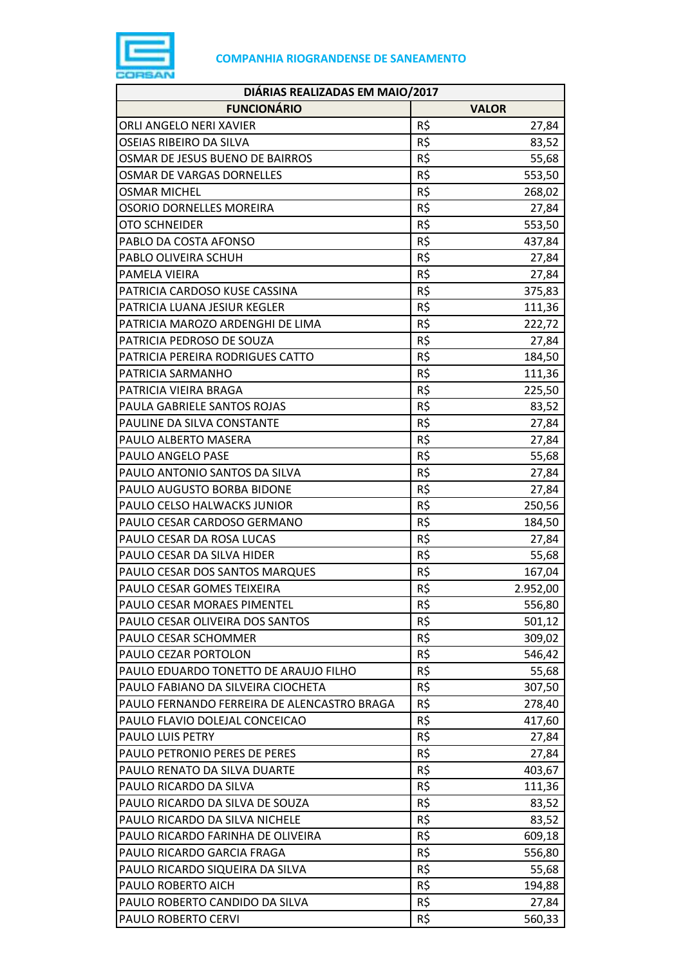

| DIÁRIAS REALIZADAS EM MAIO/2017             |              |          |  |
|---------------------------------------------|--------------|----------|--|
| <b>FUNCIONÁRIO</b>                          | <b>VALOR</b> |          |  |
| ORLI ANGELO NERI XAVIER                     | R\$          | 27,84    |  |
| OSEIAS RIBEIRO DA SILVA                     | R\$          | 83,52    |  |
| OSMAR DE JESUS BUENO DE BAIRROS             | R\$          | 55,68    |  |
| OSMAR DE VARGAS DORNELLES                   | R\$          | 553,50   |  |
| <b>OSMAR MICHEL</b>                         | R\$          | 268,02   |  |
| OSORIO DORNELLES MOREIRA                    | R\$          | 27,84    |  |
| <b>OTO SCHNEIDER</b>                        | R\$          | 553,50   |  |
| PABLO DA COSTA AFONSO                       | R\$          | 437,84   |  |
| PABLO OLIVEIRA SCHUH                        | R\$          | 27,84    |  |
| PAMELA VIEIRA                               | R\$          | 27,84    |  |
| PATRICIA CARDOSO KUSE CASSINA               | R\$          | 375,83   |  |
| PATRICIA LUANA JESIUR KEGLER                | R\$          | 111,36   |  |
| PATRICIA MAROZO ARDENGHI DE LIMA            | R\$          | 222,72   |  |
| PATRICIA PEDROSO DE SOUZA                   | R\$          | 27,84    |  |
| PATRICIA PEREIRA RODRIGUES CATTO            | R\$          | 184,50   |  |
| PATRICIA SARMANHO                           | R\$          | 111,36   |  |
| PATRICIA VIEIRA BRAGA                       | R\$          | 225,50   |  |
| PAULA GABRIELE SANTOS ROJAS                 | R\$          | 83,52    |  |
| PAULINE DA SILVA CONSTANTE                  | R\$          | 27,84    |  |
| PAULO ALBERTO MASERA                        | R\$          | 27,84    |  |
| PAULO ANGELO PASE                           | R\$          | 55,68    |  |
| PAULO ANTONIO SANTOS DA SILVA               | R\$          | 27,84    |  |
| PAULO AUGUSTO BORBA BIDONE                  | R\$          | 27,84    |  |
| PAULO CELSO HALWACKS JUNIOR                 | R\$          | 250,56   |  |
| PAULO CESAR CARDOSO GERMANO                 | R\$          | 184,50   |  |
| PAULO CESAR DA ROSA LUCAS                   | R\$          | 27,84    |  |
| PAULO CESAR DA SILVA HIDER                  | R\$          | 55,68    |  |
| PAULO CESAR DOS SANTOS MARQUES              | R\$          | 167,04   |  |
| PAULO CESAR GOMES TEIXEIRA                  | R\$          | 2.952,00 |  |
| PAULO CESAR MORAES PIMENTEL                 | R\$          | 556,80   |  |
| PAULO CESAR OLIVEIRA DOS SANTOS             | R\$          | 501,12   |  |
| PAULO CESAR SCHOMMER                        | R\$          | 309,02   |  |
| PAULO CEZAR PORTOLON                        | R\$          | 546,42   |  |
| PAULO EDUARDO TONETTO DE ARAUJO FILHO       | R\$          | 55,68    |  |
| PAULO FABIANO DA SILVEIRA CIOCHETA          | R\$          | 307,50   |  |
| PAULO FERNANDO FERREIRA DE ALENCASTRO BRAGA | R\$          | 278,40   |  |
| PAULO FLAVIO DOLEJAL CONCEICAO              | R\$          | 417,60   |  |
| PAULO LUIS PETRY                            | R\$          | 27,84    |  |
| PAULO PETRONIO PERES DE PERES               | R\$          | 27,84    |  |
| PAULO RENATO DA SILVA DUARTE                | R\$          | 403,67   |  |
| PAULO RICARDO DA SILVA                      | R\$          | 111,36   |  |
| PAULO RICARDO DA SILVA DE SOUZA             | R\$          | 83,52    |  |
| PAULO RICARDO DA SILVA NICHELE              | R\$          | 83,52    |  |
| PAULO RICARDO FARINHA DE OLIVEIRA           | R\$          | 609,18   |  |
| PAULO RICARDO GARCIA FRAGA                  | R\$          | 556,80   |  |
| PAULO RICARDO SIQUEIRA DA SILVA             | R\$          | 55,68    |  |
| PAULO ROBERTO AICH                          | R\$          | 194,88   |  |
| PAULO ROBERTO CANDIDO DA SILVA              | R\$          | 27,84    |  |
| PAULO ROBERTO CERVI                         | R\$          | 560,33   |  |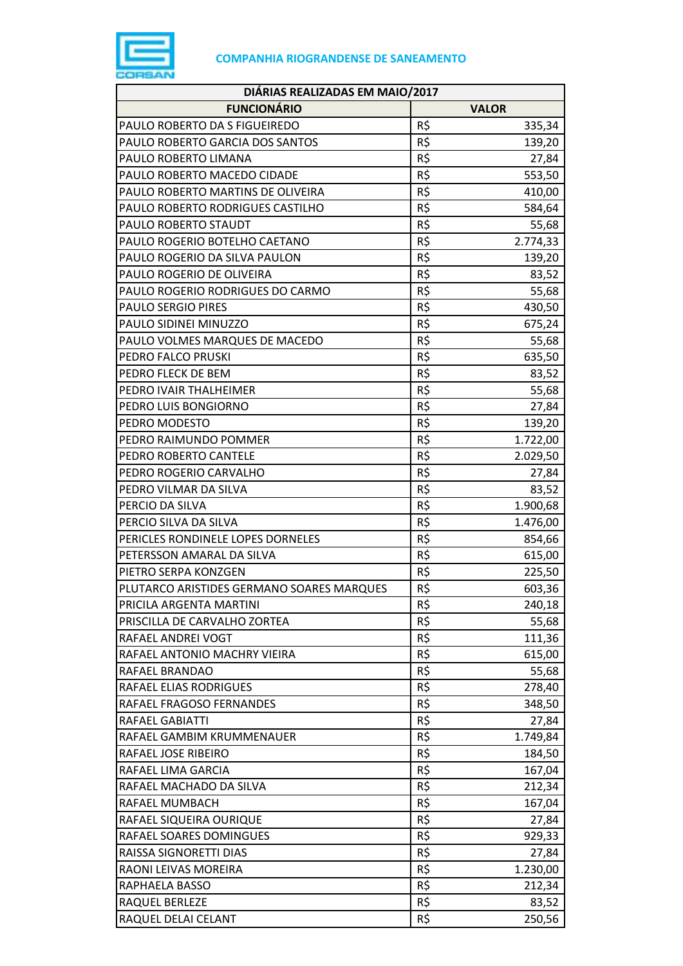

| DIÁRIAS REALIZADAS EM MAIO/2017           |     |              |  |
|-------------------------------------------|-----|--------------|--|
| <b>FUNCIONÁRIO</b>                        |     | <b>VALOR</b> |  |
| PAULO ROBERTO DA S FIGUEIREDO             | R\$ | 335,34       |  |
| PAULO ROBERTO GARCIA DOS SANTOS           | R\$ | 139,20       |  |
| PAULO ROBERTO LIMANA                      | R\$ | 27,84        |  |
| PAULO ROBERTO MACEDO CIDADE               | R\$ | 553,50       |  |
| PAULO ROBERTO MARTINS DE OLIVEIRA         | R\$ | 410,00       |  |
| PAULO ROBERTO RODRIGUES CASTILHO          | R\$ | 584,64       |  |
| PAULO ROBERTO STAUDT                      | R\$ | 55,68        |  |
| PAULO ROGERIO BOTELHO CAETANO             | R\$ | 2.774,33     |  |
| PAULO ROGERIO DA SILVA PAULON             | R\$ | 139,20       |  |
| PAULO ROGERIO DE OLIVEIRA                 | R\$ | 83,52        |  |
| PAULO ROGERIO RODRIGUES DO CARMO          | R\$ | 55,68        |  |
| <b>PAULO SERGIO PIRES</b>                 | R\$ | 430,50       |  |
| PAULO SIDINEI MINUZZO                     | R\$ | 675,24       |  |
| PAULO VOLMES MARQUES DE MACEDO            | R\$ | 55,68        |  |
| PEDRO FALCO PRUSKI                        | R\$ | 635,50       |  |
| PEDRO FLECK DE BEM                        | R\$ | 83,52        |  |
| PEDRO IVAIR THALHEIMER                    | R\$ | 55,68        |  |
| PEDRO LUIS BONGIORNO                      | R\$ | 27,84        |  |
| PEDRO MODESTO                             | R\$ | 139,20       |  |
| PEDRO RAIMUNDO POMMER                     | R\$ | 1.722,00     |  |
| PEDRO ROBERTO CANTELE                     | R\$ | 2.029,50     |  |
| PEDRO ROGERIO CARVALHO                    | R\$ | 27,84        |  |
| PEDRO VILMAR DA SILVA                     | R\$ | 83,52        |  |
| PERCIO DA SILVA                           | R\$ | 1.900,68     |  |
| PERCIO SILVA DA SILVA                     | R\$ | 1.476,00     |  |
| PERICLES RONDINELE LOPES DORNELES         | R\$ | 854,66       |  |
| PETERSSON AMARAL DA SILVA                 | R\$ | 615,00       |  |
| PIETRO SERPA KONZGEN                      | R\$ | 225,50       |  |
| PLUTARCO ARISTIDES GERMANO SOARES MARQUES | R\$ | 603,36       |  |
| PRICILA ARGENTA MARTINI                   | R\$ | 240,18       |  |
| PRISCILLA DE CARVALHO ZORTEA              | R\$ | 55,68        |  |
| RAFAEL ANDREI VOGT                        | R\$ | 111,36       |  |
| RAFAEL ANTONIO MACHRY VIEIRA              | R\$ | 615,00       |  |
| RAFAEL BRANDAO                            | R\$ | 55,68        |  |
| RAFAEL ELIAS RODRIGUES                    | R\$ | 278,40       |  |
| RAFAEL FRAGOSO FERNANDES                  | R\$ | 348,50       |  |
| RAFAEL GABIATTI                           | R\$ | 27,84        |  |
| RAFAEL GAMBIM KRUMMENAUER                 | R\$ | 1.749,84     |  |
| RAFAEL JOSE RIBEIRO                       | R\$ | 184,50       |  |
| RAFAEL LIMA GARCIA                        | R\$ | 167,04       |  |
| RAFAEL MACHADO DA SILVA                   | R\$ | 212,34       |  |
| RAFAEL MUMBACH                            | R\$ | 167,04       |  |
| RAFAEL SIQUEIRA OURIQUE                   | R\$ | 27,84        |  |
| RAFAEL SOARES DOMINGUES                   | R\$ | 929,33       |  |
| RAISSA SIGNORETTI DIAS                    | R\$ | 27,84        |  |
| RAONI LEIVAS MOREIRA                      | R\$ | 1.230,00     |  |
| RAPHAELA BASSO                            | R\$ | 212,34       |  |
| RAQUEL BERLEZE                            | R\$ | 83,52        |  |
| RAQUEL DELAI CELANT                       | R\$ | 250,56       |  |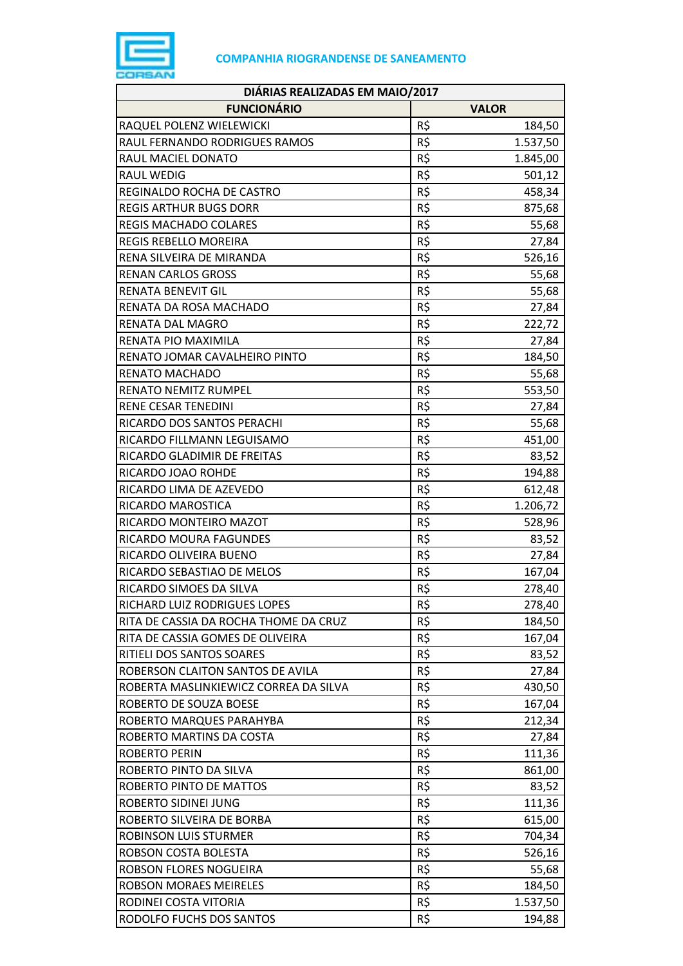

| DIÁRIAS REALIZADAS EM MAIO/2017       |     |              |  |
|---------------------------------------|-----|--------------|--|
| <b>FUNCIONÁRIO</b>                    |     | <b>VALOR</b> |  |
| RAQUEL POLENZ WIELEWICKI              | R\$ | 184,50       |  |
| RAUL FERNANDO RODRIGUES RAMOS         | R\$ | 1.537,50     |  |
| RAUL MACIEL DONATO                    | R\$ | 1.845,00     |  |
| RAUL WEDIG                            | R\$ | 501,12       |  |
| REGINALDO ROCHA DE CASTRO             | R\$ | 458,34       |  |
| <b>REGIS ARTHUR BUGS DORR</b>         | R\$ | 875,68       |  |
| <b>REGIS MACHADO COLARES</b>          | R\$ | 55,68        |  |
| REGIS REBELLO MOREIRA                 | R\$ | 27,84        |  |
| RENA SILVEIRA DE MIRANDA              | R\$ | 526,16       |  |
| <b>RENAN CARLOS GROSS</b>             | R\$ | 55,68        |  |
| RENATA BENEVIT GIL                    | R\$ | 55,68        |  |
| RENATA DA ROSA MACHADO                | R\$ | 27,84        |  |
| RENATA DAL MAGRO                      | R\$ | 222,72       |  |
| RENATA PIO MAXIMILA                   | R\$ | 27,84        |  |
| RENATO JOMAR CAVALHEIRO PINTO         | R\$ | 184,50       |  |
| RENATO MACHADO                        | R\$ | 55,68        |  |
| <b>RENATO NEMITZ RUMPEL</b>           | R\$ | 553,50       |  |
| RENE CESAR TENEDINI                   | R\$ | 27,84        |  |
| RICARDO DOS SANTOS PERACHI            | R\$ | 55,68        |  |
| RICARDO FILLMANN LEGUISAMO            | R\$ | 451,00       |  |
| RICARDO GLADIMIR DE FREITAS           | R\$ | 83,52        |  |
| RICARDO JOAO ROHDE                    | R\$ | 194,88       |  |
| RICARDO LIMA DE AZEVEDO               | R\$ | 612,48       |  |
| RICARDO MAROSTICA                     | R\$ | 1.206,72     |  |
| RICARDO MONTEIRO MAZOT                | R\$ | 528,96       |  |
| RICARDO MOURA FAGUNDES                | R\$ | 83,52        |  |
| RICARDO OLIVEIRA BUENO                | R\$ | 27,84        |  |
| RICARDO SEBASTIAO DE MELOS            | R\$ | 167,04       |  |
| RICARDO SIMOES DA SILVA               | R\$ | 278,40       |  |
| RICHARD LUIZ RODRIGUES LOPES          | R\$ | 278,40       |  |
| RITA DE CASSIA DA ROCHA THOME DA CRUZ | R\$ | 184,50       |  |
| RITA DE CASSIA GOMES DE OLIVEIRA      | R\$ | 167,04       |  |
| RITIELI DOS SANTOS SOARES             | R\$ | 83,52        |  |
| ROBERSON CLAITON SANTOS DE AVILA      | R\$ | 27,84        |  |
| ROBERTA MASLINKIEWICZ CORREA DA SILVA | R\$ | 430,50       |  |
| ROBERTO DE SOUZA BOESE                | R\$ | 167,04       |  |
| ROBERTO MARQUES PARAHYBA              | R\$ | 212,34       |  |
| ROBERTO MARTINS DA COSTA              | R\$ | 27,84        |  |
| <b>ROBERTO PERIN</b>                  | R\$ | 111,36       |  |
| ROBERTO PINTO DA SILVA                | R\$ | 861,00       |  |
| ROBERTO PINTO DE MATTOS               | R\$ | 83,52        |  |
| ROBERTO SIDINEI JUNG                  | R\$ | 111,36       |  |
| ROBERTO SILVEIRA DE BORBA             | R\$ | 615,00       |  |
| <b>ROBINSON LUIS STURMER</b>          | R\$ | 704,34       |  |
| ROBSON COSTA BOLESTA                  | R\$ | 526,16       |  |
| ROBSON FLORES NOGUEIRA                | R\$ | 55,68        |  |
| <b>ROBSON MORAES MEIRELES</b>         | R\$ | 184,50       |  |
| RODINEI COSTA VITORIA                 | R\$ | 1.537,50     |  |
| RODOLFO FUCHS DOS SANTOS              | R\$ | 194,88       |  |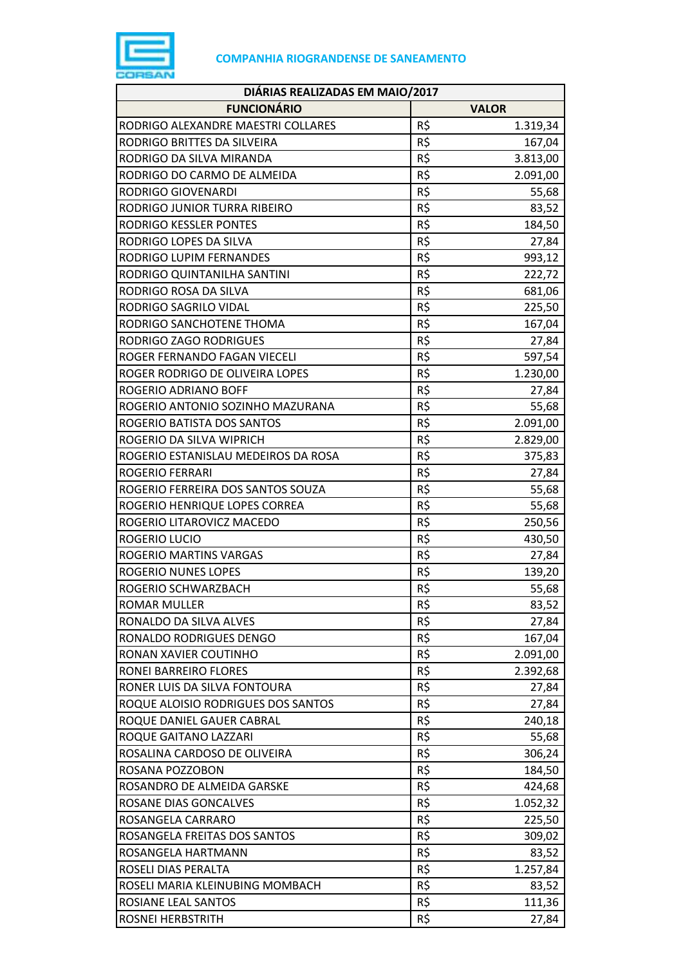

| DIÁRIAS REALIZADAS EM MAIO/2017     |              |          |  |
|-------------------------------------|--------------|----------|--|
| <b>FUNCIONÁRIO</b>                  | <b>VALOR</b> |          |  |
| RODRIGO ALEXANDRE MAESTRI COLLARES  | R\$          | 1.319,34 |  |
| RODRIGO BRITTES DA SILVEIRA         | R\$          | 167,04   |  |
| RODRIGO DA SILVA MIRANDA            | R\$          | 3.813,00 |  |
| RODRIGO DO CARMO DE ALMEIDA         | R\$          | 2.091,00 |  |
| RODRIGO GIOVENARDI                  | R\$          | 55,68    |  |
| RODRIGO JUNIOR TURRA RIBEIRO        | R\$          | 83,52    |  |
| RODRIGO KESSLER PONTES              | R\$          | 184,50   |  |
| RODRIGO LOPES DA SILVA              | R\$          | 27,84    |  |
| RODRIGO LUPIM FERNANDES             | R\$          | 993,12   |  |
| RODRIGO QUINTANILHA SANTINI         | R\$          | 222,72   |  |
| RODRIGO ROSA DA SILVA               | R\$          | 681,06   |  |
| RODRIGO SAGRILO VIDAL               | R\$          | 225,50   |  |
| RODRIGO SANCHOTENE THOMA            | R\$          | 167,04   |  |
| RODRIGO ZAGO RODRIGUES              | R\$          | 27,84    |  |
| ROGER FERNANDO FAGAN VIECELI        | R\$          | 597,54   |  |
| ROGER RODRIGO DE OLIVEIRA LOPES     | R\$          | 1.230,00 |  |
| ROGERIO ADRIANO BOFF                | R\$          | 27,84    |  |
| ROGERIO ANTONIO SOZINHO MAZURANA    | R\$          | 55,68    |  |
| ROGERIO BATISTA DOS SANTOS          | R\$          | 2.091,00 |  |
| ROGERIO DA SILVA WIPRICH            | R\$          | 2.829,00 |  |
| ROGERIO ESTANISLAU MEDEIROS DA ROSA | R\$          | 375,83   |  |
| ROGERIO FERRARI                     | R\$          | 27,84    |  |
| ROGERIO FERREIRA DOS SANTOS SOUZA   | R\$          | 55,68    |  |
| ROGERIO HENRIQUE LOPES CORREA       | R\$          | 55,68    |  |
| ROGERIO LITAROVICZ MACEDO           | R\$          | 250,56   |  |
| ROGERIO LUCIO                       | R\$          | 430,50   |  |
| ROGERIO MARTINS VARGAS              | R\$          | 27,84    |  |
| ROGERIO NUNES LOPES                 | R\$          | 139,20   |  |
| ROGERIO SCHWARZBACH                 | R\$          | 55,68    |  |
| <b>ROMAR MULLER</b>                 | R\$          | 83,52    |  |
| RONALDO DA SILVA ALVES              | R\$          | 27,84    |  |
| RONALDO RODRIGUES DENGO             | R\$          | 167,04   |  |
| RONAN XAVIER COUTINHO               | R\$          | 2.091,00 |  |
| RONEI BARREIRO FLORES               | R\$          | 2.392,68 |  |
| RONER LUIS DA SILVA FONTOURA        | R\$          | 27,84    |  |
| ROQUE ALOISIO RODRIGUES DOS SANTOS  | R\$          | 27,84    |  |
| ROQUE DANIEL GAUER CABRAL           | R\$          | 240,18   |  |
| ROQUE GAITANO LAZZARI               | R\$          | 55,68    |  |
| ROSALINA CARDOSO DE OLIVEIRA        | R\$          | 306,24   |  |
| ROSANA POZZOBON                     | R\$          | 184,50   |  |
| ROSANDRO DE ALMEIDA GARSKE          | R\$          | 424,68   |  |
| ROSANE DIAS GONCALVES               | R\$          | 1.052,32 |  |
| ROSANGELA CARRARO                   | R\$          | 225,50   |  |
| ROSANGELA FREITAS DOS SANTOS        | R\$          | 309,02   |  |
| ROSANGELA HARTMANN                  | R\$          | 83,52    |  |
| ROSELI DIAS PERALTA                 | R\$          | 1.257,84 |  |
| ROSELI MARIA KLEINUBING MOMBACH     | R\$          | 83,52    |  |
| ROSIANE LEAL SANTOS                 | R\$          | 111,36   |  |
| ROSNEI HERBSTRITH                   | R\$          | 27,84    |  |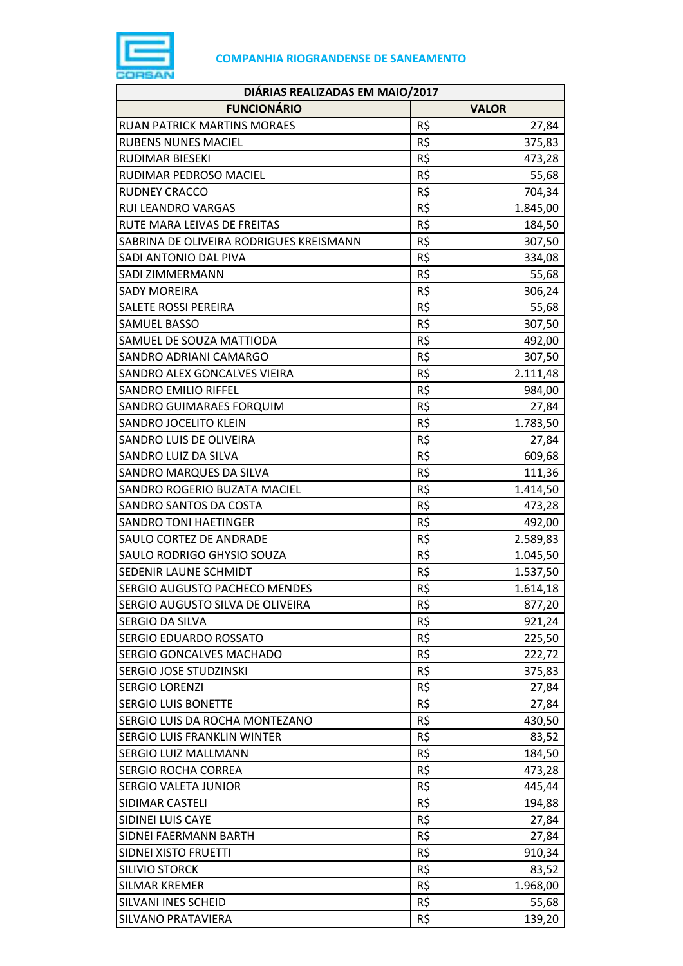

| DIÁRIAS REALIZADAS EM MAIO/2017         |     |              |  |
|-----------------------------------------|-----|--------------|--|
| <b>FUNCIONÁRIO</b>                      |     | <b>VALOR</b> |  |
| <b>RUAN PATRICK MARTINS MORAES</b>      | R\$ | 27,84        |  |
| RUBENS NUNES MACIEL                     | R\$ | 375,83       |  |
| RUDIMAR BIESEKI                         | R\$ | 473,28       |  |
| RUDIMAR PEDROSO MACIEL                  | R\$ | 55,68        |  |
| <b>RUDNEY CRACCO</b>                    | R\$ | 704,34       |  |
| RUI LEANDRO VARGAS                      | R\$ | 1.845,00     |  |
| RUTE MARA LEIVAS DE FREITAS             | R\$ | 184,50       |  |
| SABRINA DE OLIVEIRA RODRIGUES KREISMANN | R\$ | 307,50       |  |
| SADI ANTONIO DAL PIVA                   | R\$ | 334,08       |  |
| SADI ZIMMERMANN                         | R\$ | 55,68        |  |
| <b>SADY MOREIRA</b>                     | R\$ | 306,24       |  |
| SALETE ROSSI PEREIRA                    | R\$ | 55,68        |  |
| SAMUEL BASSO                            | R\$ | 307,50       |  |
| SAMUEL DE SOUZA MATTIODA                | R\$ | 492,00       |  |
| SANDRO ADRIANI CAMARGO                  | R\$ | 307,50       |  |
| SANDRO ALEX GONCALVES VIEIRA            | R\$ | 2.111,48     |  |
| <b>SANDRO EMILIO RIFFEL</b>             | R\$ | 984,00       |  |
| SANDRO GUIMARAES FORQUIM                | R\$ | 27,84        |  |
| SANDRO JOCELITO KLEIN                   | R\$ | 1.783,50     |  |
| SANDRO LUIS DE OLIVEIRA                 | R\$ | 27,84        |  |
| SANDRO LUIZ DA SILVA                    | R\$ | 609,68       |  |
| SANDRO MARQUES DA SILVA                 | R\$ | 111,36       |  |
| SANDRO ROGERIO BUZATA MACIEL            | R\$ | 1.414,50     |  |
| SANDRO SANTOS DA COSTA                  | R\$ | 473,28       |  |
| <b>SANDRO TONI HAETINGER</b>            | R\$ | 492,00       |  |
| SAULO CORTEZ DE ANDRADE                 | R\$ | 2.589,83     |  |
| SAULO RODRIGO GHYSIO SOUZA              | R\$ | 1.045,50     |  |
| SEDENIR LAUNE SCHMIDT                   | R\$ | 1.537,50     |  |
| <b>SERGIO AUGUSTO PACHECO MENDES</b>    | R\$ | 1.614,18     |  |
| SERGIO AUGUSTO SILVA DE OLIVEIRA        | R\$ | 877,20       |  |
| SERGIO DA SILVA                         | R\$ | 921,24       |  |
| <b>SERGIO EDUARDO ROSSATO</b>           | R\$ | 225,50       |  |
| SERGIO GONCALVES MACHADO                | R\$ | 222,72       |  |
| <b>SERGIO JOSE STUDZINSKI</b>           | R\$ | 375,83       |  |
| <b>SERGIO LORENZI</b>                   | R\$ | 27,84        |  |
| <b>SERGIO LUIS BONETTE</b>              | R\$ | 27,84        |  |
| SERGIO LUIS DA ROCHA MONTEZANO          | R\$ | 430,50       |  |
| SERGIO LUIS FRANKLIN WINTER             | R\$ | 83,52        |  |
| <b>SERGIO LUIZ MALLMANN</b>             | R\$ | 184,50       |  |
| SERGIO ROCHA CORREA                     | R\$ | 473,28       |  |
| SERGIO VALETA JUNIOR                    | R\$ | 445,44       |  |
| SIDIMAR CASTELI                         | R\$ | 194,88       |  |
| SIDINEI LUIS CAYE                       | R\$ | 27,84        |  |
| <b>SIDNEI FAERMANN BARTH</b>            | R\$ | 27,84        |  |
| SIDNEI XISTO FRUETTI                    | R\$ | 910,34       |  |
| <b>SILIVIO STORCK</b>                   | R\$ | 83,52        |  |
| <b>SILMAR KREMER</b>                    | R\$ | 1.968,00     |  |
| SILVANI INES SCHEID                     | R\$ | 55,68        |  |
| <b>SILVANO PRATAVIERA</b>               | R\$ | 139,20       |  |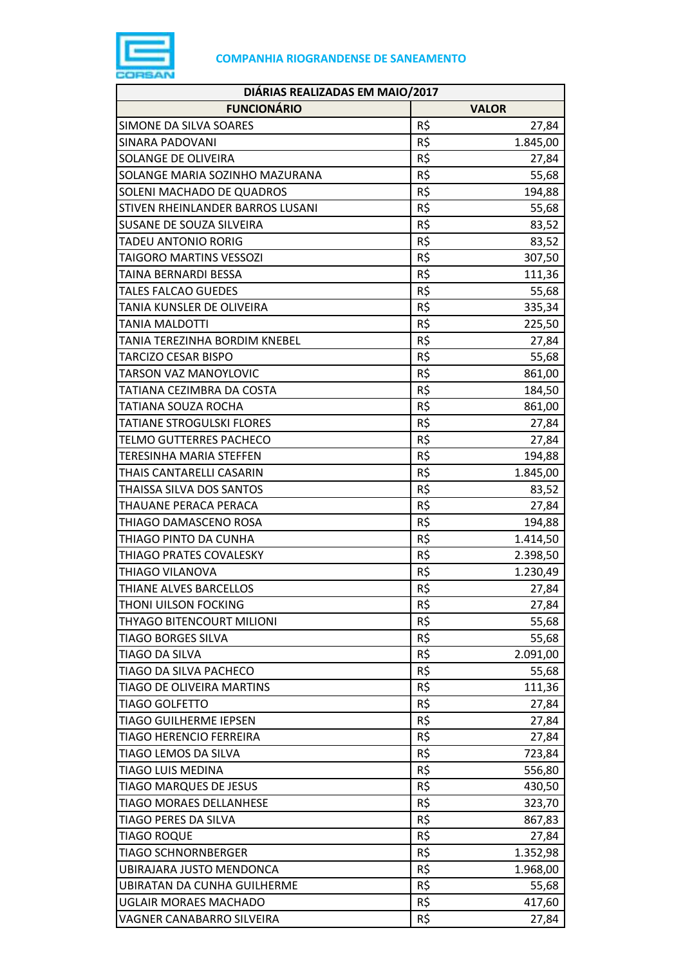

| DIÁRIAS REALIZADAS EM MAIO/2017    |     |              |  |
|------------------------------------|-----|--------------|--|
| <b>FUNCIONÁRIO</b>                 |     | <b>VALOR</b> |  |
| SIMONE DA SILVA SOARES             | R\$ | 27,84        |  |
| SINARA PADOVANI                    | R\$ | 1.845,00     |  |
| SOLANGE DE OLIVEIRA                | R\$ | 27,84        |  |
| SOLANGE MARIA SOZINHO MAZURANA     | R\$ | 55,68        |  |
| SOLENI MACHADO DE QUADROS          | R\$ | 194,88       |  |
| STIVEN RHEINLANDER BARROS LUSANI   | R\$ | 55,68        |  |
| SUSANE DE SOUZA SILVEIRA           | R\$ | 83,52        |  |
| <b>TADEU ANTONIO RORIG</b>         | R\$ | 83,52        |  |
| TAIGORO MARTINS VESSOZI            | R\$ | 307,50       |  |
| TAINA BERNARDI BESSA               | R\$ | 111,36       |  |
| <b>TALES FALCAO GUEDES</b>         | R\$ | 55,68        |  |
| TANIA KUNSLER DE OLIVEIRA          | R\$ | 335,34       |  |
| <b>TANIA MALDOTTI</b>              | R\$ | 225,50       |  |
| TANIA TEREZINHA BORDIM KNEBEL      | R\$ | 27,84        |  |
| <b>TARCIZO CESAR BISPO</b>         | R\$ | 55,68        |  |
| <b>TARSON VAZ MANOYLOVIC</b>       | R\$ | 861,00       |  |
| TATIANA CEZIMBRA DA COSTA          | R\$ | 184,50       |  |
| <b>TATIANA SOUZA ROCHA</b>         | R\$ | 861,00       |  |
| <b>TATIANE STROGULSKI FLORES</b>   | R\$ | 27,84        |  |
| <b>TELMO GUTTERRES PACHECO</b>     | R\$ | 27,84        |  |
| <b>TERESINHA MARIA STEFFEN</b>     | R\$ | 194,88       |  |
| THAIS CANTARELLI CASARIN           | R\$ | 1.845,00     |  |
| THAISSA SILVA DOS SANTOS           | R\$ | 83,52        |  |
| THAUANE PERACA PERACA              | R\$ | 27,84        |  |
| THIAGO DAMASCENO ROSA              | R\$ | 194,88       |  |
| THIAGO PINTO DA CUNHA              | R\$ | 1.414,50     |  |
| THIAGO PRATES COVALESKY            | R\$ | 2.398,50     |  |
| THIAGO VILANOVA                    | R\$ | 1.230,49     |  |
| THIANE ALVES BARCELLOS             | R\$ | 27,84        |  |
| <b>THONI UILSON FOCKING</b>        | R\$ | 27,84        |  |
| THYAGO BITENCOURT MILIONI          | R\$ | 55,68        |  |
| <b>TIAGO BORGES SILVA</b>          | R\$ | 55,68        |  |
| <b>TIAGO DA SILVA</b>              | R\$ | 2.091,00     |  |
| TIAGO DA SILVA PACHECO             | R\$ | 55,68        |  |
| TIAGO DE OLIVEIRA MARTINS          | R\$ | 111,36       |  |
| <b>TIAGO GOLFETTO</b>              | R\$ | 27,84        |  |
| <b>TIAGO GUILHERME IEPSEN</b>      | R\$ | 27,84        |  |
| <b>TIAGO HERENCIO FERREIRA</b>     | R\$ | 27,84        |  |
| TIAGO LEMOS DA SILVA               | R\$ | 723,84       |  |
| <b>TIAGO LUIS MEDINA</b>           | R\$ | 556,80       |  |
| <b>TIAGO MARQUES DE JESUS</b>      | R\$ | 430,50       |  |
| <b>TIAGO MORAES DELLANHESE</b>     | R\$ | 323,70       |  |
| TIAGO PERES DA SILVA               | R\$ | 867,83       |  |
| <b>TIAGO ROQUE</b>                 | R\$ | 27,84        |  |
| <b>TIAGO SCHNORNBERGER</b>         | R\$ | 1.352,98     |  |
| UBIRAJARA JUSTO MENDONCA           | R\$ | 1.968,00     |  |
| <b>UBIRATAN DA CUNHA GUILHERME</b> | R\$ | 55,68        |  |
| <b>UGLAIR MORAES MACHADO</b>       | R\$ | 417,60       |  |
| VAGNER CANABARRO SILVEIRA          | R\$ | 27,84        |  |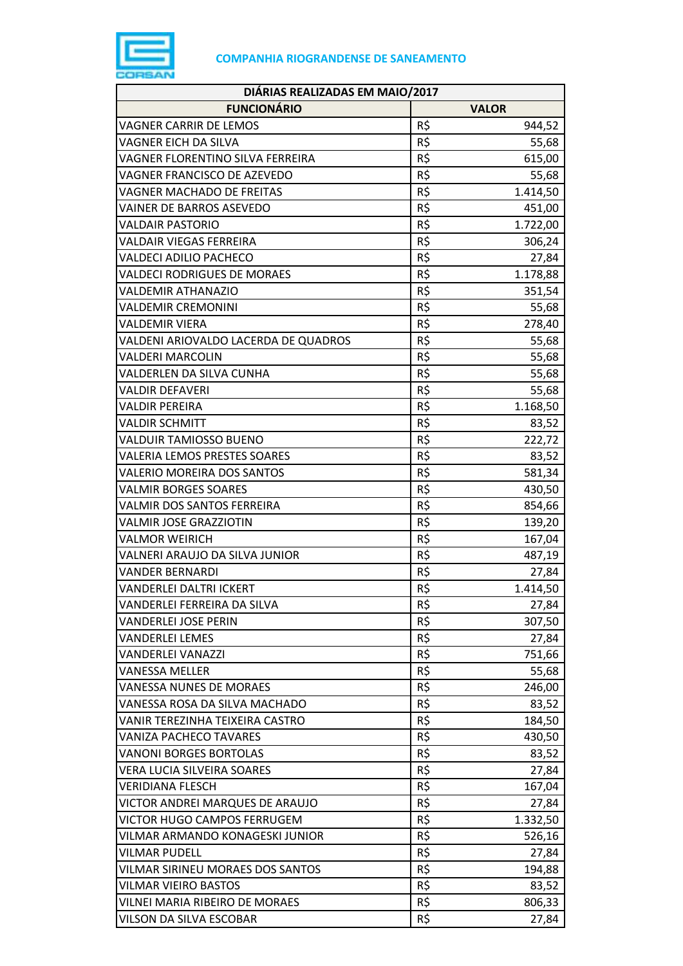

| DIÁRIAS REALIZADAS EM MAIO/2017      |     |              |  |
|--------------------------------------|-----|--------------|--|
| <b>FUNCIONÁRIO</b>                   |     | <b>VALOR</b> |  |
| VAGNER CARRIR DE LEMOS               | R\$ | 944,52       |  |
| VAGNER EICH DA SILVA                 | R\$ | 55,68        |  |
| VAGNER FLORENTINO SILVA FERREIRA     | R\$ | 615,00       |  |
| VAGNER FRANCISCO DE AZEVEDO          | R\$ | 55,68        |  |
| VAGNER MACHADO DE FREITAS            | R\$ | 1.414,50     |  |
| VAINER DE BARROS ASEVEDO             | R\$ | 451,00       |  |
| <b>VALDAIR PASTORIO</b>              | R\$ | 1.722,00     |  |
| <b>VALDAIR VIEGAS FERREIRA</b>       | R\$ | 306,24       |  |
| <b>VALDECI ADILIO PACHECO</b>        | R\$ | 27,84        |  |
| <b>VALDECI RODRIGUES DE MORAES</b>   | R\$ | 1.178,88     |  |
| <b>VALDEMIR ATHANAZIO</b>            | R\$ | 351,54       |  |
| <b>VALDEMIR CREMONINI</b>            | R\$ | 55,68        |  |
| <b>VALDEMIR VIERA</b>                | R\$ | 278,40       |  |
| VALDENI ARIOVALDO LACERDA DE QUADROS | R\$ | 55,68        |  |
| <b>VALDERI MARCOLIN</b>              | R\$ | 55,68        |  |
| VALDERLEN DA SILVA CUNHA             | R\$ | 55,68        |  |
| VALDIR DEFAVERI                      | R\$ | 55,68        |  |
| <b>VALDIR PEREIRA</b>                | R\$ | 1.168,50     |  |
| <b>VALDIR SCHMITT</b>                | R\$ | 83,52        |  |
| <b>VALDUIR TAMIOSSO BUENO</b>        | R\$ | 222,72       |  |
| <b>VALERIA LEMOS PRESTES SOARES</b>  | R\$ | 83,52        |  |
| VALERIO MOREIRA DOS SANTOS           | R\$ | 581,34       |  |
| <b>VALMIR BORGES SOARES</b>          | R\$ | 430,50       |  |
| VALMIR DOS SANTOS FERREIRA           | R\$ | 854,66       |  |
| <b>VALMIR JOSE GRAZZIOTIN</b>        | R\$ | 139,20       |  |
| <b>VALMOR WEIRICH</b>                | R\$ | 167,04       |  |
| VALNERI ARAUJO DA SILVA JUNIOR       | R\$ | 487,19       |  |
| <b>VANDER BERNARDI</b>               | R\$ | 27,84        |  |
| <b>VANDERLEI DALTRI ICKERT</b>       | R\$ | 1.414,50     |  |
| VANDERLEI FERREIRA DA SILVA          | R\$ | 27,84        |  |
| <b>VANDERLEI JOSE PERIN</b>          | R\$ | 307,50       |  |
| <b>VANDERLEI LEMES</b>               | R\$ | 27,84        |  |
| <b>VANDERLEI VANAZZI</b>             | R\$ | 751,66       |  |
| <b>VANESSA MELLER</b>                | R\$ | 55,68        |  |
| <b>VANESSA NUNES DE MORAES</b>       | R\$ | 246,00       |  |
| VANESSA ROSA DA SILVA MACHADO        | R\$ | 83,52        |  |
| VANIR TEREZINHA TEIXEIRA CASTRO      | R\$ | 184,50       |  |
| <b>VANIZA PACHECO TAVARES</b>        | R\$ | 430,50       |  |
| <b>VANONI BORGES BORTOLAS</b>        | R\$ | 83,52        |  |
| VERA LUCIA SILVEIRA SOARES           | R\$ | 27,84        |  |
| <b>VERIDIANA FLESCH</b>              | R\$ | 167,04       |  |
| VICTOR ANDREI MARQUES DE ARAUJO      | R\$ | 27,84        |  |
| <b>VICTOR HUGO CAMPOS FERRUGEM</b>   | R\$ | 1.332,50     |  |
| VILMAR ARMANDO KONAGESKI JUNIOR      | R\$ | 526,16       |  |
| <b>VILMAR PUDELL</b>                 | R\$ | 27,84        |  |
| VILMAR SIRINEU MORAES DOS SANTOS     | R\$ | 194,88       |  |
| <b>VILMAR VIEIRO BASTOS</b>          | R\$ | 83,52        |  |
| VILNEI MARIA RIBEIRO DE MORAES       | R\$ | 806,33       |  |
| VILSON DA SILVA ESCOBAR              | R\$ | 27,84        |  |